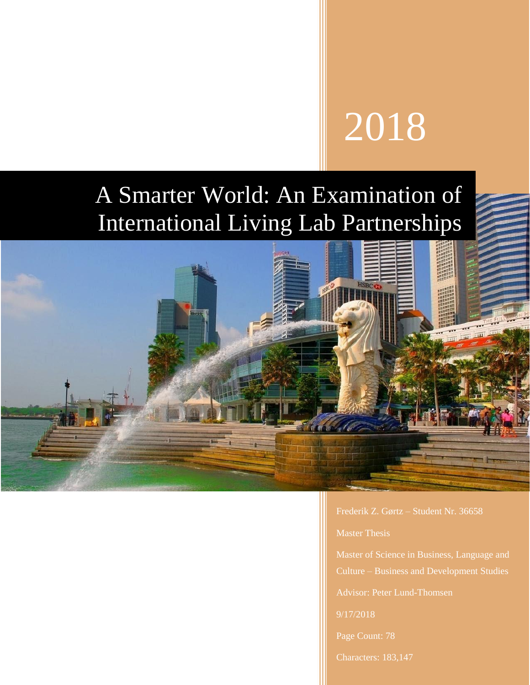# 2018

# A Smarter World: An Examination of International Living Lab Partnerships



Frederik Z. Gørtz – Student Nr. 36658

Master Thesis

Advisor: Peter Lund-Thomsen

9/17/2018

Characters: 183,147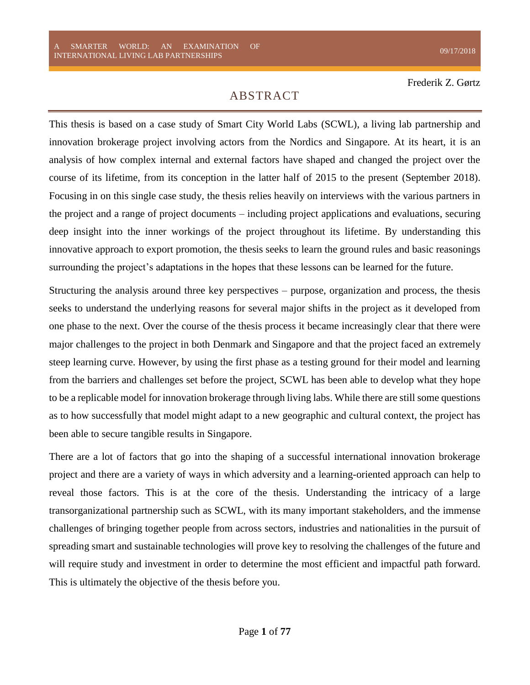# ABSTRACT

<span id="page-1-0"></span>This thesis is based on a case study of Smart City World Labs (SCWL), a living lab partnership and innovation brokerage project involving actors from the Nordics and Singapore. At its heart, it is an analysis of how complex internal and external factors have shaped and changed the project over the course of its lifetime, from its conception in the latter half of 2015 to the present (September 2018). Focusing in on this single case study, the thesis relies heavily on interviews with the various partners in the project and a range of project documents – including project applications and evaluations, securing deep insight into the inner workings of the project throughout its lifetime. By understanding this innovative approach to export promotion, the thesis seeks to learn the ground rules and basic reasonings surrounding the project's adaptations in the hopes that these lessons can be learned for the future.

Structuring the analysis around three key perspectives – purpose, organization and process, the thesis seeks to understand the underlying reasons for several major shifts in the project as it developed from one phase to the next. Over the course of the thesis process it became increasingly clear that there were major challenges to the project in both Denmark and Singapore and that the project faced an extremely steep learning curve. However, by using the first phase as a testing ground for their model and learning from the barriers and challenges set before the project, SCWL has been able to develop what they hope to be a replicable model for innovation brokerage through living labs. While there are still some questions as to how successfully that model might adapt to a new geographic and cultural context, the project has been able to secure tangible results in Singapore.

There are a lot of factors that go into the shaping of a successful international innovation brokerage project and there are a variety of ways in which adversity and a learning-oriented approach can help to reveal those factors. This is at the core of the thesis. Understanding the intricacy of a large transorganizational partnership such as SCWL, with its many important stakeholders, and the immense challenges of bringing together people from across sectors, industries and nationalities in the pursuit of spreading smart and sustainable technologies will prove key to resolving the challenges of the future and will require study and investment in order to determine the most efficient and impactful path forward. This is ultimately the objective of the thesis before you.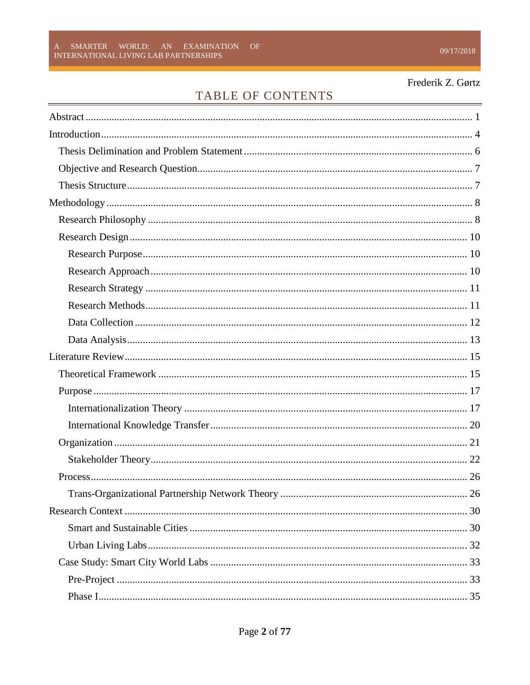# TABLE OF CONTENTS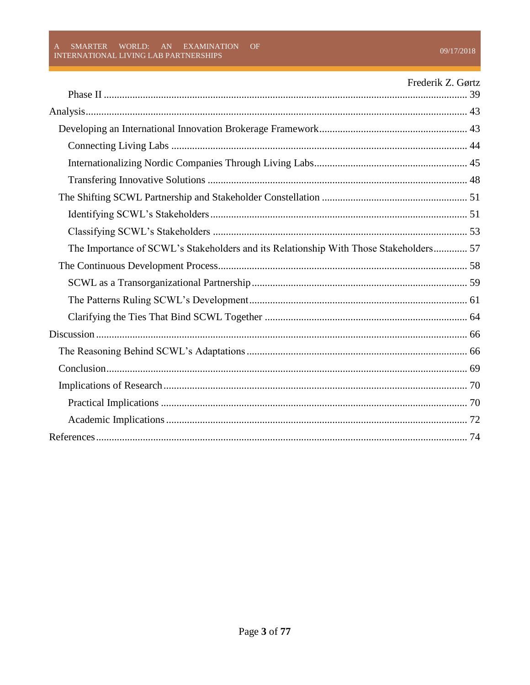|                                                                                       | Frederik Z. Gørtz |
|---------------------------------------------------------------------------------------|-------------------|
|                                                                                       |                   |
|                                                                                       |                   |
|                                                                                       |                   |
|                                                                                       |                   |
|                                                                                       |                   |
|                                                                                       |                   |
|                                                                                       |                   |
|                                                                                       |                   |
| The Importance of SCWL's Stakeholders and its Relationship With Those Stakeholders 57 |                   |
|                                                                                       |                   |
|                                                                                       |                   |
|                                                                                       |                   |
|                                                                                       |                   |
|                                                                                       |                   |
|                                                                                       |                   |
|                                                                                       |                   |
|                                                                                       |                   |
|                                                                                       |                   |
|                                                                                       |                   |
|                                                                                       |                   |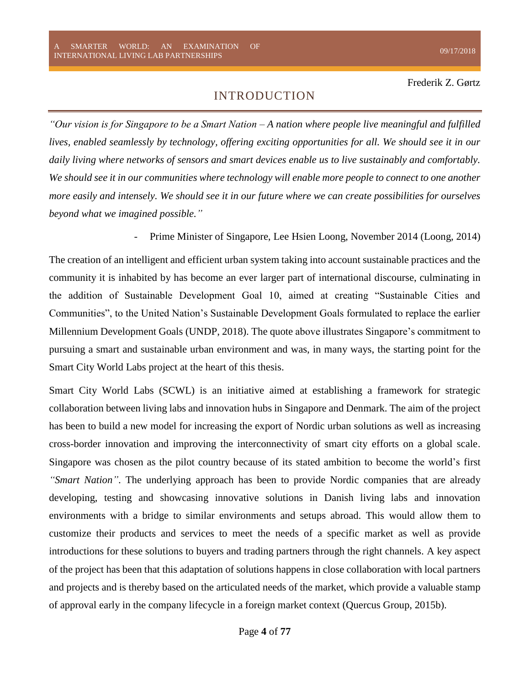# INTRODUCTION

<span id="page-4-0"></span>*"Our vision is for Singapore to be a Smart Nation – A nation where people live meaningful and fulfilled lives, enabled seamlessly by technology, offering exciting opportunities for all. We should see it in our daily living where networks of sensors and smart devices enable us to live sustainably and comfortably. We should see it in our communities where technology will enable more people to connect to one another more easily and intensely. We should see it in our future where we can create possibilities for ourselves beyond what we imagined possible."*

Prime Minister of Singapore, Lee Hsien Loong, November 2014 (Loong, 2014)

The creation of an intelligent and efficient urban system taking into account sustainable practices and the community it is inhabited by has become an ever larger part of international discourse, culminating in the addition of Sustainable Development Goal 10, aimed at creating "Sustainable Cities and Communities", to the United Nation's Sustainable Development Goals formulated to replace the earlier Millennium Development Goals (UNDP, 2018). The quote above illustrates Singapore's commitment to pursuing a smart and sustainable urban environment and was, in many ways, the starting point for the Smart City World Labs project at the heart of this thesis.

Smart City World Labs (SCWL) is an initiative aimed at establishing a framework for strategic collaboration between living labs and innovation hubs in Singapore and Denmark. The aim of the project has been to build a new model for increasing the export of Nordic urban solutions as well as increasing cross-border innovation and improving the interconnectivity of smart city efforts on a global scale. Singapore was chosen as the pilot country because of its stated ambition to become the world's first *"Smart Nation"*. The underlying approach has been to provide Nordic companies that are already developing, testing and showcasing innovative solutions in Danish living labs and innovation environments with a bridge to similar environments and setups abroad. This would allow them to customize their products and services to meet the needs of a specific market as well as provide introductions for these solutions to buyers and trading partners through the right channels. A key aspect of the project has been that this adaptation of solutions happens in close collaboration with local partners and projects and is thereby based on the articulated needs of the market, which provide a valuable stamp of approval early in the company lifecycle in a foreign market context (Quercus Group, 2015b).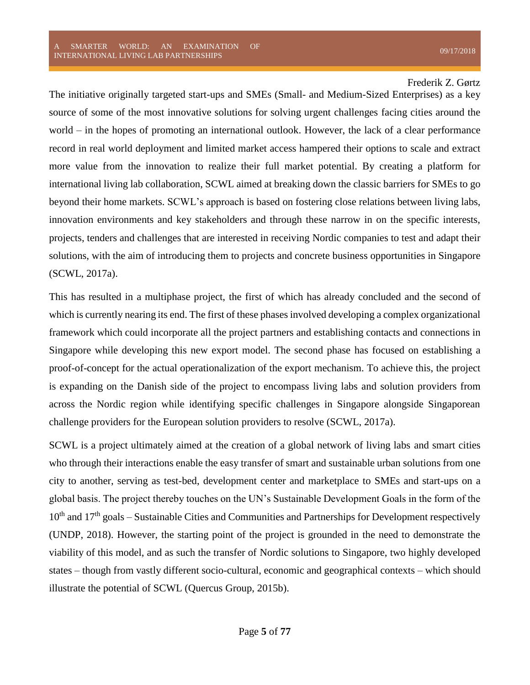The initiative originally targeted start-ups and SMEs (Small- and Medium-Sized Enterprises) as a key source of some of the most innovative solutions for solving urgent challenges facing cities around the world – in the hopes of promoting an international outlook. However, the lack of a clear performance record in real world deployment and limited market access hampered their options to scale and extract more value from the innovation to realize their full market potential. By creating a platform for international living lab collaboration, SCWL aimed at breaking down the classic barriers for SMEs to go beyond their home markets. SCWL's approach is based on fostering close relations between living labs, innovation environments and key stakeholders and through these narrow in on the specific interests, projects, tenders and challenges that are interested in receiving Nordic companies to test and adapt their solutions, with the aim of introducing them to projects and concrete business opportunities in Singapore (SCWL, 2017a).

This has resulted in a multiphase project, the first of which has already concluded and the second of which is currently nearing its end. The first of these phases involved developing a complex organizational framework which could incorporate all the project partners and establishing contacts and connections in Singapore while developing this new export model. The second phase has focused on establishing a proof-of-concept for the actual operationalization of the export mechanism. To achieve this, the project is expanding on the Danish side of the project to encompass living labs and solution providers from across the Nordic region while identifying specific challenges in Singapore alongside Singaporean challenge providers for the European solution providers to resolve (SCWL, 2017a).

SCWL is a project ultimately aimed at the creation of a global network of living labs and smart cities who through their interactions enable the easy transfer of smart and sustainable urban solutions from one city to another, serving as test-bed, development center and marketplace to SMEs and start-ups on a global basis. The project thereby touches on the UN's Sustainable Development Goals in the form of the 10<sup>th</sup> and 17<sup>th</sup> goals – Sustainable Cities and Communities and Partnerships for Development respectively (UNDP, 2018). However, the starting point of the project is grounded in the need to demonstrate the viability of this model, and as such the transfer of Nordic solutions to Singapore, two highly developed states – though from vastly different socio-cultural, economic and geographical contexts – which should illustrate the potential of SCWL (Quercus Group, 2015b).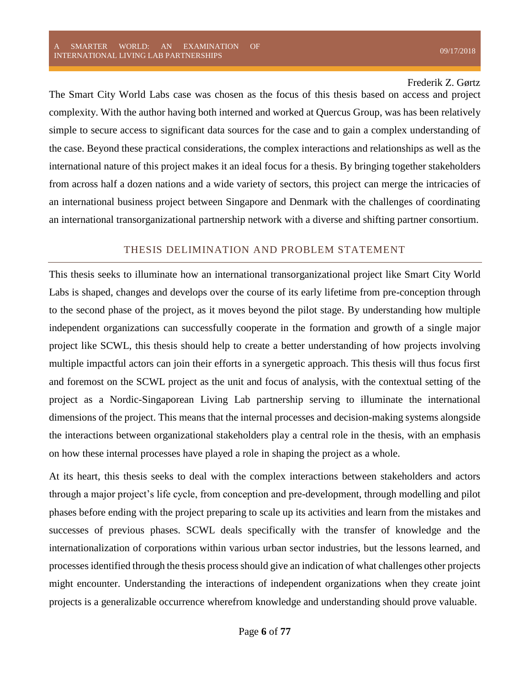The Smart City World Labs case was chosen as the focus of this thesis based on access and project complexity. With the author having both interned and worked at Quercus Group, was has been relatively simple to secure access to significant data sources for the case and to gain a complex understanding of the case. Beyond these practical considerations, the complex interactions and relationships as well as the international nature of this project makes it an ideal focus for a thesis. By bringing together stakeholders from across half a dozen nations and a wide variety of sectors, this project can merge the intricacies of an international business project between Singapore and Denmark with the challenges of coordinating an international transorganizational partnership network with a diverse and shifting partner consortium.

#### THESIS DELIMINATION AND PROBLEM STATEMENT

<span id="page-6-0"></span>This thesis seeks to illuminate how an international transorganizational project like Smart City World Labs is shaped, changes and develops over the course of its early lifetime from pre-conception through to the second phase of the project, as it moves beyond the pilot stage. By understanding how multiple independent organizations can successfully cooperate in the formation and growth of a single major project like SCWL, this thesis should help to create a better understanding of how projects involving multiple impactful actors can join their efforts in a synergetic approach. This thesis will thus focus first and foremost on the SCWL project as the unit and focus of analysis, with the contextual setting of the project as a Nordic-Singaporean Living Lab partnership serving to illuminate the international dimensions of the project. This means that the internal processes and decision-making systems alongside the interactions between organizational stakeholders play a central role in the thesis, with an emphasis on how these internal processes have played a role in shaping the project as a whole.

At its heart, this thesis seeks to deal with the complex interactions between stakeholders and actors through a major project's life cycle, from conception and pre-development, through modelling and pilot phases before ending with the project preparing to scale up its activities and learn from the mistakes and successes of previous phases. SCWL deals specifically with the transfer of knowledge and the internationalization of corporations within various urban sector industries, but the lessons learned, and processes identified through the thesis process should give an indication of what challenges other projects might encounter. Understanding the interactions of independent organizations when they create joint projects is a generalizable occurrence wherefrom knowledge and understanding should prove valuable.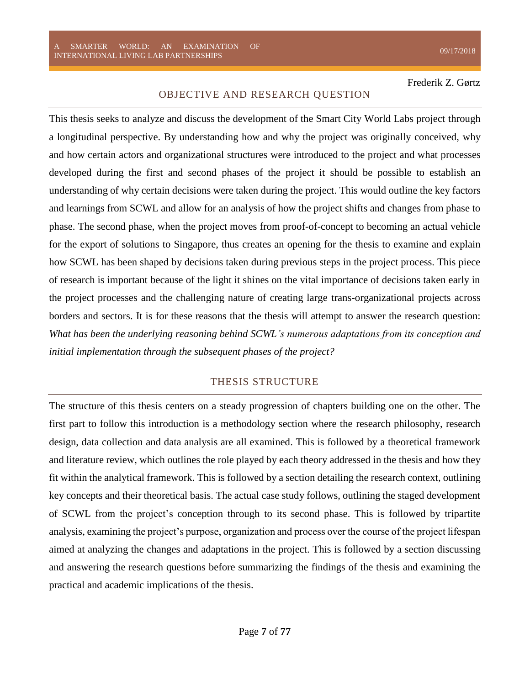#### OBJECTIVE AND RESEARCH QUESTION

<span id="page-7-0"></span>This thesis seeks to analyze and discuss the development of the Smart City World Labs project through a longitudinal perspective. By understanding how and why the project was originally conceived, why and how certain actors and organizational structures were introduced to the project and what processes developed during the first and second phases of the project it should be possible to establish an understanding of why certain decisions were taken during the project. This would outline the key factors and learnings from SCWL and allow for an analysis of how the project shifts and changes from phase to phase. The second phase, when the project moves from proof-of-concept to becoming an actual vehicle for the export of solutions to Singapore, thus creates an opening for the thesis to examine and explain how SCWL has been shaped by decisions taken during previous steps in the project process. This piece of research is important because of the light it shines on the vital importance of decisions taken early in the project processes and the challenging nature of creating large trans-organizational projects across borders and sectors. It is for these reasons that the thesis will attempt to answer the research question: *What has been the underlying reasoning behind SCWL's numerous adaptations from its conception and initial implementation through the subsequent phases of the project?*

#### THESIS STRUCTURE

<span id="page-7-1"></span>The structure of this thesis centers on a steady progression of chapters building one on the other. The first part to follow this introduction is a methodology section where the research philosophy, research design, data collection and data analysis are all examined. This is followed by a theoretical framework and literature review, which outlines the role played by each theory addressed in the thesis and how they fit within the analytical framework. This is followed by a section detailing the research context, outlining key concepts and their theoretical basis. The actual case study follows, outlining the staged development of SCWL from the project's conception through to its second phase. This is followed by tripartite analysis, examining the project's purpose, organization and process over the course of the project lifespan aimed at analyzing the changes and adaptations in the project. This is followed by a section discussing and answering the research questions before summarizing the findings of the thesis and examining the practical and academic implications of the thesis.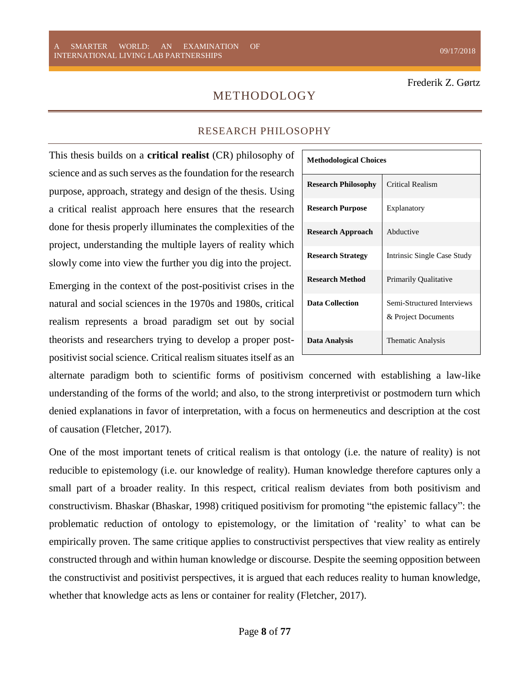# METHODOLOGY

#### RESEARCH PHILOSOPHY

<span id="page-8-1"></span><span id="page-8-0"></span>This thesis builds on a **critical realist** (CR) philosophy of science and as such serves as the foundation for the research purpose, approach, strategy and design of the thesis. Using a critical realist approach here ensures that the research done for thesis properly illuminates the complexities of the project, understanding the multiple layers of reality which slowly come into view the further you dig into the project.

Emerging in the context of the post-positivist crises in the natural and social sciences in the 1970s and 1980s, critical realism represents a broad paradigm set out by social theorists and researchers trying to develop a proper postpositivist social science. Critical realism situates itself as an

| <b>Methodological Choices</b> |                                                   |
|-------------------------------|---------------------------------------------------|
| <b>Research Philosophy</b>    | <b>Critical Realism</b>                           |
| <b>Research Purpose</b>       | Explanatory                                       |
| <b>Research Approach</b>      | Abductive                                         |
| <b>Research Strategy</b>      | Intrinsic Single Case Study                       |
| <b>Research Method</b>        | <b>Primarily Qualitative</b>                      |
| <b>Data Collection</b>        | Semi-Structured Interviews<br>& Project Documents |
| Data Analysis                 | Thematic Analysis                                 |

alternate paradigm both to scientific forms of positivism concerned with establishing a law-like understanding of the forms of the world; and also, to the strong interpretivist or postmodern turn which denied explanations in favor of interpretation, with a focus on hermeneutics and description at the cost of causation (Fletcher, 2017).

One of the most important tenets of critical realism is that ontology (i.e. the nature of reality) is not reducible to epistemology (i.e. our knowledge of reality). Human knowledge therefore captures only a small part of a broader reality. In this respect, critical realism deviates from both positivism and constructivism. Bhaskar (Bhaskar, 1998) critiqued positivism for promoting "the epistemic fallacy": the problematic reduction of ontology to epistemology, or the limitation of 'reality' to what can be empirically proven. The same critique applies to constructivist perspectives that view reality as entirely constructed through and within human knowledge or discourse. Despite the seeming opposition between the constructivist and positivist perspectives, it is argued that each reduces reality to human knowledge, whether that knowledge acts as lens or container for reality (Fletcher, 2017).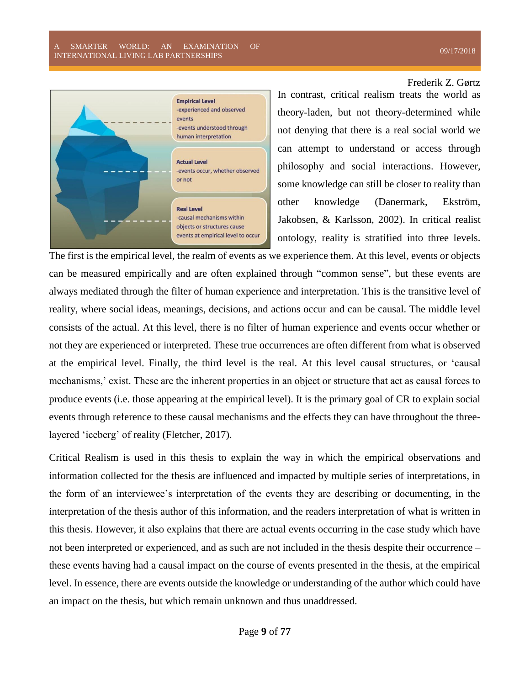

In contrast, critical realism treats the world as theory-laden, but not theory-determined while not denying that there is a real social world we can attempt to understand or access through philosophy and social interactions. However, some knowledge can still be closer to reality than other knowledge (Danermark, Ekström, Jakobsen, & Karlsson, 2002). In critical realist ontology, reality is stratified into three levels.

The first is the empirical level, the realm of events as we experience them. At this level, events or objects can be measured empirically and are often explained through "common sense", but these events are always mediated through the filter of human experience and interpretation. This is the transitive level of reality, where social ideas, meanings, decisions, and actions occur and can be causal. The middle level consists of the actual. At this level, there is no filter of human experience and events occur whether or not they are experienced or interpreted. These true occurrences are often different from what is observed at the empirical level. Finally, the third level is the real. At this level causal structures, or 'causal mechanisms,' exist. These are the inherent properties in an object or structure that act as causal forces to produce events (i.e. those appearing at the empirical level). It is the primary goal of CR to explain social events through reference to these causal mechanisms and the effects they can have throughout the threelayered 'iceberg' of reality (Fletcher, 2017).

Critical Realism is used in this thesis to explain the way in which the empirical observations and information collected for the thesis are influenced and impacted by multiple series of interpretations, in the form of an interviewee's interpretation of the events they are describing or documenting, in the interpretation of the thesis author of this information, and the readers interpretation of what is written in this thesis. However, it also explains that there are actual events occurring in the case study which have not been interpreted or experienced, and as such are not included in the thesis despite their occurrence – these events having had a causal impact on the course of events presented in the thesis, at the empirical level. In essence, there are events outside the knowledge or understanding of the author which could have an impact on the thesis, but which remain unknown and thus unaddressed.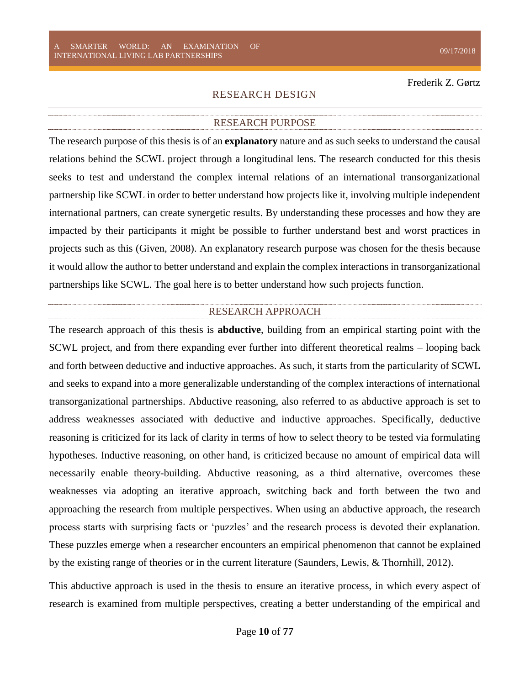#### RESEARCH DESIGN

#### RESEARCH PURPOSE

<span id="page-10-1"></span><span id="page-10-0"></span>The research purpose of this thesis is of an **explanatory** nature and as such seeks to understand the causal relations behind the SCWL project through a longitudinal lens. The research conducted for this thesis seeks to test and understand the complex internal relations of an international transorganizational partnership like SCWL in order to better understand how projects like it, involving multiple independent international partners, can create synergetic results. By understanding these processes and how they are impacted by their participants it might be possible to further understand best and worst practices in projects such as this (Given, 2008). An explanatory research purpose was chosen for the thesis because it would allow the author to better understand and explain the complex interactions in transorganizational partnerships like SCWL. The goal here is to better understand how such projects function.

#### RESEARCH APPROACH

<span id="page-10-2"></span>The research approach of this thesis is **abductive**, building from an empirical starting point with the SCWL project, and from there expanding ever further into different theoretical realms – looping back and forth between deductive and inductive approaches. As such, it starts from the particularity of SCWL and seeks to expand into a more generalizable understanding of the complex interactions of international transorganizational partnerships. Abductive reasoning, also referred to as abductive approach is set to address weaknesses associated with deductive and inductive approaches. Specifically, deductive reasoning is criticized for its lack of clarity in terms of how to select theory to be tested via formulating hypotheses. Inductive reasoning, on other hand, is criticized because no amount of empirical data will necessarily enable theory-building. Abductive reasoning, as a third alternative, overcomes these weaknesses via adopting an iterative approach, switching back and forth between the two and approaching the research from multiple perspectives. When using an abductive approach, the research process starts with surprising facts or 'puzzles' and the research process is devoted their explanation. These puzzles emerge when a researcher encounters an empirical phenomenon that cannot be explained by the existing range of theories or in the current literature (Saunders, Lewis, & Thornhill, 2012).

This abductive approach is used in the thesis to ensure an iterative process, in which every aspect of research is examined from multiple perspectives, creating a better understanding of the empirical and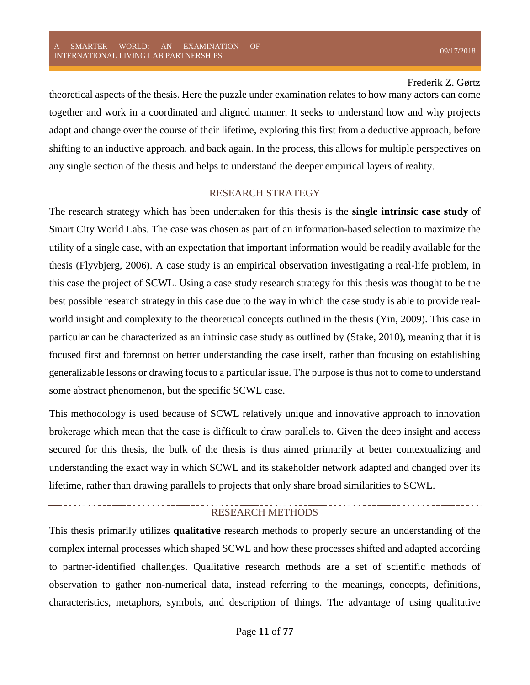theoretical aspects of the thesis. Here the puzzle under examination relates to how many actors can come together and work in a coordinated and aligned manner. It seeks to understand how and why projects adapt and change over the course of their lifetime, exploring this first from a deductive approach, before shifting to an inductive approach, and back again. In the process, this allows for multiple perspectives on any single section of the thesis and helps to understand the deeper empirical layers of reality.

#### RESEARCH STRATEGY

<span id="page-11-0"></span>The research strategy which has been undertaken for this thesis is the **single intrinsic case study** of Smart City World Labs. The case was chosen as part of an information-based selection to maximize the utility of a single case, with an expectation that important information would be readily available for the thesis (Flyvbjerg, 2006). A case study is an empirical observation investigating a real-life problem, in this case the project of SCWL. Using a case study research strategy for this thesis was thought to be the best possible research strategy in this case due to the way in which the case study is able to provide realworld insight and complexity to the theoretical concepts outlined in the thesis (Yin, 2009). This case in particular can be characterized as an intrinsic case study as outlined by (Stake, 2010), meaning that it is focused first and foremost on better understanding the case itself, rather than focusing on establishing generalizable lessons or drawing focus to a particular issue. The purpose is thus not to come to understand some abstract phenomenon, but the specific SCWL case.

This methodology is used because of SCWL relatively unique and innovative approach to innovation brokerage which mean that the case is difficult to draw parallels to. Given the deep insight and access secured for this thesis, the bulk of the thesis is thus aimed primarily at better contextualizing and understanding the exact way in which SCWL and its stakeholder network adapted and changed over its lifetime, rather than drawing parallels to projects that only share broad similarities to SCWL.

#### RESEARCH METHODS

<span id="page-11-1"></span>This thesis primarily utilizes **qualitative** research methods to properly secure an understanding of the complex internal processes which shaped SCWL and how these processes shifted and adapted according to partner-identified challenges. Qualitative research methods are a set of scientific methods of observation to gather non-numerical data, instead referring to the meanings, concepts, definitions, characteristics, metaphors, symbols, and description of things. The advantage of using qualitative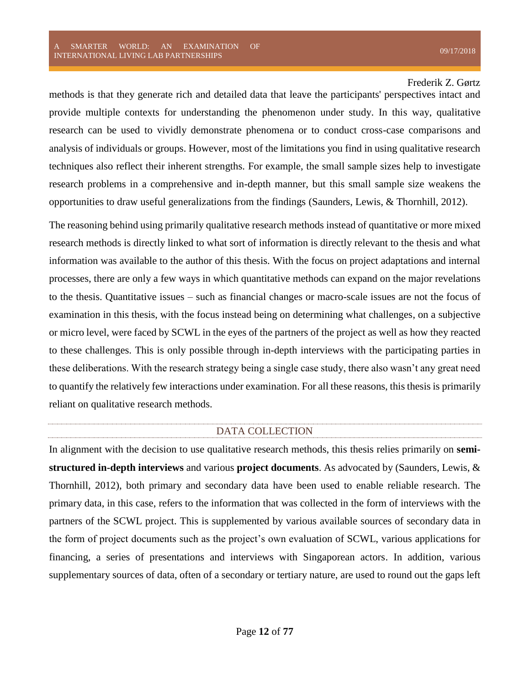methods is that they generate rich and detailed data that leave the participants' perspectives intact and provide multiple contexts for understanding the phenomenon under study. In this way, qualitative research can be used to vividly demonstrate phenomena or to conduct cross-case comparisons and analysis of individuals or groups. However, most of the limitations you find in using qualitative research techniques also reflect their inherent strengths. For example, the small sample sizes help to investigate research problems in a comprehensive and in-depth manner, but this small sample size weakens the opportunities to draw useful generalizations from the findings (Saunders, Lewis, & Thornhill, 2012).

The reasoning behind using primarily qualitative research methods instead of quantitative or more mixed research methods is directly linked to what sort of information is directly relevant to the thesis and what information was available to the author of this thesis. With the focus on project adaptations and internal processes, there are only a few ways in which quantitative methods can expand on the major revelations to the thesis. Quantitative issues – such as financial changes or macro-scale issues are not the focus of examination in this thesis, with the focus instead being on determining what challenges, on a subjective or micro level, were faced by SCWL in the eyes of the partners of the project as well as how they reacted to these challenges. This is only possible through in-depth interviews with the participating parties in these deliberations. With the research strategy being a single case study, there also wasn't any great need to quantify the relatively few interactions under examination. For all these reasons, this thesis is primarily reliant on qualitative research methods.

#### DATA COLLECTION

<span id="page-12-0"></span>In alignment with the decision to use qualitative research methods, this thesis relies primarily on **semistructured in-depth interviews** and various **project documents**. As advocated by (Saunders, Lewis, & Thornhill, 2012), both primary and secondary data have been used to enable reliable research. The primary data, in this case, refers to the information that was collected in the form of interviews with the partners of the SCWL project. This is supplemented by various available sources of secondary data in the form of project documents such as the project's own evaluation of SCWL, various applications for financing, a series of presentations and interviews with Singaporean actors. In addition, various supplementary sources of data, often of a secondary or tertiary nature, are used to round out the gaps left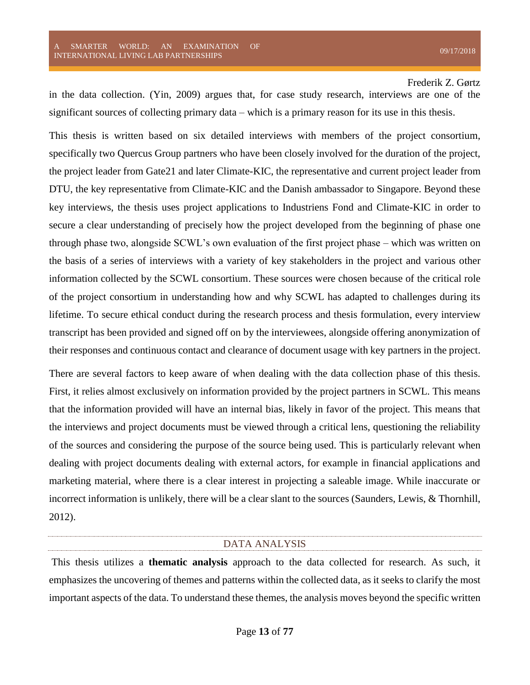in the data collection. (Yin, 2009) argues that, for case study research, interviews are one of the significant sources of collecting primary data – which is a primary reason for its use in this thesis.

This thesis is written based on six detailed interviews with members of the project consortium, specifically two Quercus Group partners who have been closely involved for the duration of the project, the project leader from Gate21 and later Climate-KIC, the representative and current project leader from DTU, the key representative from Climate-KIC and the Danish ambassador to Singapore. Beyond these key interviews, the thesis uses project applications to Industriens Fond and Climate-KIC in order to secure a clear understanding of precisely how the project developed from the beginning of phase one through phase two, alongside SCWL's own evaluation of the first project phase – which was written on the basis of a series of interviews with a variety of key stakeholders in the project and various other information collected by the SCWL consortium. These sources were chosen because of the critical role of the project consortium in understanding how and why SCWL has adapted to challenges during its lifetime. To secure ethical conduct during the research process and thesis formulation, every interview transcript has been provided and signed off on by the interviewees, alongside offering anonymization of their responses and continuous contact and clearance of document usage with key partners in the project.

There are several factors to keep aware of when dealing with the data collection phase of this thesis. First, it relies almost exclusively on information provided by the project partners in SCWL. This means that the information provided will have an internal bias, likely in favor of the project. This means that the interviews and project documents must be viewed through a critical lens, questioning the reliability of the sources and considering the purpose of the source being used. This is particularly relevant when dealing with project documents dealing with external actors, for example in financial applications and marketing material, where there is a clear interest in projecting a saleable image. While inaccurate or incorrect information is unlikely, there will be a clear slant to the sources (Saunders, Lewis, & Thornhill, 2012).

#### DATA ANALYSIS

<span id="page-13-0"></span>This thesis utilizes a **thematic analysis** approach to the data collected for research. As such, it emphasizes the uncovering of themes and patterns within the collected data, as it seeks to clarify the most important aspects of the data. To understand these themes, the analysis moves beyond the specific written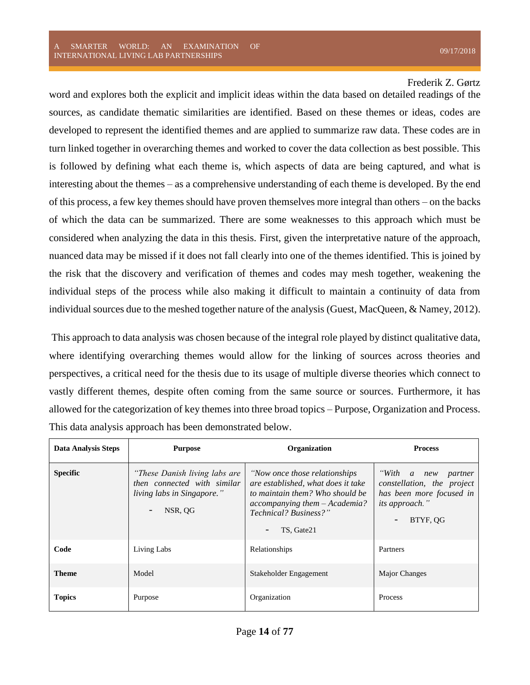word and explores both the explicit and implicit ideas within the data based on detailed readings of the sources, as candidate thematic similarities are identified. Based on these themes or ideas, codes are developed to represent the identified themes and are applied to summarize raw data. These codes are in turn linked together in overarching themes and worked to cover the data collection as best possible. This is followed by defining what each theme is, which aspects of data are being captured, and what is interesting about the themes – as a comprehensive understanding of each theme is developed. By the end of this process, a few key themes should have proven themselves more integral than others – on the backs of which the data can be summarized. There are some weaknesses to this approach which must be considered when analyzing the data in this thesis. First, given the interpretative nature of the approach, nuanced data may be missed if it does not fall clearly into one of the themes identified. This is joined by the risk that the discovery and verification of themes and codes may mesh together, weakening the individual steps of the process while also making it difficult to maintain a continuity of data from individual sources due to the meshed together nature of the analysis (Guest, MacQueen, & Namey, 2012).

This approach to data analysis was chosen because of the integral role played by distinct qualitative data, where identifying overarching themes would allow for the linking of sources across theories and perspectives, a critical need for the thesis due to its usage of multiple diverse theories which connect to vastly different themes, despite often coming from the same source or sources. Furthermore, it has allowed for the categorization of key themes into three broad topics – Purpose, Organization and Process. This data analysis approach has been demonstrated below.

| <b>Data Analysis Steps</b> | <b>Purpose</b>                                                                                        | Organization                                                                                                                                                                    | <b>Process</b>                                                                                                      |
|----------------------------|-------------------------------------------------------------------------------------------------------|---------------------------------------------------------------------------------------------------------------------------------------------------------------------------------|---------------------------------------------------------------------------------------------------------------------|
| <b>Specific</b>            | "These Danish living labs are<br>then connected with similar<br>living labs in Singapore."<br>NSR, QG | "Now once those relationships"<br>are established, what does it take<br>to maintain them? Who should be<br>accompanying them - Academia?<br>Technical? Business?"<br>TS, Gate21 | "With a new partner<br>constellation, the project<br>has been more focused in<br><i>its approach.</i> "<br>BTYF, OG |
| Code                       | Living Labs                                                                                           | Relationships                                                                                                                                                                   | Partners                                                                                                            |
| <b>Theme</b>               | Model                                                                                                 | Stakeholder Engagement                                                                                                                                                          | Major Changes                                                                                                       |
| <b>Topics</b>              | Purpose                                                                                               | Organization                                                                                                                                                                    | Process                                                                                                             |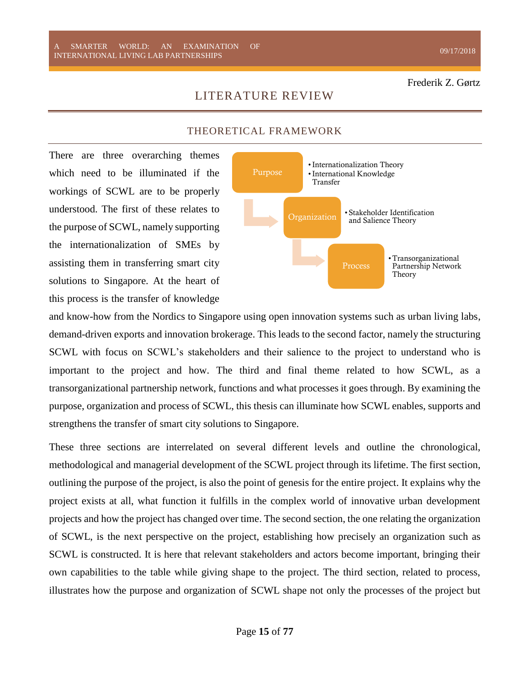THEORETICAL FRAMEWORK

LITERATURE REVIEW

<span id="page-15-1"></span><span id="page-15-0"></span>There are three overarching themes which need to be illuminated if the workings of SCWL are to be properly understood. The first of these relates to the purpose of SCWL, namely supporting the internationalization of SMEs by assisting them in transferring smart city solutions to Singapore. At the heart of this process is the transfer of knowledge

Purpose •Internationalization Theory •International Knowledge Transfer Organization • Stakeholder Identification and Salience Theory Process •Transorganizational Partnership Network Theory

and know-how from the Nordics to Singapore using open innovation systems such as urban living labs, demand-driven exports and innovation brokerage. This leads to the second factor, namely the structuring SCWL with focus on SCWL's stakeholders and their salience to the project to understand who is important to the project and how. The third and final theme related to how SCWL, as a transorganizational partnership network, functions and what processes it goes through. By examining the purpose, organization and process of SCWL, this thesis can illuminate how SCWL enables, supports and strengthens the transfer of smart city solutions to Singapore.

These three sections are interrelated on several different levels and outline the chronological, methodological and managerial development of the SCWL project through its lifetime. The first section, outlining the purpose of the project, is also the point of genesis for the entire project. It explains why the project exists at all, what function it fulfills in the complex world of innovative urban development projects and how the project has changed over time. The second section, the one relating the organization of SCWL, is the next perspective on the project, establishing how precisely an organization such as SCWL is constructed. It is here that relevant stakeholders and actors become important, bringing their own capabilities to the table while giving shape to the project. The third section, related to process, illustrates how the purpose and organization of SCWL shape not only the processes of the project but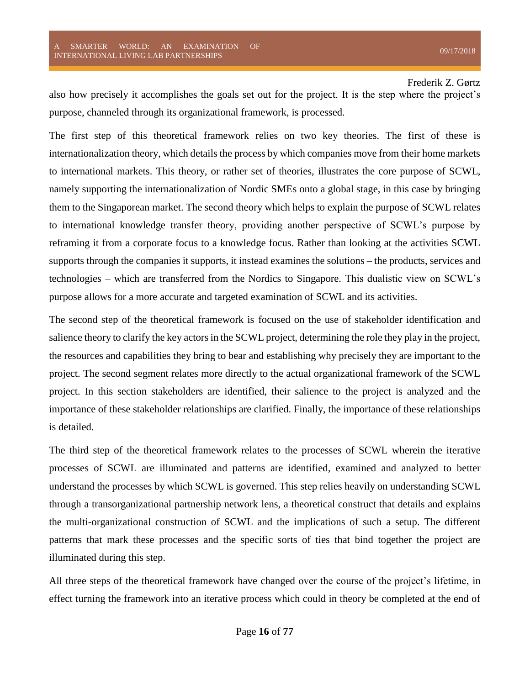also how precisely it accomplishes the goals set out for the project. It is the step where the project's purpose, channeled through its organizational framework, is processed.

The first step of this theoretical framework relies on two key theories. The first of these is internationalization theory, which details the process by which companies move from their home markets to international markets. This theory, or rather set of theories, illustrates the core purpose of SCWL, namely supporting the internationalization of Nordic SMEs onto a global stage, in this case by bringing them to the Singaporean market. The second theory which helps to explain the purpose of SCWL relates to international knowledge transfer theory, providing another perspective of SCWL's purpose by reframing it from a corporate focus to a knowledge focus. Rather than looking at the activities SCWL supports through the companies it supports, it instead examines the solutions – the products, services and technologies – which are transferred from the Nordics to Singapore. This dualistic view on SCWL's purpose allows for a more accurate and targeted examination of SCWL and its activities.

The second step of the theoretical framework is focused on the use of stakeholder identification and salience theory to clarify the key actors in the SCWL project, determining the role they play in the project, the resources and capabilities they bring to bear and establishing why precisely they are important to the project. The second segment relates more directly to the actual organizational framework of the SCWL project. In this section stakeholders are identified, their salience to the project is analyzed and the importance of these stakeholder relationships are clarified. Finally, the importance of these relationships is detailed.

The third step of the theoretical framework relates to the processes of SCWL wherein the iterative processes of SCWL are illuminated and patterns are identified, examined and analyzed to better understand the processes by which SCWL is governed. This step relies heavily on understanding SCWL through a transorganizational partnership network lens, a theoretical construct that details and explains the multi-organizational construction of SCWL and the implications of such a setup. The different patterns that mark these processes and the specific sorts of ties that bind together the project are illuminated during this step.

All three steps of the theoretical framework have changed over the course of the project's lifetime, in effect turning the framework into an iterative process which could in theory be completed at the end of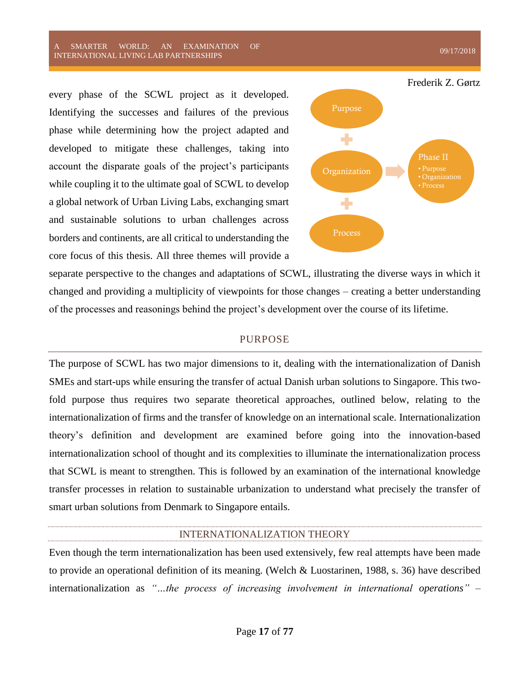SMARTER WORLD: AN EXAMINATION OF A SMAKTEK WOKED. AN EXAMINATION OF  $09/17/2018$ <br>INTERNATIONAL LIVING LAB PARTNERSHIPS

every phase of the SCWL project as it developed. Identifying the successes and failures of the previous phase while determining how the project adapted and developed to mitigate these challenges, taking into account the disparate goals of the project's participants while coupling it to the ultimate goal of SCWL to develop a global network of Urban Living Labs, exchanging smart and sustainable solutions to urban challenges across borders and continents, are all critical to understanding the core focus of this thesis. All three themes will provide a



separate perspective to the changes and adaptations of SCWL, illustrating the diverse ways in which it changed and providing a multiplicity of viewpoints for those changes – creating a better understanding of the processes and reasonings behind the project's development over the course of its lifetime.

#### PURPOSE

<span id="page-17-0"></span>The purpose of SCWL has two major dimensions to it, dealing with the internationalization of Danish SMEs and start-ups while ensuring the transfer of actual Danish urban solutions to Singapore. This twofold purpose thus requires two separate theoretical approaches, outlined below, relating to the internationalization of firms and the transfer of knowledge on an international scale. Internationalization theory's definition and development are examined before going into the innovation-based internationalization school of thought and its complexities to illuminate the internationalization process that SCWL is meant to strengthen. This is followed by an examination of the international knowledge transfer processes in relation to sustainable urbanization to understand what precisely the transfer of smart urban solutions from Denmark to Singapore entails.

#### INTERNATIONALIZATION THEORY

<span id="page-17-1"></span>Even though the term internationalization has been used extensively, few real attempts have been made to provide an operational definition of its meaning. (Welch & Luostarinen, 1988, s. 36) have described internationalization as *"…the process of increasing involvement in international operations"* –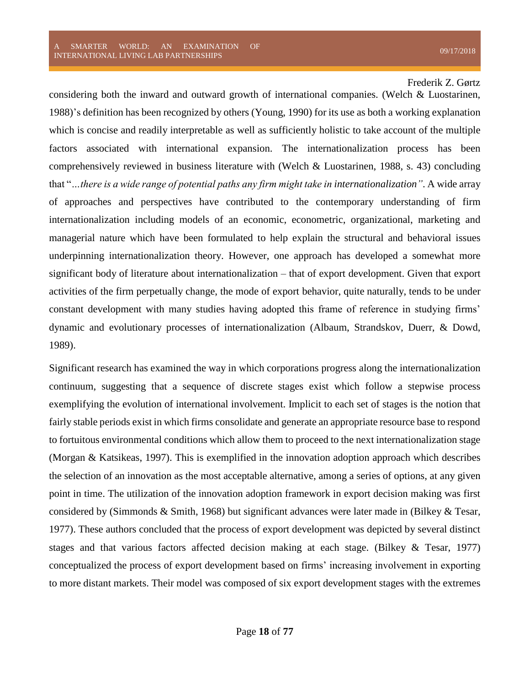considering both the inward and outward growth of international companies. (Welch & Luostarinen, 1988)'s definition has been recognized by others (Young, 1990) for its use as both a working explanation which is concise and readily interpretable as well as sufficiently holistic to take account of the multiple factors associated with international expansion. The internationalization process has been comprehensively reviewed in business literature with (Welch & Luostarinen, 1988, s. 43) concluding that "*…there is a wide range of potential paths any firm might take in internationalization"*. A wide array of approaches and perspectives have contributed to the contemporary understanding of firm internationalization including models of an economic, econometric, organizational, marketing and managerial nature which have been formulated to help explain the structural and behavioral issues underpinning internationalization theory. However, one approach has developed a somewhat more significant body of literature about internationalization – that of export development. Given that export activities of the firm perpetually change, the mode of export behavior, quite naturally, tends to be under constant development with many studies having adopted this frame of reference in studying firms' dynamic and evolutionary processes of internationalization (Albaum, Strandskov, Duerr, & Dowd, 1989).

Significant research has examined the way in which corporations progress along the internationalization continuum, suggesting that a sequence of discrete stages exist which follow a stepwise process exemplifying the evolution of international involvement. Implicit to each set of stages is the notion that fairly stable periods exist in which firms consolidate and generate an appropriate resource base to respond to fortuitous environmental conditions which allow them to proceed to the next internationalization stage (Morgan & Katsikeas, 1997). This is exemplified in the innovation adoption approach which describes the selection of an innovation as the most acceptable alternative, among a series of options, at any given point in time. The utilization of the innovation adoption framework in export decision making was first considered by (Simmonds & Smith, 1968) but significant advances were later made in (Bilkey & Tesar, 1977). These authors concluded that the process of export development was depicted by several distinct stages and that various factors affected decision making at each stage. (Bilkey & Tesar, 1977) conceptualized the process of export development based on firms' increasing involvement in exporting to more distant markets. Their model was composed of six export development stages with the extremes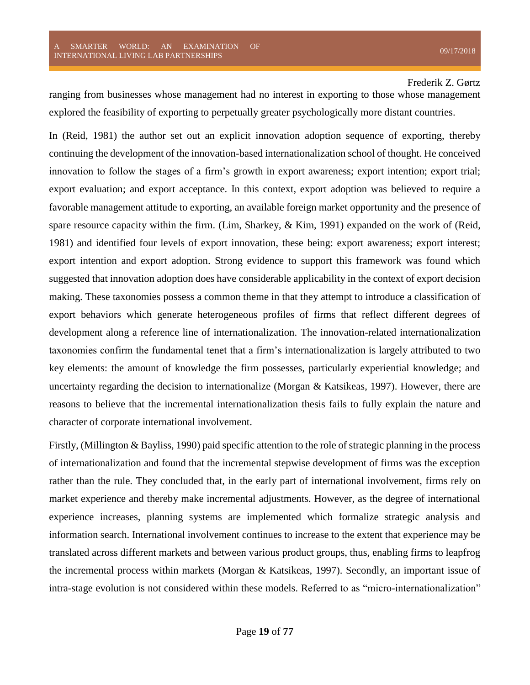ranging from businesses whose management had no interest in exporting to those whose management explored the feasibility of exporting to perpetually greater psychologically more distant countries.

In (Reid, 1981) the author set out an explicit innovation adoption sequence of exporting, thereby continuing the development of the innovation-based internationalization school of thought. He conceived innovation to follow the stages of a firm's growth in export awareness; export intention; export trial; export evaluation; and export acceptance. In this context, export adoption was believed to require a favorable management attitude to exporting, an available foreign market opportunity and the presence of spare resource capacity within the firm. (Lim, Sharkey, & Kim, 1991) expanded on the work of (Reid, 1981) and identified four levels of export innovation, these being: export awareness; export interest; export intention and export adoption. Strong evidence to support this framework was found which suggested that innovation adoption does have considerable applicability in the context of export decision making. These taxonomies possess a common theme in that they attempt to introduce a classification of export behaviors which generate heterogeneous profiles of firms that reflect different degrees of development along a reference line of internationalization. The innovation-related internationalization taxonomies confirm the fundamental tenet that a firm's internationalization is largely attributed to two key elements: the amount of knowledge the firm possesses, particularly experiential knowledge; and uncertainty regarding the decision to internationalize (Morgan  $\&$  Katsikeas, 1997). However, there are reasons to believe that the incremental internationalization thesis fails to fully explain the nature and character of corporate international involvement.

Firstly, (Millington & Bayliss, 1990) paid specific attention to the role of strategic planning in the process of internationalization and found that the incremental stepwise development of firms was the exception rather than the rule. They concluded that, in the early part of international involvement, firms rely on market experience and thereby make incremental adjustments. However, as the degree of international experience increases, planning systems are implemented which formalize strategic analysis and information search. International involvement continues to increase to the extent that experience may be translated across different markets and between various product groups, thus, enabling firms to leapfrog the incremental process within markets (Morgan & Katsikeas, 1997). Secondly, an important issue of intra-stage evolution is not considered within these models. Referred to as "micro-internationalization"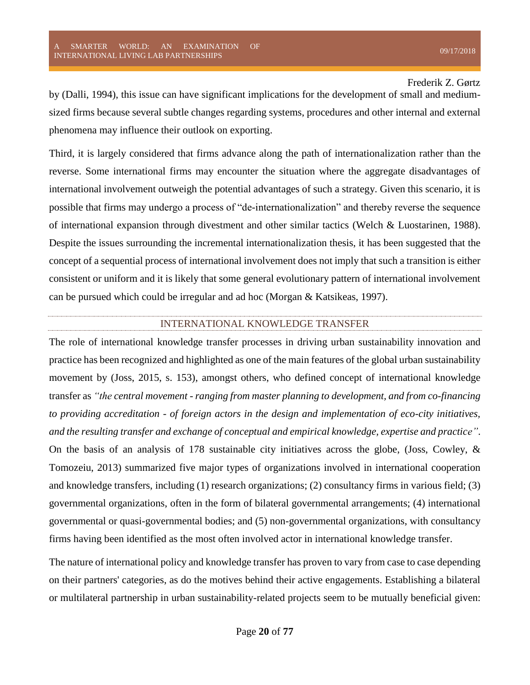by (Dalli, 1994), this issue can have significant implications for the development of small and mediumsized firms because several subtle changes regarding systems, procedures and other internal and external phenomena may influence their outlook on exporting.

Third, it is largely considered that firms advance along the path of internationalization rather than the reverse. Some international firms may encounter the situation where the aggregate disadvantages of international involvement outweigh the potential advantages of such a strategy. Given this scenario, it is possible that firms may undergo a process of "de-internationalization" and thereby reverse the sequence of international expansion through divestment and other similar tactics (Welch & Luostarinen, 1988). Despite the issues surrounding the incremental internationalization thesis, it has been suggested that the concept of a sequential process of international involvement does not imply that such a transition is either consistent or uniform and it is likely that some general evolutionary pattern of international involvement can be pursued which could be irregular and ad hoc (Morgan & Katsikeas, 1997).

#### INTERNATIONAL KNOWLEDGE TRANSFER

<span id="page-20-0"></span>The role of international knowledge transfer processes in driving urban sustainability innovation and practice has been recognized and highlighted as one of the main features of the global urban sustainability movement by (Joss, 2015, s. 153), amongst others, who defined concept of international knowledge transfer as *"the central movement - ranging from master planning to development, and from co-financing to providing accreditation - of foreign actors in the design and implementation of eco-city initiatives, and the resulting transfer and exchange of conceptual and empirical knowledge, expertise and practice"*. On the basis of an analysis of 178 sustainable city initiatives across the globe, (Joss, Cowley,  $\&$ Tomozeiu, 2013) summarized five major types of organizations involved in international cooperation and knowledge transfers, including (1) research organizations; (2) consultancy firms in various field; (3) governmental organizations, often in the form of bilateral governmental arrangements; (4) international governmental or quasi-governmental bodies; and (5) non-governmental organizations, with consultancy firms having been identified as the most often involved actor in international knowledge transfer.

The nature of international policy and knowledge transfer has proven to vary from case to case depending on their partners' categories, as do the motives behind their active engagements. Establishing a bilateral or multilateral partnership in urban sustainability-related projects seem to be mutually beneficial given: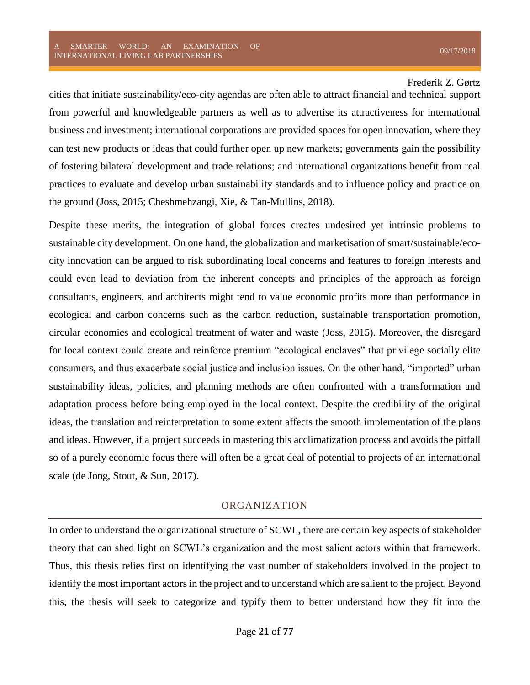cities that initiate sustainability/eco-city agendas are often able to attract financial and technical support from powerful and knowledgeable partners as well as to advertise its attractiveness for international business and investment; international corporations are provided spaces for open innovation, where they can test new products or ideas that could further open up new markets; governments gain the possibility of fostering bilateral development and trade relations; and international organizations benefit from real practices to evaluate and develop urban sustainability standards and to influence policy and practice on the ground (Joss, 2015; Cheshmehzangi, Xie, & Tan-Mullins, 2018).

Despite these merits, the integration of global forces creates undesired yet intrinsic problems to sustainable city development. On one hand, the globalization and marketisation of smart/sustainable/ecocity innovation can be argued to risk subordinating local concerns and features to foreign interests and could even lead to deviation from the inherent concepts and principles of the approach as foreign consultants, engineers, and architects might tend to value economic profits more than performance in ecological and carbon concerns such as the carbon reduction, sustainable transportation promotion, circular economies and ecological treatment of water and waste (Joss, 2015). Moreover, the disregard for local context could create and reinforce premium "ecological enclaves" that privilege socially elite consumers, and thus exacerbate social justice and inclusion issues. On the other hand, "imported" urban sustainability ideas, policies, and planning methods are often confronted with a transformation and adaptation process before being employed in the local context. Despite the credibility of the original ideas, the translation and reinterpretation to some extent affects the smooth implementation of the plans and ideas. However, if a project succeeds in mastering this acclimatization process and avoids the pitfall so of a purely economic focus there will often be a great deal of potential to projects of an international scale (de Jong, Stout, & Sun, 2017).

#### ORGANIZATION

<span id="page-21-0"></span>In order to understand the organizational structure of SCWL, there are certain key aspects of stakeholder theory that can shed light on SCWL's organization and the most salient actors within that framework. Thus, this thesis relies first on identifying the vast number of stakeholders involved in the project to identify the most important actors in the project and to understand which are salient to the project. Beyond this, the thesis will seek to categorize and typify them to better understand how they fit into the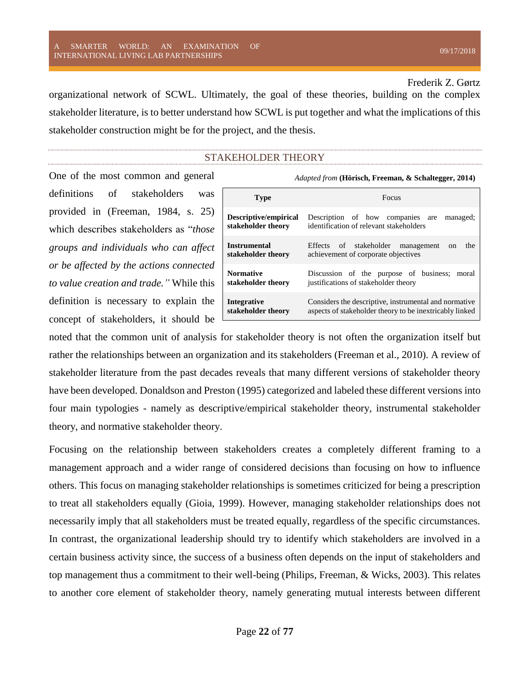organizational network of SCWL. Ultimately, the goal of these theories, building on the complex stakeholder literature, is to better understand how SCWL is put together and what the implications of this stakeholder construction might be for the project, and the thesis.

#### STAKEHOLDER THEORY

<span id="page-22-0"></span>One of the most common and general definitions of stakeholders provided in (Freeman, 1984, s. 25) which describes stakeholders as "*those groups and individuals who can affect or be affected by the actions connected to value creation and trade."* While this definition is necessary to explain the concept of stakeholders, it should be

| <i>Adapted from</i> (Hörisch, Freeman, & Schaltegger, 2014) |                                                                                                                  |
|-------------------------------------------------------------|------------------------------------------------------------------------------------------------------------------|
| <b>Type</b>                                                 | Focus                                                                                                            |
| Descriptive/empirical<br>stakeholder theory                 | Description of how companies are managed;<br>identification of relevant stakeholders                             |
| <b>Instrumental</b><br>stakeholder theory                   | Effects of stakeholder management<br>the<br><sub>on</sub><br>achievement of corporate objectives                 |
| <b>Normative</b><br>stakeholder theory                      | Discussion of the purpose of business;<br>moral<br>justifications of stakeholder theory                          |
| Integrative<br>stakeholder theory                           | Considers the descriptive, instrumental and normative<br>aspects of stakeholder theory to be inextricably linked |

noted that the common unit of analysis for stakeholder theory is not often the organization itself but rather the relationships between an organization and its stakeholders (Freeman et al., 2010). A review of stakeholder literature from the past decades reveals that many different versions of stakeholder theory have been developed. Donaldson and Preston (1995) categorized and labeled these different versions into four main typologies - namely as descriptive/empirical stakeholder theory, instrumental stakeholder theory, and normative stakeholder theory.

Focusing on the relationship between stakeholders creates a completely different framing to a management approach and a wider range of considered decisions than focusing on how to influence others. This focus on managing stakeholder relationships is sometimes criticized for being a prescription to treat all stakeholders equally (Gioia, 1999). However, managing stakeholder relationships does not necessarily imply that all stakeholders must be treated equally, regardless of the specific circumstances. In contrast, the organizational leadership should try to identify which stakeholders are involved in a certain business activity since, the success of a business often depends on the input of stakeholders and top management thus a commitment to their well-being (Philips, Freeman, & Wicks, 2003). This relates to another core element of stakeholder theory, namely generating mutual interests between different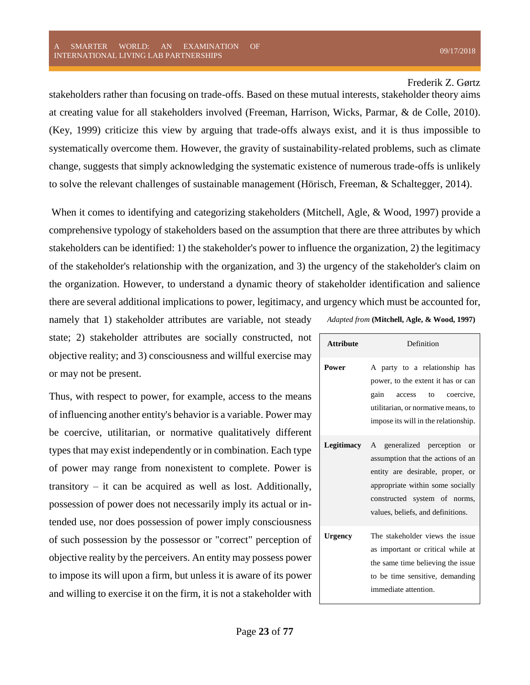stakeholders rather than focusing on trade-offs. Based on these mutual interests, stakeholder theory aims at creating value for all stakeholders involved (Freeman, Harrison, Wicks, Parmar, & de Colle, 2010). (Key, 1999) criticize this view by arguing that trade-offs always exist, and it is thus impossible to systematically overcome them. However, the gravity of sustainability-related problems, such as climate change, suggests that simply acknowledging the systematic existence of numerous trade-offs is unlikely to solve the relevant challenges of sustainable management (Hörisch, Freeman, & Schaltegger, 2014).

When it comes to identifying and categorizing stakeholders (Mitchell, Agle, & Wood, 1997) provide a comprehensive typology of stakeholders based on the assumption that there are three attributes by which stakeholders can be identified: 1) the stakeholder's power to influence the organization, 2) the legitimacy of the stakeholder's relationship with the organization, and 3) the urgency of the stakeholder's claim on the organization. However, to understand a dynamic theory of stakeholder identification and salience there are several additional implications to power, legitimacy, and urgency which must be accounted for,

namely that 1) stakeholder attributes are variable, not steady state; 2) stakeholder attributes are socially constructed, not objective reality; and 3) consciousness and willful exercise may or may not be present.

Thus, with respect to power, for example, access to the means of influencing another entity's behavior is a variable. Power may be coercive, utilitarian, or normative qualitatively different types that may exist independently or in combination. Each type of power may range from nonexistent to complete. Power is transitory – it can be acquired as well as lost. Additionally, possession of power does not necessarily imply its actual or intended use, nor does possession of power imply consciousness of such possession by the possessor or "correct" perception of objective reality by the perceivers. An entity may possess power to impose its will upon a firm, but unless it is aware of its power and willing to exercise it on the firm, it is not a stakeholder with

*Adapted from* **(Mitchell, Agle, & Wood, 1997)**

| <b>Attribute</b> | Definition                                                                                                                                                                                                             |
|------------------|------------------------------------------------------------------------------------------------------------------------------------------------------------------------------------------------------------------------|
| <b>Power</b>     | A party to a relationship has<br>power, to the extent it has or can<br>gain<br>to coercive,<br>access<br>utilitarian, or normative means, to<br>impose its will in the relationship.                                   |
| Legitimacy       | A generalized perception<br>$\alpha$<br>assumption that the actions of an<br>entity are desirable, proper, or<br>appropriate within some socially<br>constructed system of norms,<br>values, beliefs, and definitions. |
| <b>Urgency</b>   | The stakeholder views the issue<br>as important or critical while at<br>the same time believing the issue<br>to be time sensitive, demanding<br>immediate attention.                                                   |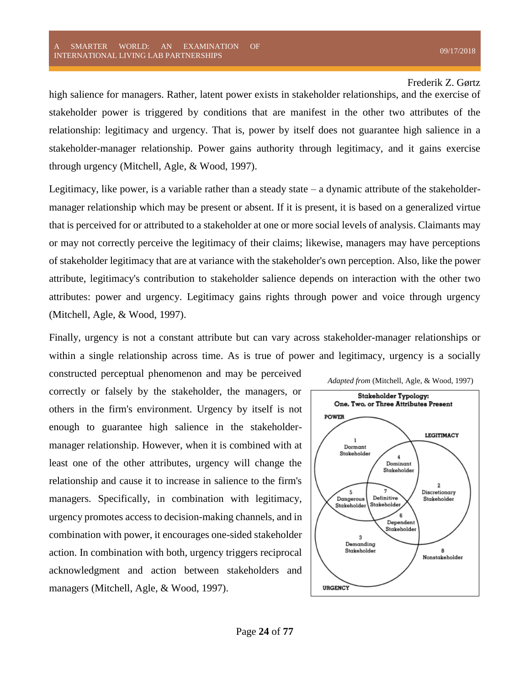high salience for managers. Rather, latent power exists in stakeholder relationships, and the exercise of stakeholder power is triggered by conditions that are manifest in the other two attributes of the relationship: legitimacy and urgency. That is, power by itself does not guarantee high salience in a stakeholder-manager relationship. Power gains authority through legitimacy, and it gains exercise through urgency (Mitchell, Agle, & Wood, 1997).

Legitimacy, like power, is a variable rather than a steady state  $-$  a dynamic attribute of the stakeholdermanager relationship which may be present or absent. If it is present, it is based on a generalized virtue that is perceived for or attributed to a stakeholder at one or more social levels of analysis. Claimants may or may not correctly perceive the legitimacy of their claims; likewise, managers may have perceptions of stakeholder legitimacy that are at variance with the stakeholder's own perception. Also, like the power attribute, legitimacy's contribution to stakeholder salience depends on interaction with the other two attributes: power and urgency. Legitimacy gains rights through power and voice through urgency (Mitchell, Agle, & Wood, 1997).

Finally, urgency is not a constant attribute but can vary across stakeholder-manager relationships or within a single relationship across time. As is true of power and legitimacy, urgency is a socially

constructed perceptual phenomenon and may be perceived correctly or falsely by the stakeholder, the managers, or others in the firm's environment. Urgency by itself is not enough to guarantee high salience in the stakeholdermanager relationship. However, when it is combined with at least one of the other attributes, urgency will change the relationship and cause it to increase in salience to the firm's managers. Specifically, in combination with legitimacy, urgency promotes access to decision-making channels, and in combination with power, it encourages one-sided stakeholder action. In combination with both, urgency triggers reciprocal acknowledgment and action between stakeholders and managers (Mitchell, Agle, & Wood, 1997).

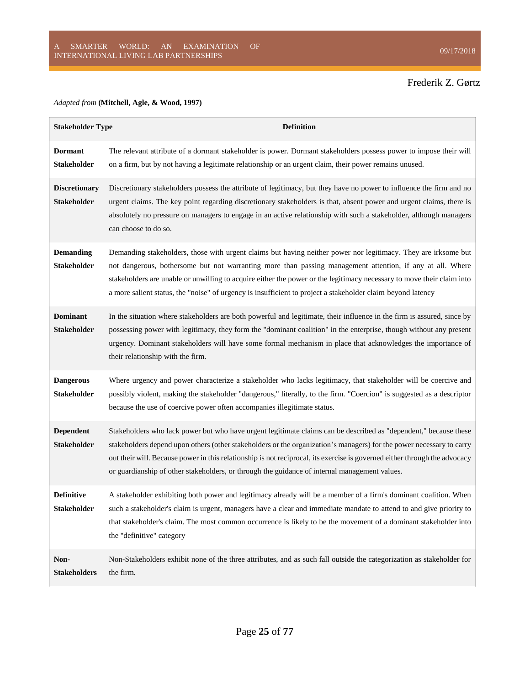#### *Adapted from* **(Mitchell, Agle, & Wood, 1997)**

| <b>Stakeholder Type</b>                    | <b>Definition</b>                                                                                                                                                                                                                                                                                                                                                                                                                                                       |
|--------------------------------------------|-------------------------------------------------------------------------------------------------------------------------------------------------------------------------------------------------------------------------------------------------------------------------------------------------------------------------------------------------------------------------------------------------------------------------------------------------------------------------|
| <b>Dormant</b><br><b>Stakeholder</b>       | The relevant attribute of a dormant stakeholder is power. Dormant stakeholders possess power to impose their will<br>on a firm, but by not having a legitimate relationship or an urgent claim, their power remains unused.                                                                                                                                                                                                                                             |
| <b>Discretionary</b><br><b>Stakeholder</b> | Discretionary stakeholders possess the attribute of legitimacy, but they have no power to influence the firm and no<br>urgent claims. The key point regarding discretionary stakeholders is that, absent power and urgent claims, there is<br>absolutely no pressure on managers to engage in an active relationship with such a stakeholder, although managers<br>can choose to do so.                                                                                 |
| <b>Demanding</b><br><b>Stakeholder</b>     | Demanding stakeholders, those with urgent claims but having neither power nor legitimacy. They are irksome but<br>not dangerous, bothersome but not warranting more than passing management attention, if any at all. Where<br>stakeholders are unable or unwilling to acquire either the power or the legitimacy necessary to move their claim into<br>a more salient status, the "noise" of urgency is insufficient to project a stakeholder claim beyond latency     |
| <b>Dominant</b><br><b>Stakeholder</b>      | In the situation where stakeholders are both powerful and legitimate, their influence in the firm is assured, since by<br>possessing power with legitimacy, they form the "dominant coalition" in the enterprise, though without any present<br>urgency. Dominant stakeholders will have some formal mechanism in place that acknowledges the importance of<br>their relationship with the firm.                                                                        |
| <b>Dangerous</b><br><b>Stakeholder</b>     | Where urgency and power characterize a stakeholder who lacks legitimacy, that stakeholder will be coercive and<br>possibly violent, making the stakeholder "dangerous," literally, to the firm. "Coercion" is suggested as a descriptor<br>because the use of coercive power often accompanies illegitimate status.                                                                                                                                                     |
| <b>Dependent</b><br><b>Stakeholder</b>     | Stakeholders who lack power but who have urgent legitimate claims can be described as "dependent," because these<br>stakeholders depend upon others (other stakeholders or the organization's managers) for the power necessary to carry<br>out their will. Because power in this relationship is not reciprocal, its exercise is governed either through the advocacy<br>or guardianship of other stakeholders, or through the guidance of internal management values. |
| <b>Definitive</b><br>Stakeholder           | A stakeholder exhibiting both power and legitimacy already will be a member of a firm's dominant coalition. When<br>such a stakeholder's claim is urgent, managers have a clear and immediate mandate to attend to and give priority to<br>that stakeholder's claim. The most common occurrence is likely to be the movement of a dominant stakeholder into<br>the "definitive" category                                                                                |
| Non-<br><b>Stakeholders</b>                | Non-Stakeholders exhibit none of the three attributes, and as such fall outside the categorization as stakeholder for<br>the firm.                                                                                                                                                                                                                                                                                                                                      |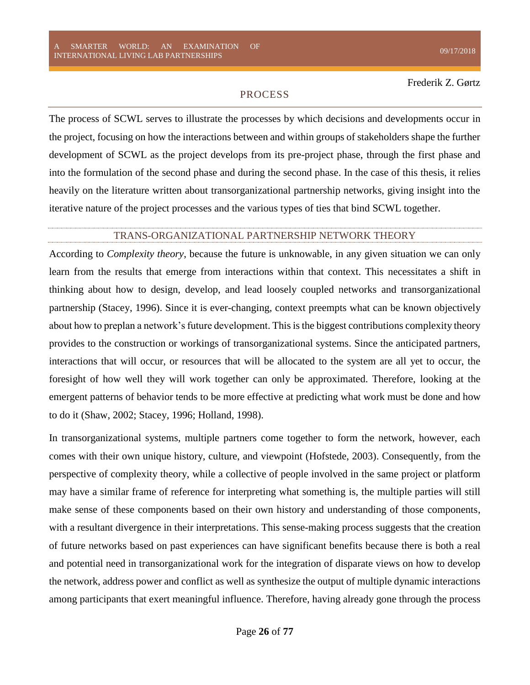#### PROCESS

<span id="page-26-0"></span>The process of SCWL serves to illustrate the processes by which decisions and developments occur in the project, focusing on how the interactions between and within groups of stakeholders shape the further development of SCWL as the project develops from its pre-project phase, through the first phase and into the formulation of the second phase and during the second phase. In the case of this thesis, it relies heavily on the literature written about transorganizational partnership networks, giving insight into the iterative nature of the project processes and the various types of ties that bind SCWL together.

#### TRANS-ORGANIZATIONAL PARTNERSHIP NETWORK THEORY

<span id="page-26-1"></span>According to *Complexity theory*, because the future is unknowable, in any given situation we can only learn from the results that emerge from interactions within that context. This necessitates a shift in thinking about how to design, develop, and lead loosely coupled networks and transorganizational partnership (Stacey, 1996). Since it is ever-changing, context preempts what can be known objectively about how to preplan a network's future development. This is the biggest contributions complexity theory provides to the construction or workings of transorganizational systems. Since the anticipated partners, interactions that will occur, or resources that will be allocated to the system are all yet to occur, the foresight of how well they will work together can only be approximated. Therefore, looking at the emergent patterns of behavior tends to be more effective at predicting what work must be done and how to do it (Shaw, 2002; Stacey, 1996; Holland, 1998).

In transorganizational systems, multiple partners come together to form the network, however, each comes with their own unique history, culture, and viewpoint (Hofstede, 2003). Consequently, from the perspective of complexity theory, while a collective of people involved in the same project or platform may have a similar frame of reference for interpreting what something is, the multiple parties will still make sense of these components based on their own history and understanding of those components, with a resultant divergence in their interpretations. This sense-making process suggests that the creation of future networks based on past experiences can have significant benefits because there is both a real and potential need in transorganizational work for the integration of disparate views on how to develop the network, address power and conflict as well as synthesize the output of multiple dynamic interactions among participants that exert meaningful influence. Therefore, having already gone through the process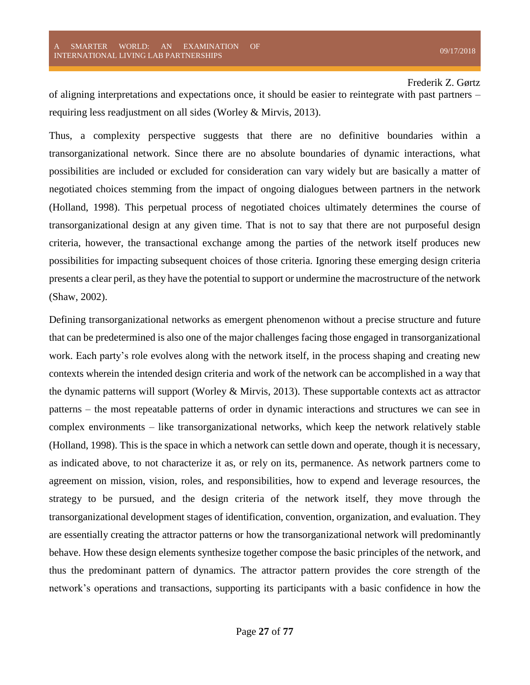of aligning interpretations and expectations once, it should be easier to reintegrate with past partners – requiring less readjustment on all sides (Worley & Mirvis, 2013).

Thus, a complexity perspective suggests that there are no definitive boundaries within a transorganizational network. Since there are no absolute boundaries of dynamic interactions, what possibilities are included or excluded for consideration can vary widely but are basically a matter of negotiated choices stemming from the impact of ongoing dialogues between partners in the network (Holland, 1998). This perpetual process of negotiated choices ultimately determines the course of transorganizational design at any given time. That is not to say that there are not purposeful design criteria, however, the transactional exchange among the parties of the network itself produces new possibilities for impacting subsequent choices of those criteria. Ignoring these emerging design criteria presents a clear peril, as they have the potential to support or undermine the macrostructure of the network (Shaw, 2002).

Defining transorganizational networks as emergent phenomenon without a precise structure and future that can be predetermined is also one of the major challenges facing those engaged in transorganizational work. Each party's role evolves along with the network itself, in the process shaping and creating new contexts wherein the intended design criteria and work of the network can be accomplished in a way that the dynamic patterns will support (Worley & Mirvis, 2013). These supportable contexts act as attractor patterns – the most repeatable patterns of order in dynamic interactions and structures we can see in complex environments – like transorganizational networks, which keep the network relatively stable (Holland, 1998). This is the space in which a network can settle down and operate, though it is necessary, as indicated above, to not characterize it as, or rely on its, permanence. As network partners come to agreement on mission, vision, roles, and responsibilities, how to expend and leverage resources, the strategy to be pursued, and the design criteria of the network itself, they move through the transorganizational development stages of identification, convention, organization, and evaluation. They are essentially creating the attractor patterns or how the transorganizational network will predominantly behave. How these design elements synthesize together compose the basic principles of the network, and thus the predominant pattern of dynamics. The attractor pattern provides the core strength of the network's operations and transactions, supporting its participants with a basic confidence in how the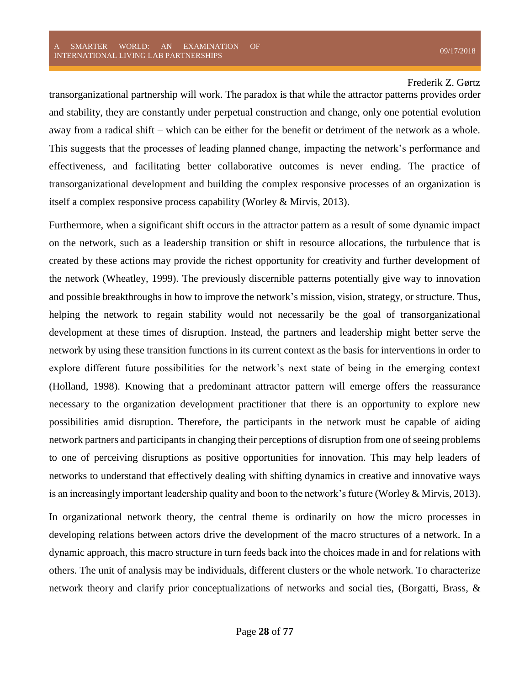transorganizational partnership will work. The paradox is that while the attractor patterns provides order and stability, they are constantly under perpetual construction and change, only one potential evolution away from a radical shift – which can be either for the benefit or detriment of the network as a whole. This suggests that the processes of leading planned change, impacting the network's performance and effectiveness, and facilitating better collaborative outcomes is never ending. The practice of transorganizational development and building the complex responsive processes of an organization is itself a complex responsive process capability (Worley & Mirvis, 2013).

Furthermore, when a significant shift occurs in the attractor pattern as a result of some dynamic impact on the network, such as a leadership transition or shift in resource allocations, the turbulence that is created by these actions may provide the richest opportunity for creativity and further development of the network (Wheatley, 1999). The previously discernible patterns potentially give way to innovation and possible breakthroughs in how to improve the network's mission, vision, strategy, or structure. Thus, helping the network to regain stability would not necessarily be the goal of transorganizational development at these times of disruption. Instead, the partners and leadership might better serve the network by using these transition functions in its current context as the basis for interventions in order to explore different future possibilities for the network's next state of being in the emerging context (Holland, 1998). Knowing that a predominant attractor pattern will emerge offers the reassurance necessary to the organization development practitioner that there is an opportunity to explore new possibilities amid disruption. Therefore, the participants in the network must be capable of aiding network partners and participants in changing their perceptions of disruption from one of seeing problems to one of perceiving disruptions as positive opportunities for innovation. This may help leaders of networks to understand that effectively dealing with shifting dynamics in creative and innovative ways is an increasingly important leadership quality and boon to the network's future (Worley & Mirvis, 2013).

In organizational network theory, the central theme is ordinarily on how the micro processes in developing relations between actors drive the development of the macro structures of a network. In a dynamic approach, this macro structure in turn feeds back into the choices made in and for relations with others. The unit of analysis may be individuals, different clusters or the whole network. To characterize network theory and clarify prior conceptualizations of networks and social ties, (Borgatti, Brass, &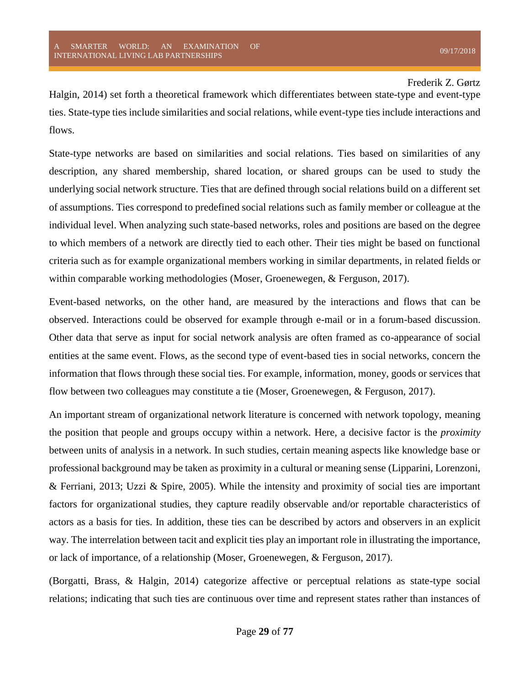Halgin, 2014) set forth a theoretical framework which differentiates between state-type and event-type ties. State-type ties include similarities and social relations, while event-type ties include interactions and flows.

State-type networks are based on similarities and social relations. Ties based on similarities of any description, any shared membership, shared location, or shared groups can be used to study the underlying social network structure. Ties that are defined through social relations build on a different set of assumptions. Ties correspond to predefined social relations such as family member or colleague at the individual level. When analyzing such state-based networks, roles and positions are based on the degree to which members of a network are directly tied to each other. Their ties might be based on functional criteria such as for example organizational members working in similar departments, in related fields or within comparable working methodologies (Moser, Groenewegen, & Ferguson, 2017).

Event-based networks, on the other hand, are measured by the interactions and flows that can be observed. Interactions could be observed for example through e-mail or in a forum-based discussion. Other data that serve as input for social network analysis are often framed as co-appearance of social entities at the same event. Flows, as the second type of event-based ties in social networks, concern the information that flows through these social ties. For example, information, money, goods or services that flow between two colleagues may constitute a tie (Moser, Groenewegen, & Ferguson, 2017).

An important stream of organizational network literature is concerned with network topology, meaning the position that people and groups occupy within a network. Here, a decisive factor is the *proximity* between units of analysis in a network. In such studies, certain meaning aspects like knowledge base or professional background may be taken as proximity in a cultural or meaning sense (Lipparini, Lorenzoni, & Ferriani, 2013; Uzzi & Spire, 2005). While the intensity and proximity of social ties are important factors for organizational studies, they capture readily observable and/or reportable characteristics of actors as a basis for ties. In addition, these ties can be described by actors and observers in an explicit way. The interrelation between tacit and explicit ties play an important role in illustrating the importance, or lack of importance, of a relationship (Moser, Groenewegen, & Ferguson, 2017).

(Borgatti, Brass, & Halgin, 2014) categorize affective or perceptual relations as state-type social relations; indicating that such ties are continuous over time and represent states rather than instances of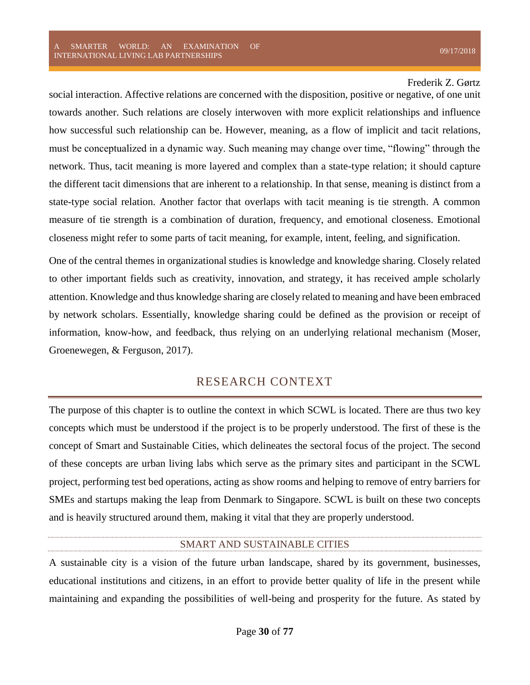social interaction. Affective relations are concerned with the disposition, positive or negative, of one unit towards another. Such relations are closely interwoven with more explicit relationships and influence how successful such relationship can be. However, meaning, as a flow of implicit and tacit relations, must be conceptualized in a dynamic way. Such meaning may change over time, "flowing" through the network. Thus, tacit meaning is more layered and complex than a state-type relation; it should capture the different tacit dimensions that are inherent to a relationship. In that sense, meaning is distinct from a state-type social relation. Another factor that overlaps with tacit meaning is tie strength. A common measure of tie strength is a combination of duration, frequency, and emotional closeness. Emotional closeness might refer to some parts of tacit meaning, for example, intent, feeling, and signification.

One of the central themes in organizational studies is knowledge and knowledge sharing. Closely related to other important fields such as creativity, innovation, and strategy, it has received ample scholarly attention. Knowledge and thus knowledge sharing are closely related to meaning and have been embraced by network scholars. Essentially, knowledge sharing could be defined as the provision or receipt of information, know-how, and feedback, thus relying on an underlying relational mechanism (Moser, Groenewegen, & Ferguson, 2017).

## RESEARCH CONTEXT

<span id="page-30-0"></span>The purpose of this chapter is to outline the context in which SCWL is located. There are thus two key concepts which must be understood if the project is to be properly understood. The first of these is the concept of Smart and Sustainable Cities, which delineates the sectoral focus of the project. The second of these concepts are urban living labs which serve as the primary sites and participant in the SCWL project, performing test bed operations, acting as show rooms and helping to remove of entry barriers for SMEs and startups making the leap from Denmark to Singapore. SCWL is built on these two concepts and is heavily structured around them, making it vital that they are properly understood.

#### SMART AND SUSTAINABLE CITIES

<span id="page-30-1"></span>A sustainable city is a vision of the future urban landscape, shared by its government, businesses, educational institutions and citizens, in an effort to provide better quality of life in the present while maintaining and expanding the possibilities of well-being and prosperity for the future. As stated by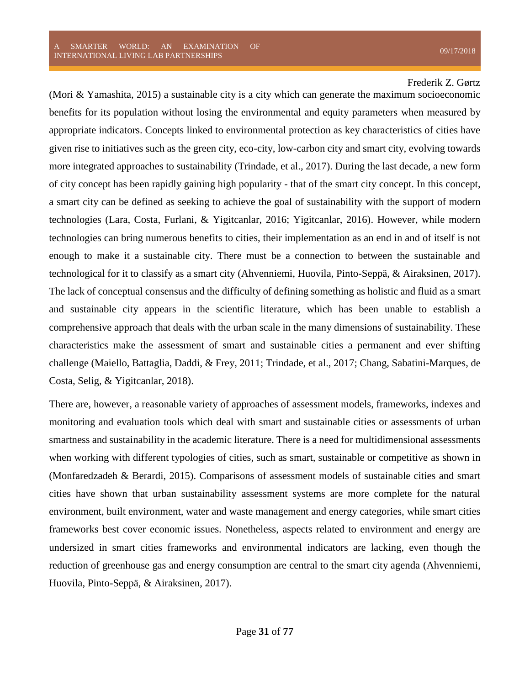(Mori & Yamashita, 2015) a sustainable city is a city which can generate the maximum socioeconomic benefits for its population without losing the environmental and equity parameters when measured by appropriate indicators. Concepts linked to environmental protection as key characteristics of cities have given rise to initiatives such as the green city, eco-city, low-carbon city and smart city, evolving towards more integrated approaches to sustainability (Trindade, et al., 2017). During the last decade, a new form of city concept has been rapidly gaining high popularity - that of the smart city concept. In this concept, a smart city can be defined as seeking to achieve the goal of sustainability with the support of modern technologies (Lara, Costa, Furlani, & Yigitcanlar, 2016; Yigitcanlar, 2016). However, while modern technologies can bring numerous benefits to cities, their implementation as an end in and of itself is not enough to make it a sustainable city. There must be a connection to between the sustainable and technological for it to classify as a smart city (Ahvenniemi, Huovila, Pinto-Seppä, & Airaksinen, 2017). The lack of conceptual consensus and the difficulty of defining something as holistic and fluid as a smart and sustainable city appears in the scientific literature, which has been unable to establish a comprehensive approach that deals with the urban scale in the many dimensions of sustainability. These characteristics make the assessment of smart and sustainable cities a permanent and ever shifting challenge (Maiello, Battaglia, Daddi, & Frey, 2011; Trindade, et al., 2017; Chang, Sabatini-Marques, de Costa, Selig, & Yigitcanlar, 2018).

There are, however, a reasonable variety of approaches of assessment models, frameworks, indexes and monitoring and evaluation tools which deal with smart and sustainable cities or assessments of urban smartness and sustainability in the academic literature. There is a need for multidimensional assessments when working with different typologies of cities, such as smart, sustainable or competitive as shown in (Monfaredzadeh & Berardi, 2015). Comparisons of assessment models of sustainable cities and smart cities have shown that urban sustainability assessment systems are more complete for the natural environment, built environment, water and waste management and energy categories, while smart cities frameworks best cover economic issues. Nonetheless, aspects related to environment and energy are undersized in smart cities frameworks and environmental indicators are lacking, even though the reduction of greenhouse gas and energy consumption are central to the smart city agenda (Ahvenniemi, Huovila, Pinto-Seppä, & Airaksinen, 2017).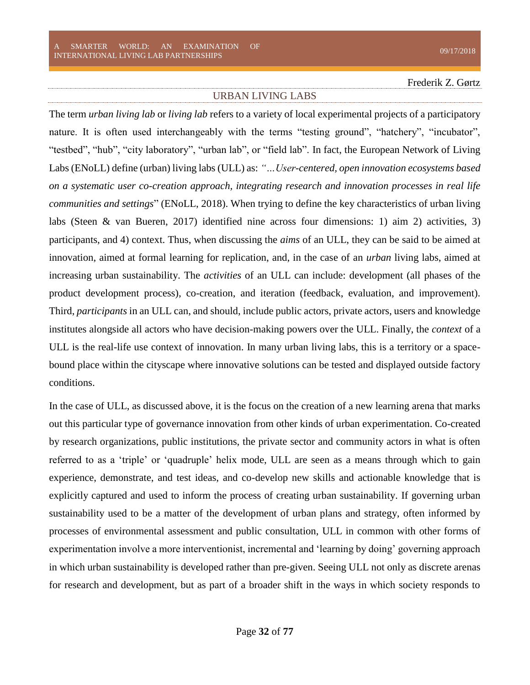#### URBAN LIVING LABS

<span id="page-32-0"></span>The term *urban living lab* or *living lab* refers to a variety of local experimental projects of a participatory nature. It is often used interchangeably with the terms "testing ground", "hatchery", "incubator", "testbed", "hub", "city laboratory", "urban lab", or "field lab". In fact, the European Network of Living Labs (ENoLL) define (urban) living labs (ULL) as: *"…User-centered, open innovation ecosystems based on a systematic user co-creation approach, integrating research and innovation processes in real life communities and settings*" (ENoLL, 2018). When trying to define the key characteristics of urban living labs (Steen & van Bueren, 2017) identified nine across four dimensions: 1) aim 2) activities, 3) participants, and 4) context. Thus, when discussing the *aims* of an ULL, they can be said to be aimed at innovation, aimed at formal learning for replication, and, in the case of an *urban* living labs, aimed at increasing urban sustainability. The *activities* of an ULL can include: development (all phases of the product development process), co-creation, and iteration (feedback, evaluation, and improvement). Third, *participants* in an ULL can, and should, include public actors, private actors, users and knowledge institutes alongside all actors who have decision-making powers over the ULL. Finally, the *context* of a ULL is the real-life use context of innovation. In many urban living labs, this is a territory or a spacebound place within the cityscape where innovative solutions can be tested and displayed outside factory conditions.

In the case of ULL, as discussed above, it is the focus on the creation of a new learning arena that marks out this particular type of governance innovation from other kinds of urban experimentation. Co-created by research organizations, public institutions, the private sector and community actors in what is often referred to as a 'triple' or 'quadruple' helix mode, ULL are seen as a means through which to gain experience, demonstrate, and test ideas, and co-develop new skills and actionable knowledge that is explicitly captured and used to inform the process of creating urban sustainability. If governing urban sustainability used to be a matter of the development of urban plans and strategy, often informed by processes of environmental assessment and public consultation, ULL in common with other forms of experimentation involve a more interventionist, incremental and 'learning by doing' governing approach in which urban sustainability is developed rather than pre-given. Seeing ULL not only as discrete arenas for research and development, but as part of a broader shift in the ways in which society responds to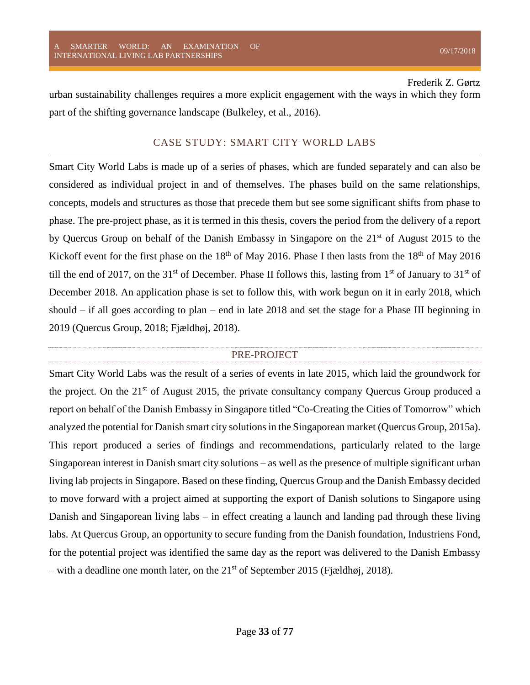urban sustainability challenges requires a more explicit engagement with the ways in which they form part of the shifting governance landscape (Bulkeley, et al., 2016).

### CASE STUDY: SMART CITY WORLD LABS

<span id="page-33-0"></span>Smart City World Labs is made up of a series of phases, which are funded separately and can also be considered as individual project in and of themselves. The phases build on the same relationships, concepts, models and structures as those that precede them but see some significant shifts from phase to phase. The pre-project phase, as it is termed in this thesis, covers the period from the delivery of a report by Quercus Group on behalf of the Danish Embassy in Singapore on the 21<sup>st</sup> of August 2015 to the Kickoff event for the first phase on the  $18<sup>th</sup>$  of May 2016. Phase I then lasts from the  $18<sup>th</sup>$  of May 2016 till the end of 2017, on the 31<sup>st</sup> of December. Phase II follows this, lasting from 1<sup>st</sup> of January to 31<sup>st</sup> of December 2018. An application phase is set to follow this, with work begun on it in early 2018, which should – if all goes according to plan – end in late 2018 and set the stage for a Phase III beginning in 2019 (Quercus Group, 2018; Fjældhøj, 2018).

#### PRE-PROJECT

<span id="page-33-1"></span>Smart City World Labs was the result of a series of events in late 2015, which laid the groundwork for the project. On the  $21<sup>st</sup>$  of August 2015, the private consultancy company Quercus Group produced a report on behalf of the Danish Embassy in Singapore titled "Co-Creating the Cities of Tomorrow" which analyzed the potential for Danish smart city solutions in the Singaporean market (Quercus Group, 2015a). This report produced a series of findings and recommendations, particularly related to the large Singaporean interest in Danish smart city solutions – as well as the presence of multiple significant urban living lab projects in Singapore. Based on these finding, Quercus Group and the Danish Embassy decided to move forward with a project aimed at supporting the export of Danish solutions to Singapore using Danish and Singaporean living labs – in effect creating a launch and landing pad through these living labs. At Quercus Group, an opportunity to secure funding from the Danish foundation, Industriens Fond, for the potential project was identified the same day as the report was delivered to the Danish Embassy – with a deadline one month later, on the  $21<sup>st</sup>$  of September 2015 (Fjældhøj, 2018).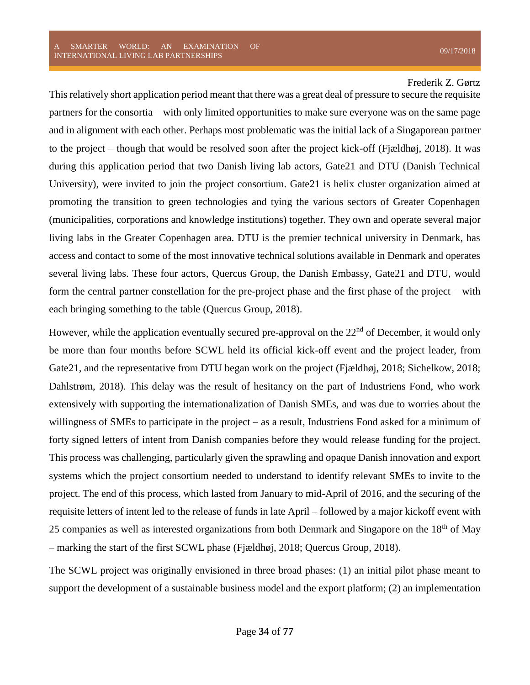This relatively short application period meant that there was a great deal of pressure to secure the requisite partners for the consortia – with only limited opportunities to make sure everyone was on the same page and in alignment with each other. Perhaps most problematic was the initial lack of a Singaporean partner to the project – though that would be resolved soon after the project kick-off (Fjældhøj, 2018). It was during this application period that two Danish living lab actors, Gate21 and DTU (Danish Technical University), were invited to join the project consortium. Gate21 is helix cluster organization aimed at promoting the transition to green technologies and tying the various sectors of Greater Copenhagen (municipalities, corporations and knowledge institutions) together. They own and operate several major living labs in the Greater Copenhagen area. DTU is the premier technical university in Denmark, has access and contact to some of the most innovative technical solutions available in Denmark and operates several living labs. These four actors, Quercus Group, the Danish Embassy, Gate21 and DTU, would form the central partner constellation for the pre-project phase and the first phase of the project – with each bringing something to the table (Quercus Group, 2018).

However, while the application eventually secured pre-approval on the  $22<sup>nd</sup>$  of December, it would only be more than four months before SCWL held its official kick-off event and the project leader, from Gate21, and the representative from DTU began work on the project (Fjældhøj, 2018; Sichelkow, 2018; Dahlstrøm, 2018). This delay was the result of hesitancy on the part of Industriens Fond, who work extensively with supporting the internationalization of Danish SMEs, and was due to worries about the willingness of SMEs to participate in the project – as a result, Industriens Fond asked for a minimum of forty signed letters of intent from Danish companies before they would release funding for the project. This process was challenging, particularly given the sprawling and opaque Danish innovation and export systems which the project consortium needed to understand to identify relevant SMEs to invite to the project. The end of this process, which lasted from January to mid-April of 2016, and the securing of the requisite letters of intent led to the release of funds in late April – followed by a major kickoff event with 25 companies as well as interested organizations from both Denmark and Singapore on the 18<sup>th</sup> of Mav – marking the start of the first SCWL phase (Fjældhøj, 2018; Quercus Group, 2018).

The SCWL project was originally envisioned in three broad phases: (1) an initial pilot phase meant to support the development of a sustainable business model and the export platform; (2) an implementation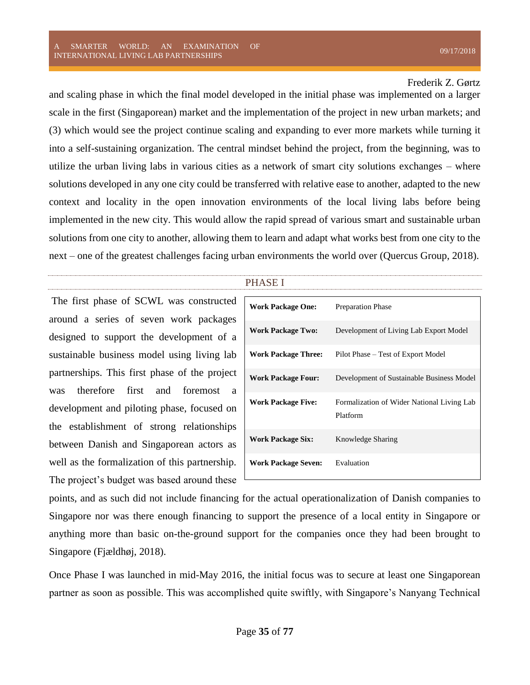and scaling phase in which the final model developed in the initial phase was implemented on a larger scale in the first (Singaporean) market and the implementation of the project in new urban markets; and (3) which would see the project continue scaling and expanding to ever more markets while turning it into a self-sustaining organization. The central mindset behind the project, from the beginning, was to utilize the urban living labs in various cities as a network of smart city solutions exchanges – where solutions developed in any one city could be transferred with relative ease to another, adapted to the new context and locality in the open innovation environments of the local living labs before being implemented in the new city. This would allow the rapid spread of various smart and sustainable urban solutions from one city to another, allowing them to learn and adapt what works best from one city to the next – one of the greatest challenges facing urban environments the world over (Quercus Group, 2018).

#### PHASE I

<span id="page-35-0"></span>The first phase of SCWL was constructed around a series of seven work packages designed to support the development of a sustainable business model using living lab partnerships. This first phase of the project was therefore first and foremost a development and piloting phase, focused on the establishment of strong relationships between Danish and Singaporean actors as well as the formalization of this partnership. The project's budget was based around these

| <b>Work Package One:</b>   | <b>Preparation Phase</b>                               |
|----------------------------|--------------------------------------------------------|
| <b>Work Package Two:</b>   | Development of Living Lab Export Model                 |
| <b>Work Package Three:</b> | Pilot Phase – Test of Export Model                     |
| <b>Work Package Four:</b>  | Development of Sustainable Business Model              |
| <b>Work Package Five:</b>  | Formalization of Wider National Living Lab<br>Platform |
| <b>Work Package Six:</b>   | Knowledge Sharing                                      |
| <b>Work Package Seven:</b> | Evaluation                                             |

points, and as such did not include financing for the actual operationalization of Danish companies to Singapore nor was there enough financing to support the presence of a local entity in Singapore or anything more than basic on-the-ground support for the companies once they had been brought to Singapore (Fjældhøj, 2018).

Once Phase I was launched in mid-May 2016, the initial focus was to secure at least one Singaporean partner as soon as possible. This was accomplished quite swiftly, with Singapore's Nanyang Technical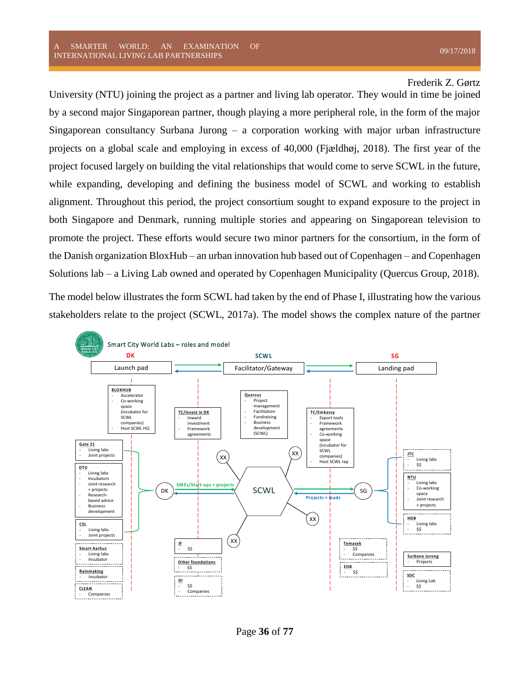University (NTU) joining the project as a partner and living lab operator. They would in time be joined by a second major Singaporean partner, though playing a more peripheral role, in the form of the major Singaporean consultancy Surbana Jurong – a corporation working with major urban infrastructure projects on a global scale and employing in excess of 40,000 (Fjældhøj, 2018). The first year of the project focused largely on building the vital relationships that would come to serve SCWL in the future, while expanding, developing and defining the business model of SCWL and working to establish alignment. Throughout this period, the project consortium sought to expand exposure to the project in both Singapore and Denmark, running multiple stories and appearing on Singaporean television to promote the project. These efforts would secure two minor partners for the consortium, in the form of the Danish organization BloxHub – an urban innovation hub based out of Copenhagen – and Copenhagen Solutions lab – a Living Lab owned and operated by Copenhagen Municipality (Quercus Group, 2018).

The model below illustrates the form SCWL had taken by the end of Phase I, illustrating how the various stakeholders relate to the project (SCWL, 2017a). The model shows the complex nature of the partner

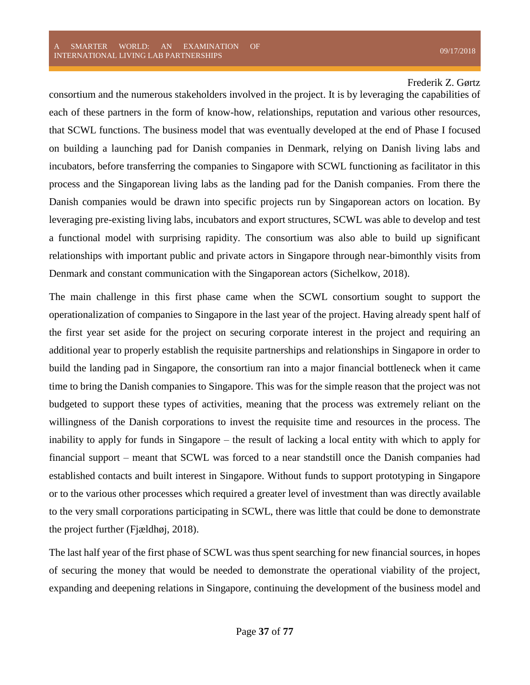consortium and the numerous stakeholders involved in the project. It is by leveraging the capabilities of each of these partners in the form of know-how, relationships, reputation and various other resources, that SCWL functions. The business model that was eventually developed at the end of Phase I focused on building a launching pad for Danish companies in Denmark, relying on Danish living labs and incubators, before transferring the companies to Singapore with SCWL functioning as facilitator in this process and the Singaporean living labs as the landing pad for the Danish companies. From there the Danish companies would be drawn into specific projects run by Singaporean actors on location. By leveraging pre-existing living labs, incubators and export structures, SCWL was able to develop and test a functional model with surprising rapidity. The consortium was also able to build up significant relationships with important public and private actors in Singapore through near-bimonthly visits from Denmark and constant communication with the Singaporean actors (Sichelkow, 2018).

The main challenge in this first phase came when the SCWL consortium sought to support the operationalization of companies to Singapore in the last year of the project. Having already spent half of the first year set aside for the project on securing corporate interest in the project and requiring an additional year to properly establish the requisite partnerships and relationships in Singapore in order to build the landing pad in Singapore, the consortium ran into a major financial bottleneck when it came time to bring the Danish companies to Singapore. This was for the simple reason that the project was not budgeted to support these types of activities, meaning that the process was extremely reliant on the willingness of the Danish corporations to invest the requisite time and resources in the process. The inability to apply for funds in Singapore – the result of lacking a local entity with which to apply for financial support – meant that SCWL was forced to a near standstill once the Danish companies had established contacts and built interest in Singapore. Without funds to support prototyping in Singapore or to the various other processes which required a greater level of investment than was directly available to the very small corporations participating in SCWL, there was little that could be done to demonstrate the project further (Fjældhøj, 2018).

The last half year of the first phase of SCWL was thus spent searching for new financial sources, in hopes of securing the money that would be needed to demonstrate the operational viability of the project, expanding and deepening relations in Singapore, continuing the development of the business model and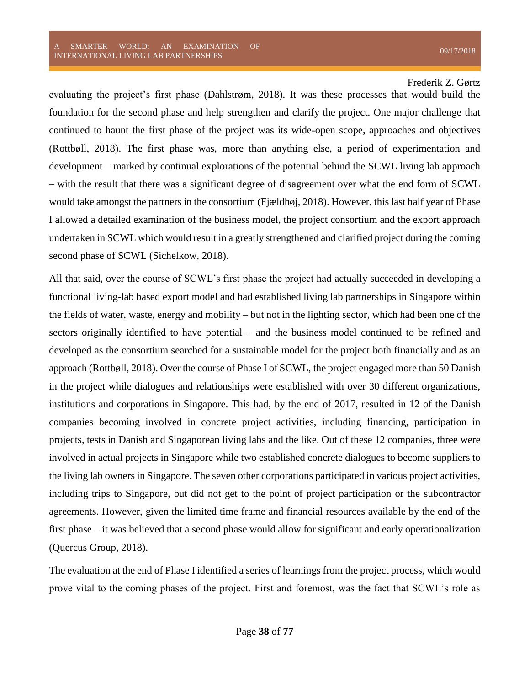evaluating the project's first phase (Dahlstrøm, 2018). It was these processes that would build the foundation for the second phase and help strengthen and clarify the project. One major challenge that continued to haunt the first phase of the project was its wide-open scope, approaches and objectives (Rottbøll, 2018). The first phase was, more than anything else, a period of experimentation and development – marked by continual explorations of the potential behind the SCWL living lab approach – with the result that there was a significant degree of disagreement over what the end form of SCWL would take amongst the partners in the consortium (Fjældhøj, 2018). However, this last half year of Phase I allowed a detailed examination of the business model, the project consortium and the export approach undertaken in SCWL which would result in a greatly strengthened and clarified project during the coming second phase of SCWL (Sichelkow, 2018).

All that said, over the course of SCWL's first phase the project had actually succeeded in developing a functional living-lab based export model and had established living lab partnerships in Singapore within the fields of water, waste, energy and mobility – but not in the lighting sector, which had been one of the sectors originally identified to have potential – and the business model continued to be refined and developed as the consortium searched for a sustainable model for the project both financially and as an approach (Rottbøll, 2018). Over the course of Phase I of SCWL, the project engaged more than 50 Danish in the project while dialogues and relationships were established with over 30 different organizations, institutions and corporations in Singapore. This had, by the end of 2017, resulted in 12 of the Danish companies becoming involved in concrete project activities, including financing, participation in projects, tests in Danish and Singaporean living labs and the like. Out of these 12 companies, three were involved in actual projects in Singapore while two established concrete dialogues to become suppliers to the living lab owners in Singapore. The seven other corporations participated in various project activities, including trips to Singapore, but did not get to the point of project participation or the subcontractor agreements. However, given the limited time frame and financial resources available by the end of the first phase – it was believed that a second phase would allow for significant and early operationalization (Quercus Group, 2018).

The evaluation at the end of Phase I identified a series of learnings from the project process, which would prove vital to the coming phases of the project. First and foremost, was the fact that SCWL's role as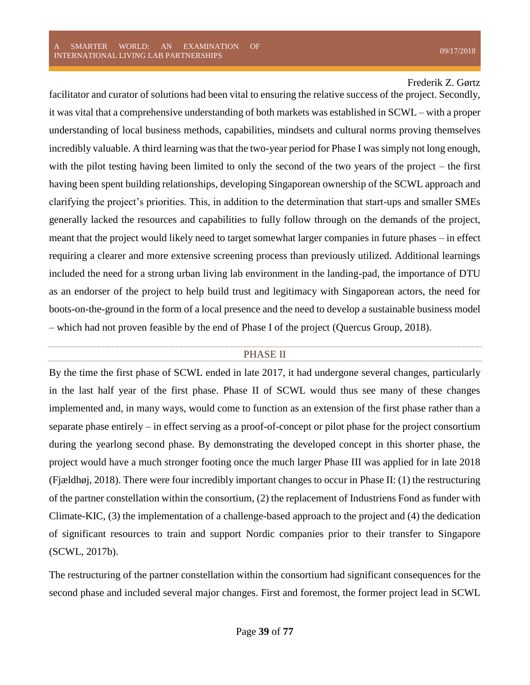facilitator and curator of solutions had been vital to ensuring the relative success of the project. Secondly, it was vital that a comprehensive understanding of both markets was established in SCWL – with a proper understanding of local business methods, capabilities, mindsets and cultural norms proving themselves incredibly valuable. A third learning was that the two-year period for Phase I was simply not long enough, with the pilot testing having been limited to only the second of the two years of the project – the first having been spent building relationships, developing Singaporean ownership of the SCWL approach and clarifying the project's priorities. This, in addition to the determination that start-ups and smaller SMEs generally lacked the resources and capabilities to fully follow through on the demands of the project, meant that the project would likely need to target somewhat larger companies in future phases – in effect requiring a clearer and more extensive screening process than previously utilized. Additional learnings included the need for a strong urban living lab environment in the landing-pad, the importance of DTU as an endorser of the project to help build trust and legitimacy with Singaporean actors, the need for boots-on-the-ground in the form of a local presence and the need to develop a sustainable business model – which had not proven feasible by the end of Phase I of the project (Quercus Group, 2018).

## PHASE II

By the time the first phase of SCWL ended in late 2017, it had undergone several changes, particularly in the last half year of the first phase. Phase II of SCWL would thus see many of these changes implemented and, in many ways, would come to function as an extension of the first phase rather than a separate phase entirely – in effect serving as a proof-of-concept or pilot phase for the project consortium during the yearlong second phase. By demonstrating the developed concept in this shorter phase, the project would have a much stronger footing once the much larger Phase III was applied for in late 2018 (Fjældhøj, 2018). There were four incredibly important changes to occur in Phase II: (1) the restructuring of the partner constellation within the consortium, (2) the replacement of Industriens Fond as funder with Climate-KIC, (3) the implementation of a challenge-based approach to the project and (4) the dedication of significant resources to train and support Nordic companies prior to their transfer to Singapore (SCWL, 2017b).

The restructuring of the partner constellation within the consortium had significant consequences for the second phase and included several major changes. First and foremost, the former project lead in SCWL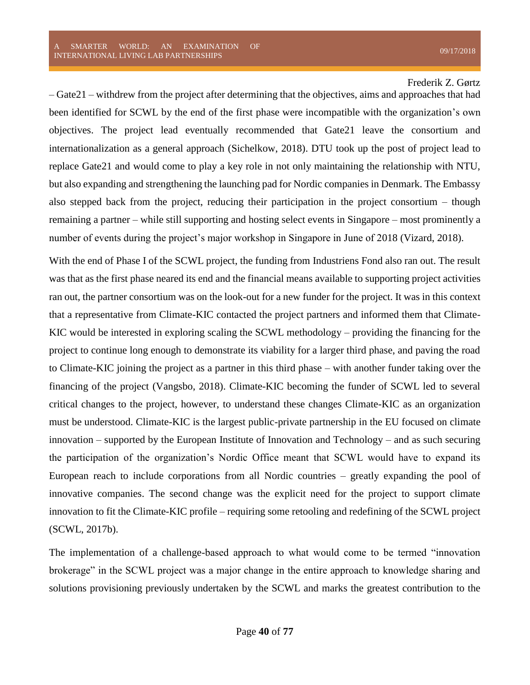– Gate21 – withdrew from the project after determining that the objectives, aims and approaches that had been identified for SCWL by the end of the first phase were incompatible with the organization's own objectives. The project lead eventually recommended that Gate21 leave the consortium and internationalization as a general approach (Sichelkow, 2018). DTU took up the post of project lead to replace Gate21 and would come to play a key role in not only maintaining the relationship with NTU, but also expanding and strengthening the launching pad for Nordic companies in Denmark. The Embassy also stepped back from the project, reducing their participation in the project consortium – though remaining a partner – while still supporting and hosting select events in Singapore – most prominently a number of events during the project's major workshop in Singapore in June of 2018 (Vizard, 2018).

With the end of Phase I of the SCWL project, the funding from Industriens Fond also ran out. The result was that as the first phase neared its end and the financial means available to supporting project activities ran out, the partner consortium was on the look-out for a new funder for the project. It was in this context that a representative from Climate-KIC contacted the project partners and informed them that Climate-KIC would be interested in exploring scaling the SCWL methodology – providing the financing for the project to continue long enough to demonstrate its viability for a larger third phase, and paving the road to Climate-KIC joining the project as a partner in this third phase – with another funder taking over the financing of the project (Vangsbo, 2018). Climate-KIC becoming the funder of SCWL led to several critical changes to the project, however, to understand these changes Climate-KIC as an organization must be understood. Climate-KIC is the largest public-private partnership in the EU focused on climate innovation – supported by the European Institute of Innovation and Technology – and as such securing the participation of the organization's Nordic Office meant that SCWL would have to expand its European reach to include corporations from all Nordic countries – greatly expanding the pool of innovative companies. The second change was the explicit need for the project to support climate innovation to fit the Climate-KIC profile – requiring some retooling and redefining of the SCWL project (SCWL, 2017b).

The implementation of a challenge-based approach to what would come to be termed "innovation brokerage" in the SCWL project was a major change in the entire approach to knowledge sharing and solutions provisioning previously undertaken by the SCWL and marks the greatest contribution to the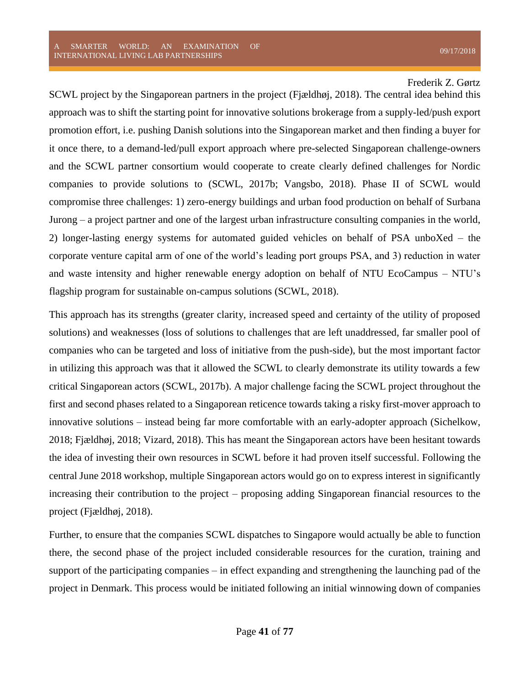SCWL project by the Singaporean partners in the project (Fjældhøj, 2018). The central idea behind this approach was to shift the starting point for innovative solutions brokerage from a supply-led/push export promotion effort, i.e. pushing Danish solutions into the Singaporean market and then finding a buyer for it once there, to a demand-led/pull export approach where pre-selected Singaporean challenge-owners and the SCWL partner consortium would cooperate to create clearly defined challenges for Nordic companies to provide solutions to (SCWL, 2017b; Vangsbo, 2018). Phase II of SCWL would compromise three challenges: 1) zero-energy buildings and urban food production on behalf of Surbana Jurong – a project partner and one of the largest urban infrastructure consulting companies in the world, 2) longer-lasting energy systems for automated guided vehicles on behalf of PSA unboXed – the corporate venture capital arm of one of the world's leading port groups PSA, and 3) reduction in water and waste intensity and higher renewable energy adoption on behalf of NTU EcoCampus – NTU's flagship program for sustainable on-campus solutions (SCWL, 2018).

This approach has its strengths (greater clarity, increased speed and certainty of the utility of proposed solutions) and weaknesses (loss of solutions to challenges that are left unaddressed, far smaller pool of companies who can be targeted and loss of initiative from the push-side), but the most important factor in utilizing this approach was that it allowed the SCWL to clearly demonstrate its utility towards a few critical Singaporean actors (SCWL, 2017b). A major challenge facing the SCWL project throughout the first and second phases related to a Singaporean reticence towards taking a risky first-mover approach to innovative solutions – instead being far more comfortable with an early-adopter approach (Sichelkow, 2018; Fjældhøj, 2018; Vizard, 2018). This has meant the Singaporean actors have been hesitant towards the idea of investing their own resources in SCWL before it had proven itself successful. Following the central June 2018 workshop, multiple Singaporean actors would go on to express interest in significantly increasing their contribution to the project – proposing adding Singaporean financial resources to the project (Fjældhøj, 2018).

Further, to ensure that the companies SCWL dispatches to Singapore would actually be able to function there, the second phase of the project included considerable resources for the curation, training and support of the participating companies – in effect expanding and strengthening the launching pad of the project in Denmark. This process would be initiated following an initial winnowing down of companies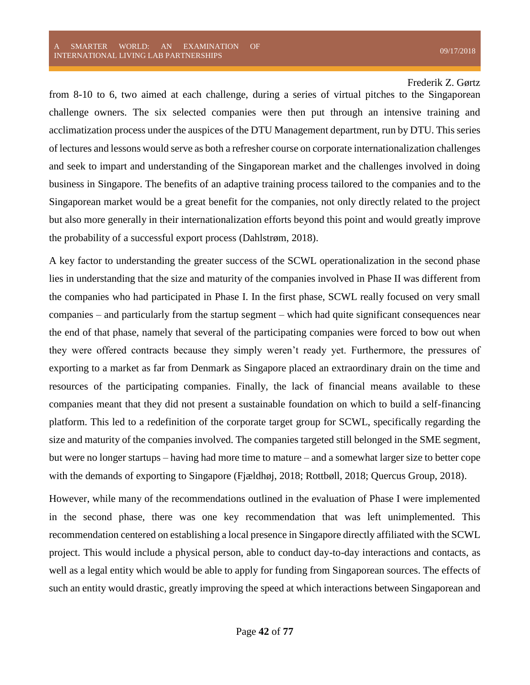from 8-10 to 6, two aimed at each challenge, during a series of virtual pitches to the Singaporean challenge owners. The six selected companies were then put through an intensive training and acclimatization process under the auspices of the DTU Management department, run by DTU. This series of lectures and lessons would serve as both a refresher course on corporate internationalization challenges and seek to impart and understanding of the Singaporean market and the challenges involved in doing business in Singapore. The benefits of an adaptive training process tailored to the companies and to the Singaporean market would be a great benefit for the companies, not only directly related to the project but also more generally in their internationalization efforts beyond this point and would greatly improve the probability of a successful export process (Dahlstrøm, 2018).

A key factor to understanding the greater success of the SCWL operationalization in the second phase lies in understanding that the size and maturity of the companies involved in Phase II was different from the companies who had participated in Phase I. In the first phase, SCWL really focused on very small companies – and particularly from the startup segment – which had quite significant consequences near the end of that phase, namely that several of the participating companies were forced to bow out when they were offered contracts because they simply weren't ready yet. Furthermore, the pressures of exporting to a market as far from Denmark as Singapore placed an extraordinary drain on the time and resources of the participating companies. Finally, the lack of financial means available to these companies meant that they did not present a sustainable foundation on which to build a self-financing platform. This led to a redefinition of the corporate target group for SCWL, specifically regarding the size and maturity of the companies involved. The companies targeted still belonged in the SME segment, but were no longer startups – having had more time to mature – and a somewhat larger size to better cope with the demands of exporting to Singapore (Fjældhøj, 2018; Rottbøll, 2018; Quercus Group, 2018).

However, while many of the recommendations outlined in the evaluation of Phase I were implemented in the second phase, there was one key recommendation that was left unimplemented. This recommendation centered on establishing a local presence in Singapore directly affiliated with the SCWL project. This would include a physical person, able to conduct day-to-day interactions and contacts, as well as a legal entity which would be able to apply for funding from Singaporean sources. The effects of such an entity would drastic, greatly improving the speed at which interactions between Singaporean and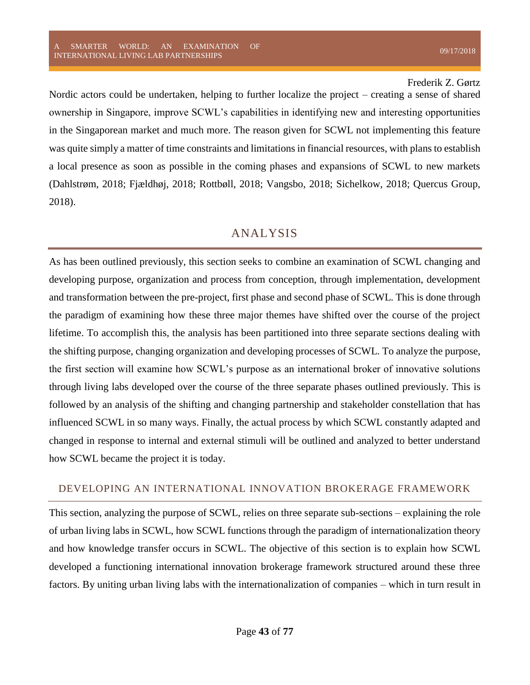Nordic actors could be undertaken, helping to further localize the project – creating a sense of shared ownership in Singapore, improve SCWL's capabilities in identifying new and interesting opportunities in the Singaporean market and much more. The reason given for SCWL not implementing this feature was quite simply a matter of time constraints and limitations in financial resources, with plans to establish a local presence as soon as possible in the coming phases and expansions of SCWL to new markets (Dahlstrøm, 2018; Fjældhøj, 2018; Rottbøll, 2018; Vangsbo, 2018; Sichelkow, 2018; Quercus Group, 2018).

# ANALYSIS

As has been outlined previously, this section seeks to combine an examination of SCWL changing and developing purpose, organization and process from conception, through implementation, development and transformation between the pre-project, first phase and second phase of SCWL. This is done through the paradigm of examining how these three major themes have shifted over the course of the project lifetime. To accomplish this, the analysis has been partitioned into three separate sections dealing with the shifting purpose, changing organization and developing processes of SCWL. To analyze the purpose, the first section will examine how SCWL's purpose as an international broker of innovative solutions through living labs developed over the course of the three separate phases outlined previously. This is followed by an analysis of the shifting and changing partnership and stakeholder constellation that has influenced SCWL in so many ways. Finally, the actual process by which SCWL constantly adapted and changed in response to internal and external stimuli will be outlined and analyzed to better understand how SCWL became the project it is today.

## DEVELOPING AN INTERNATIONAL INNOVATION BROKERAGE FRAMEWORK

This section, analyzing the purpose of SCWL, relies on three separate sub-sections – explaining the role of urban living labs in SCWL, how SCWL functions through the paradigm of internationalization theory and how knowledge transfer occurs in SCWL. The objective of this section is to explain how SCWL developed a functioning international innovation brokerage framework structured around these three factors. By uniting urban living labs with the internationalization of companies – which in turn result in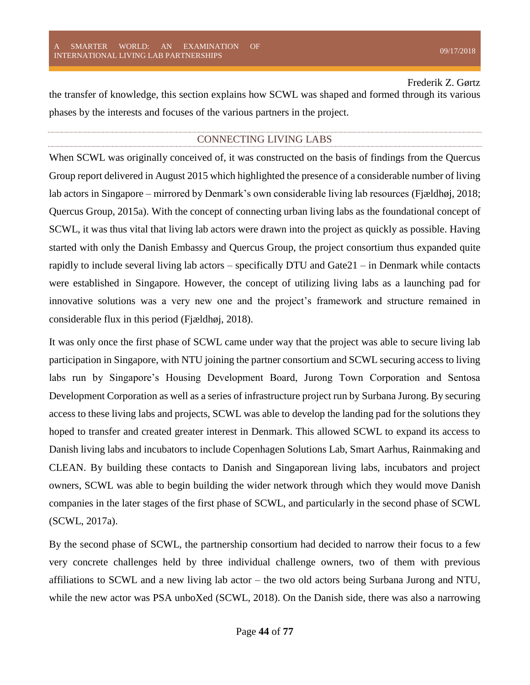the transfer of knowledge, this section explains how SCWL was shaped and formed through its various phases by the interests and focuses of the various partners in the project.

## CONNECTING LIVING LABS

When SCWL was originally conceived of, it was constructed on the basis of findings from the Quercus Group report delivered in August 2015 which highlighted the presence of a considerable number of living lab actors in Singapore – mirrored by Denmark's own considerable living lab resources (Fjældhøj, 2018; Quercus Group, 2015a). With the concept of connecting urban living labs as the foundational concept of SCWL, it was thus vital that living lab actors were drawn into the project as quickly as possible. Having started with only the Danish Embassy and Quercus Group, the project consortium thus expanded quite rapidly to include several living lab actors – specifically DTU and Gate21 – in Denmark while contacts were established in Singapore. However, the concept of utilizing living labs as a launching pad for innovative solutions was a very new one and the project's framework and structure remained in considerable flux in this period (Fjældhøj, 2018).

It was only once the first phase of SCWL came under way that the project was able to secure living lab participation in Singapore, with NTU joining the partner consortium and SCWL securing access to living labs run by Singapore's Housing Development Board, Jurong Town Corporation and Sentosa Development Corporation as well as a series of infrastructure project run by Surbana Jurong. By securing access to these living labs and projects, SCWL was able to develop the landing pad for the solutions they hoped to transfer and created greater interest in Denmark. This allowed SCWL to expand its access to Danish living labs and incubators to include Copenhagen Solutions Lab, Smart Aarhus, Rainmaking and CLEAN. By building these contacts to Danish and Singaporean living labs, incubators and project owners, SCWL was able to begin building the wider network through which they would move Danish companies in the later stages of the first phase of SCWL, and particularly in the second phase of SCWL (SCWL, 2017a).

By the second phase of SCWL, the partnership consortium had decided to narrow their focus to a few very concrete challenges held by three individual challenge owners, two of them with previous affiliations to SCWL and a new living lab actor – the two old actors being Surbana Jurong and NTU, while the new actor was PSA unboXed (SCWL, 2018). On the Danish side, there was also a narrowing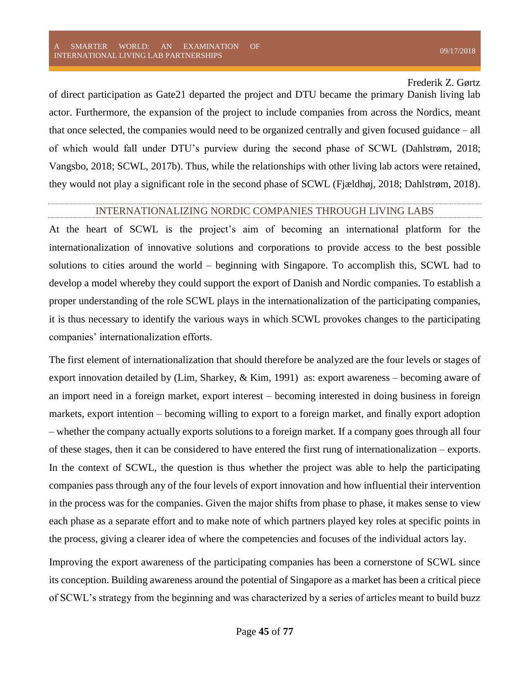of direct participation as Gate21 departed the project and DTU became the primary Danish living lab actor. Furthermore, the expansion of the project to include companies from across the Nordics, meant that once selected, the companies would need to be organized centrally and given focused guidance – all of which would fall under DTU's purview during the second phase of SCWL (Dahlstrøm, 2018; Vangsbo, 2018; SCWL, 2017b). Thus, while the relationships with other living lab actors were retained, they would not play a significant role in the second phase of SCWL (Fjældhøj, 2018; Dahlstrøm, 2018).

## INTERNATIONALIZING NORDIC COMPANIES THROUGH LIVING LABS

At the heart of SCWL is the project's aim of becoming an international platform for the internationalization of innovative solutions and corporations to provide access to the best possible solutions to cities around the world – beginning with Singapore. To accomplish this, SCWL had to develop a model whereby they could support the export of Danish and Nordic companies. To establish a proper understanding of the role SCWL plays in the internationalization of the participating companies, it is thus necessary to identify the various ways in which SCWL provokes changes to the participating companies' internationalization efforts.

The first element of internationalization that should therefore be analyzed are the four levels or stages of export innovation detailed by (Lim, Sharkey, & Kim, 1991) as: export awareness – becoming aware of an import need in a foreign market, export interest – becoming interested in doing business in foreign markets, export intention – becoming willing to export to a foreign market, and finally export adoption – whether the company actually exports solutions to a foreign market. If a company goes through all four of these stages, then it can be considered to have entered the first rung of internationalization – exports. In the context of SCWL, the question is thus whether the project was able to help the participating companies pass through any of the four levels of export innovation and how influential their intervention in the process was for the companies. Given the major shifts from phase to phase, it makes sense to view each phase as a separate effort and to make note of which partners played key roles at specific points in the process, giving a clearer idea of where the competencies and focuses of the individual actors lay.

Improving the export awareness of the participating companies has been a cornerstone of SCWL since its conception. Building awareness around the potential of Singapore as a market has been a critical piece of SCWL's strategy from the beginning and was characterized by a series of articles meant to build buzz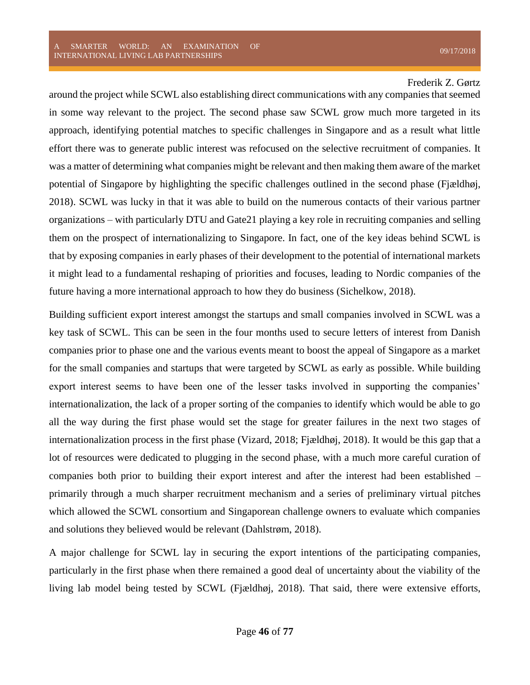around the project while SCWL also establishing direct communications with any companies that seemed in some way relevant to the project. The second phase saw SCWL grow much more targeted in its approach, identifying potential matches to specific challenges in Singapore and as a result what little effort there was to generate public interest was refocused on the selective recruitment of companies. It was a matter of determining what companies might be relevant and then making them aware of the market potential of Singapore by highlighting the specific challenges outlined in the second phase (Fjældhøj, 2018). SCWL was lucky in that it was able to build on the numerous contacts of their various partner organizations – with particularly DTU and Gate21 playing a key role in recruiting companies and selling them on the prospect of internationalizing to Singapore. In fact, one of the key ideas behind SCWL is that by exposing companies in early phases of their development to the potential of international markets it might lead to a fundamental reshaping of priorities and focuses, leading to Nordic companies of the future having a more international approach to how they do business (Sichelkow, 2018).

Building sufficient export interest amongst the startups and small companies involved in SCWL was a key task of SCWL. This can be seen in the four months used to secure letters of interest from Danish companies prior to phase one and the various events meant to boost the appeal of Singapore as a market for the small companies and startups that were targeted by SCWL as early as possible. While building export interest seems to have been one of the lesser tasks involved in supporting the companies' internationalization, the lack of a proper sorting of the companies to identify which would be able to go all the way during the first phase would set the stage for greater failures in the next two stages of internationalization process in the first phase (Vizard, 2018; Fjældhøj, 2018). It would be this gap that a lot of resources were dedicated to plugging in the second phase, with a much more careful curation of companies both prior to building their export interest and after the interest had been established – primarily through a much sharper recruitment mechanism and a series of preliminary virtual pitches which allowed the SCWL consortium and Singaporean challenge owners to evaluate which companies and solutions they believed would be relevant (Dahlstrøm, 2018).

A major challenge for SCWL lay in securing the export intentions of the participating companies, particularly in the first phase when there remained a good deal of uncertainty about the viability of the living lab model being tested by SCWL (Fjældhøj, 2018). That said, there were extensive efforts,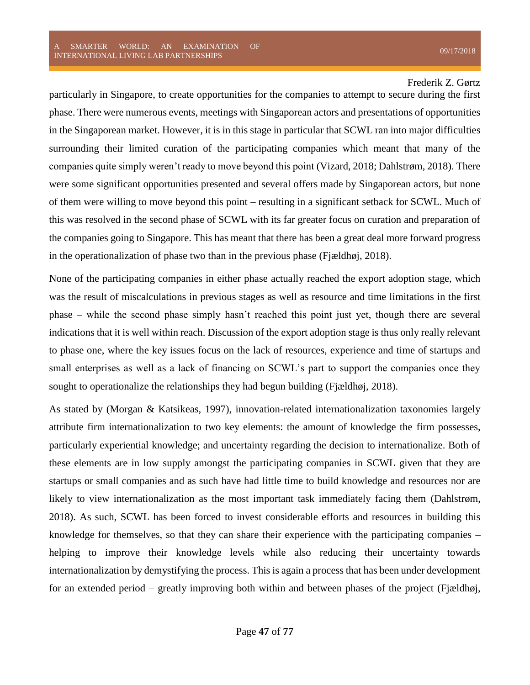particularly in Singapore, to create opportunities for the companies to attempt to secure during the first phase. There were numerous events, meetings with Singaporean actors and presentations of opportunities in the Singaporean market. However, it is in this stage in particular that SCWL ran into major difficulties surrounding their limited curation of the participating companies which meant that many of the companies quite simply weren't ready to move beyond this point (Vizard, 2018; Dahlstrøm, 2018). There were some significant opportunities presented and several offers made by Singaporean actors, but none of them were willing to move beyond this point – resulting in a significant setback for SCWL. Much of this was resolved in the second phase of SCWL with its far greater focus on curation and preparation of the companies going to Singapore. This has meant that there has been a great deal more forward progress in the operationalization of phase two than in the previous phase (Fjældhøj, 2018).

None of the participating companies in either phase actually reached the export adoption stage, which was the result of miscalculations in previous stages as well as resource and time limitations in the first phase – while the second phase simply hasn't reached this point just yet, though there are several indications that it is well within reach. Discussion of the export adoption stage is thus only really relevant to phase one, where the key issues focus on the lack of resources, experience and time of startups and small enterprises as well as a lack of financing on SCWL's part to support the companies once they sought to operationalize the relationships they had begun building (Fjældhøj, 2018).

As stated by (Morgan & Katsikeas, 1997), innovation-related internationalization taxonomies largely attribute firm internationalization to two key elements: the amount of knowledge the firm possesses, particularly experiential knowledge; and uncertainty regarding the decision to internationalize. Both of these elements are in low supply amongst the participating companies in SCWL given that they are startups or small companies and as such have had little time to build knowledge and resources nor are likely to view internationalization as the most important task immediately facing them (Dahlstrøm, 2018). As such, SCWL has been forced to invest considerable efforts and resources in building this knowledge for themselves, so that they can share their experience with the participating companies – helping to improve their knowledge levels while also reducing their uncertainty towards internationalization by demystifying the process. This is again a process that has been under development for an extended period – greatly improving both within and between phases of the project (Fjældhøj,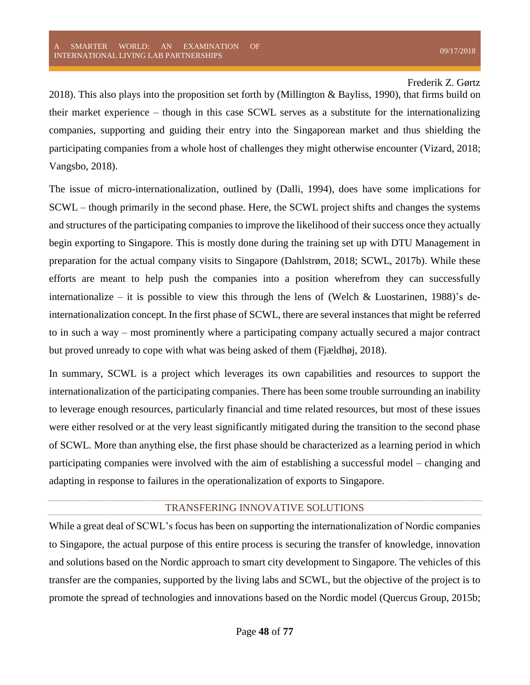2018). This also plays into the proposition set forth by (Millington & Bayliss, 1990), that firms build on their market experience – though in this case SCWL serves as a substitute for the internationalizing companies, supporting and guiding their entry into the Singaporean market and thus shielding the participating companies from a whole host of challenges they might otherwise encounter (Vizard, 2018; Vangsbo, 2018).

The issue of micro-internationalization, outlined by (Dalli, 1994), does have some implications for SCWL – though primarily in the second phase. Here, the SCWL project shifts and changes the systems and structures of the participating companies to improve the likelihood of their success once they actually begin exporting to Singapore. This is mostly done during the training set up with DTU Management in preparation for the actual company visits to Singapore (Dahlstrøm, 2018; SCWL, 2017b). While these efforts are meant to help push the companies into a position wherefrom they can successfully internationalize – it is possible to view this through the lens of (Welch & Luostarinen, 1988)'s deinternationalization concept. In the first phase of SCWL, there are several instances that might be referred to in such a way – most prominently where a participating company actually secured a major contract but proved unready to cope with what was being asked of them (Fjældhøj, 2018).

In summary, SCWL is a project which leverages its own capabilities and resources to support the internationalization of the participating companies. There has been some trouble surrounding an inability to leverage enough resources, particularly financial and time related resources, but most of these issues were either resolved or at the very least significantly mitigated during the transition to the second phase of SCWL. More than anything else, the first phase should be characterized as a learning period in which participating companies were involved with the aim of establishing a successful model – changing and adapting in response to failures in the operationalization of exports to Singapore.

## TRANSFERING INNOVATIVE SOLUTIONS

While a great deal of SCWL's focus has been on supporting the internationalization of Nordic companies to Singapore, the actual purpose of this entire process is securing the transfer of knowledge, innovation and solutions based on the Nordic approach to smart city development to Singapore. The vehicles of this transfer are the companies, supported by the living labs and SCWL, but the objective of the project is to promote the spread of technologies and innovations based on the Nordic model (Quercus Group, 2015b;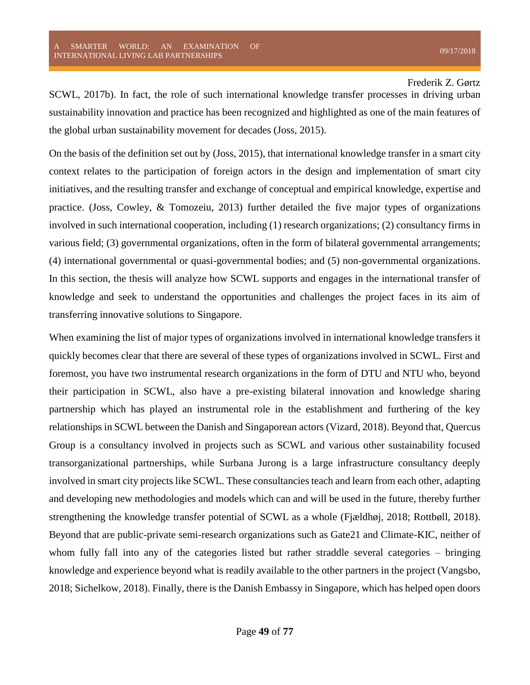SCWL, 2017b). In fact, the role of such international knowledge transfer processes in driving urban sustainability innovation and practice has been recognized and highlighted as one of the main features of the global urban sustainability movement for decades (Joss, 2015).

On the basis of the definition set out by (Joss, 2015), that international knowledge transfer in a smart city context relates to the participation of foreign actors in the design and implementation of smart city initiatives, and the resulting transfer and exchange of conceptual and empirical knowledge, expertise and practice. (Joss, Cowley, & Tomozeiu, 2013) further detailed the five major types of organizations involved in such international cooperation, including (1) research organizations; (2) consultancy firms in various field; (3) governmental organizations, often in the form of bilateral governmental arrangements; (4) international governmental or quasi-governmental bodies; and (5) non-governmental organizations. In this section, the thesis will analyze how SCWL supports and engages in the international transfer of knowledge and seek to understand the opportunities and challenges the project faces in its aim of transferring innovative solutions to Singapore.

When examining the list of major types of organizations involved in international knowledge transfers it quickly becomes clear that there are several of these types of organizations involved in SCWL. First and foremost, you have two instrumental research organizations in the form of DTU and NTU who, beyond their participation in SCWL, also have a pre-existing bilateral innovation and knowledge sharing partnership which has played an instrumental role in the establishment and furthering of the key relationships in SCWL between the Danish and Singaporean actors (Vizard, 2018). Beyond that, Quercus Group is a consultancy involved in projects such as SCWL and various other sustainability focused transorganizational partnerships, while Surbana Jurong is a large infrastructure consultancy deeply involved in smart city projects like SCWL. These consultancies teach and learn from each other, adapting and developing new methodologies and models which can and will be used in the future, thereby further strengthening the knowledge transfer potential of SCWL as a whole (Fjældhøj, 2018; Rottbøll, 2018). Beyond that are public-private semi-research organizations such as Gate21 and Climate-KIC, neither of whom fully fall into any of the categories listed but rather straddle several categories – bringing knowledge and experience beyond what is readily available to the other partners in the project (Vangsbo, 2018; Sichelkow, 2018). Finally, there is the Danish Embassy in Singapore, which has helped open doors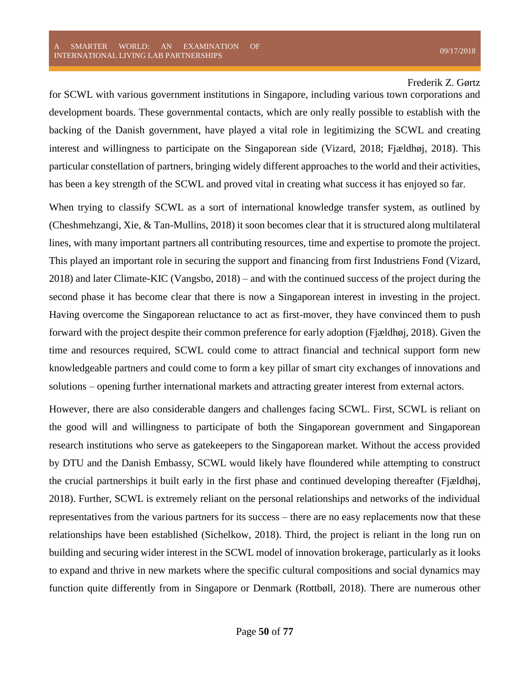for SCWL with various government institutions in Singapore, including various town corporations and development boards. These governmental contacts, which are only really possible to establish with the backing of the Danish government, have played a vital role in legitimizing the SCWL and creating interest and willingness to participate on the Singaporean side (Vizard, 2018; Fjældhøj, 2018). This particular constellation of partners, bringing widely different approaches to the world and their activities, has been a key strength of the SCWL and proved vital in creating what success it has enjoyed so far.

When trying to classify SCWL as a sort of international knowledge transfer system, as outlined by (Cheshmehzangi, Xie, & Tan-Mullins, 2018) it soon becomes clear that it is structured along multilateral lines, with many important partners all contributing resources, time and expertise to promote the project. This played an important role in securing the support and financing from first Industriens Fond (Vizard, 2018) and later Climate-KIC (Vangsbo, 2018) – and with the continued success of the project during the second phase it has become clear that there is now a Singaporean interest in investing in the project. Having overcome the Singaporean reluctance to act as first-mover, they have convinced them to push forward with the project despite their common preference for early adoption (Fjældhøj, 2018). Given the time and resources required, SCWL could come to attract financial and technical support form new knowledgeable partners and could come to form a key pillar of smart city exchanges of innovations and solutions – opening further international markets and attracting greater interest from external actors.

However, there are also considerable dangers and challenges facing SCWL. First, SCWL is reliant on the good will and willingness to participate of both the Singaporean government and Singaporean research institutions who serve as gatekeepers to the Singaporean market. Without the access provided by DTU and the Danish Embassy, SCWL would likely have floundered while attempting to construct the crucial partnerships it built early in the first phase and continued developing thereafter (Fjældhøj, 2018). Further, SCWL is extremely reliant on the personal relationships and networks of the individual representatives from the various partners for its success – there are no easy replacements now that these relationships have been established (Sichelkow, 2018). Third, the project is reliant in the long run on building and securing wider interest in the SCWL model of innovation brokerage, particularly as it looks to expand and thrive in new markets where the specific cultural compositions and social dynamics may function quite differently from in Singapore or Denmark (Rottbøll, 2018). There are numerous other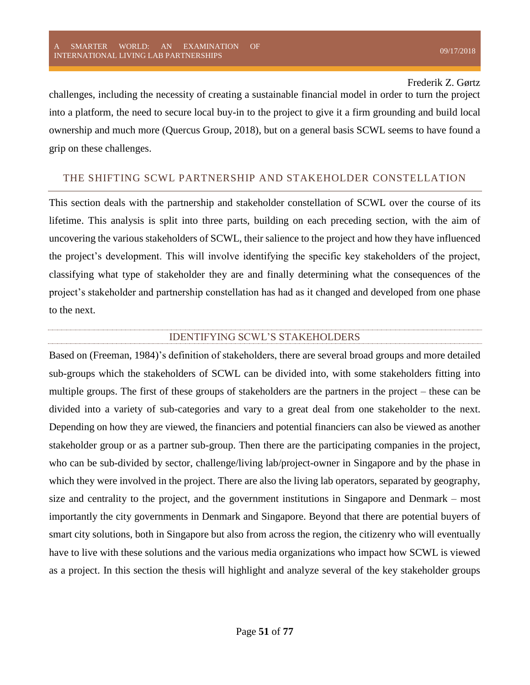challenges, including the necessity of creating a sustainable financial model in order to turn the project into a platform, the need to secure local buy-in to the project to give it a firm grounding and build local ownership and much more (Quercus Group, 2018), but on a general basis SCWL seems to have found a grip on these challenges.

# THE SHIFTING SCWL PARTNERSHIP AND STAKEHOLDER CONSTELLATION

This section deals with the partnership and stakeholder constellation of SCWL over the course of its lifetime. This analysis is split into three parts, building on each preceding section, with the aim of uncovering the various stakeholders of SCWL, their salience to the project and how they have influenced the project's development. This will involve identifying the specific key stakeholders of the project, classifying what type of stakeholder they are and finally determining what the consequences of the project's stakeholder and partnership constellation has had as it changed and developed from one phase to the next.

## IDENTIFYING SCWL'S STAKEHOLDERS

Based on (Freeman, 1984)'s definition of stakeholders, there are several broad groups and more detailed sub-groups which the stakeholders of SCWL can be divided into, with some stakeholders fitting into multiple groups. The first of these groups of stakeholders are the partners in the project – these can be divided into a variety of sub-categories and vary to a great deal from one stakeholder to the next. Depending on how they are viewed, the financiers and potential financiers can also be viewed as another stakeholder group or as a partner sub-group. Then there are the participating companies in the project, who can be sub-divided by sector, challenge/living lab/project-owner in Singapore and by the phase in which they were involved in the project. There are also the living lab operators, separated by geography, size and centrality to the project, and the government institutions in Singapore and Denmark – most importantly the city governments in Denmark and Singapore. Beyond that there are potential buyers of smart city solutions, both in Singapore but also from across the region, the citizenry who will eventually have to live with these solutions and the various media organizations who impact how SCWL is viewed as a project. In this section the thesis will highlight and analyze several of the key stakeholder groups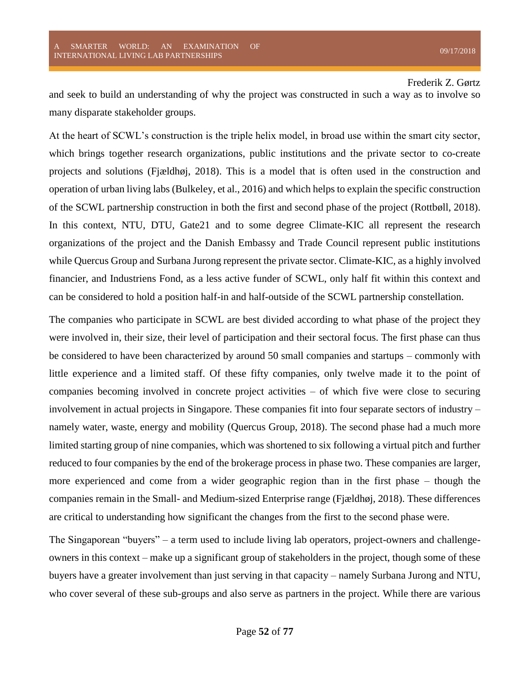and seek to build an understanding of why the project was constructed in such a way as to involve so many disparate stakeholder groups.

At the heart of SCWL's construction is the triple helix model, in broad use within the smart city sector, which brings together research organizations, public institutions and the private sector to co-create projects and solutions (Fjældhøj, 2018). This is a model that is often used in the construction and operation of urban living labs (Bulkeley, et al., 2016) and which helps to explain the specific construction of the SCWL partnership construction in both the first and second phase of the project (Rottbøll, 2018). In this context, NTU, DTU, Gate21 and to some degree Climate-KIC all represent the research organizations of the project and the Danish Embassy and Trade Council represent public institutions while Quercus Group and Surbana Jurong represent the private sector. Climate-KIC, as a highly involved financier, and Industriens Fond, as a less active funder of SCWL, only half fit within this context and can be considered to hold a position half-in and half-outside of the SCWL partnership constellation.

The companies who participate in SCWL are best divided according to what phase of the project they were involved in, their size, their level of participation and their sectoral focus. The first phase can thus be considered to have been characterized by around 50 small companies and startups – commonly with little experience and a limited staff. Of these fifty companies, only twelve made it to the point of companies becoming involved in concrete project activities – of which five were close to securing involvement in actual projects in Singapore. These companies fit into four separate sectors of industry – namely water, waste, energy and mobility (Quercus Group, 2018). The second phase had a much more limited starting group of nine companies, which was shortened to six following a virtual pitch and further reduced to four companies by the end of the brokerage process in phase two. These companies are larger, more experienced and come from a wider geographic region than in the first phase – though the companies remain in the Small- and Medium-sized Enterprise range (Fjældhøj, 2018). These differences are critical to understanding how significant the changes from the first to the second phase were.

The Singaporean "buyers" – a term used to include living lab operators, project-owners and challengeowners in this context – make up a significant group of stakeholders in the project, though some of these buyers have a greater involvement than just serving in that capacity – namely Surbana Jurong and NTU, who cover several of these sub-groups and also serve as partners in the project. While there are various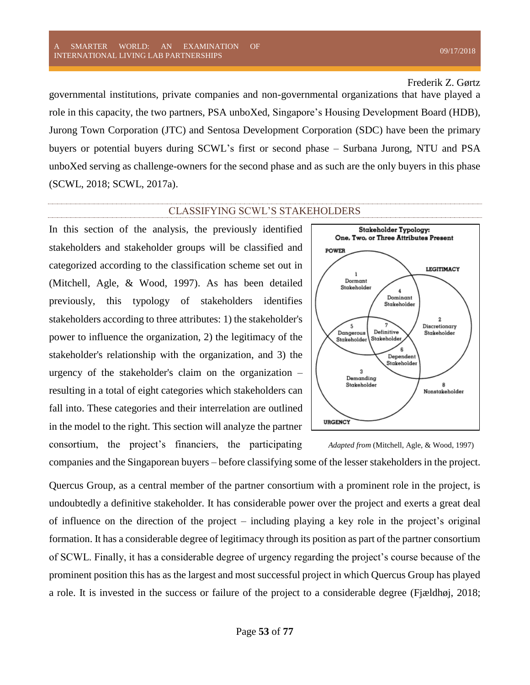#### SMARTER WORLD: AN EXAMINATION OF A SMAKTEK WOKED. AN EXAMINATION OF  $09/17/2018$  DERNATIONAL LIVING LAB PARTNERSHIPS

## Frederik Z. Gørtz

governmental institutions, private companies and non-governmental organizations that have played a role in this capacity, the two partners, PSA unboXed, Singapore's Housing Development Board (HDB), Jurong Town Corporation (JTC) and Sentosa Development Corporation (SDC) have been the primary buyers or potential buyers during SCWL's first or second phase – Surbana Jurong, NTU and PSA unboXed serving as challenge-owners for the second phase and as such are the only buyers in this phase (SCWL, 2018; SCWL, 2017a).

#### CLASSIFYING SCWL'S STAKEHOLDERS

In this section of the analysis, the previously identified stakeholders and stakeholder groups will be classified and categorized according to the classification scheme set out in (Mitchell, Agle, & Wood, 1997). As has been detailed previously, this typology of stakeholders identifies stakeholders according to three attributes: 1) the stakeholder's power to influence the organization, 2) the legitimacy of the stakeholder's relationship with the organization, and 3) the urgency of the stakeholder's claim on the organization – resulting in a total of eight categories which stakeholders can fall into. These categories and their interrelation are outlined in the model to the right. This section will analyze the partner consortium, the project's financiers, the participating



*Adapted from* (Mitchell, Agle, & Wood, 1997)

companies and the Singaporean buyers – before classifying some of the lesser stakeholders in the project.

Quercus Group, as a central member of the partner consortium with a prominent role in the project, is undoubtedly a definitive stakeholder. It has considerable power over the project and exerts a great deal of influence on the direction of the project – including playing a key role in the project's original formation. It has a considerable degree of legitimacy through its position as part of the partner consortium of SCWL. Finally, it has a considerable degree of urgency regarding the project's course because of the prominent position this has as the largest and most successful project in which Quercus Group has played a role. It is invested in the success or failure of the project to a considerable degree (Fjældhøj, 2018;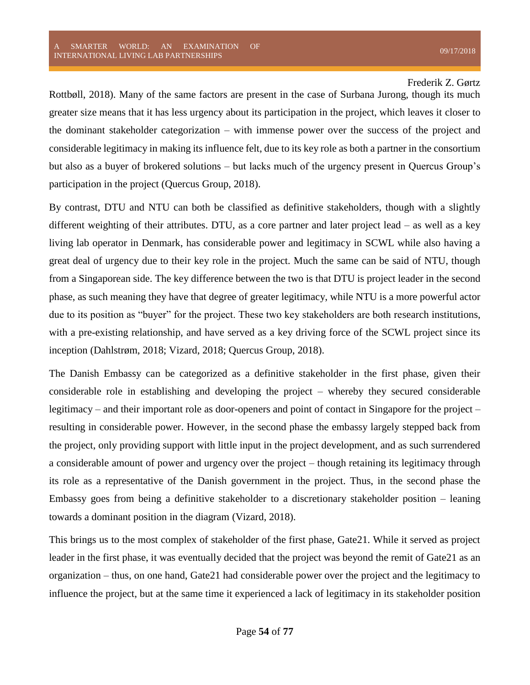Rottbøll, 2018). Many of the same factors are present in the case of Surbana Jurong, though its much greater size means that it has less urgency about its participation in the project, which leaves it closer to the dominant stakeholder categorization – with immense power over the success of the project and considerable legitimacy in making its influence felt, due to its key role as both a partner in the consortium but also as a buyer of brokered solutions – but lacks much of the urgency present in Quercus Group's participation in the project (Quercus Group, 2018).

By contrast, DTU and NTU can both be classified as definitive stakeholders, though with a slightly different weighting of their attributes. DTU, as a core partner and later project lead – as well as a key living lab operator in Denmark, has considerable power and legitimacy in SCWL while also having a great deal of urgency due to their key role in the project. Much the same can be said of NTU, though from a Singaporean side. The key difference between the two is that DTU is project leader in the second phase, as such meaning they have that degree of greater legitimacy, while NTU is a more powerful actor due to its position as "buyer" for the project. These two key stakeholders are both research institutions, with a pre-existing relationship, and have served as a key driving force of the SCWL project since its inception (Dahlstrøm, 2018; Vizard, 2018; Quercus Group, 2018).

The Danish Embassy can be categorized as a definitive stakeholder in the first phase, given their considerable role in establishing and developing the project – whereby they secured considerable legitimacy – and their important role as door-openers and point of contact in Singapore for the project – resulting in considerable power. However, in the second phase the embassy largely stepped back from the project, only providing support with little input in the project development, and as such surrendered a considerable amount of power and urgency over the project – though retaining its legitimacy through its role as a representative of the Danish government in the project. Thus, in the second phase the Embassy goes from being a definitive stakeholder to a discretionary stakeholder position – leaning towards a dominant position in the diagram (Vizard, 2018).

This brings us to the most complex of stakeholder of the first phase, Gate21. While it served as project leader in the first phase, it was eventually decided that the project was beyond the remit of Gate21 as an organization – thus, on one hand, Gate21 had considerable power over the project and the legitimacy to influence the project, but at the same time it experienced a lack of legitimacy in its stakeholder position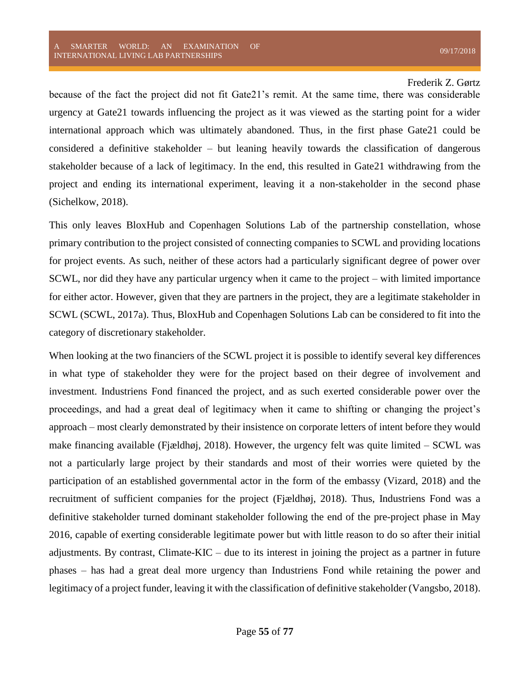because of the fact the project did not fit Gate21's remit. At the same time, there was considerable urgency at Gate21 towards influencing the project as it was viewed as the starting point for a wider international approach which was ultimately abandoned. Thus, in the first phase Gate21 could be considered a definitive stakeholder – but leaning heavily towards the classification of dangerous stakeholder because of a lack of legitimacy. In the end, this resulted in Gate21 withdrawing from the project and ending its international experiment, leaving it a non-stakeholder in the second phase (Sichelkow, 2018).

This only leaves BloxHub and Copenhagen Solutions Lab of the partnership constellation, whose primary contribution to the project consisted of connecting companies to SCWL and providing locations for project events. As such, neither of these actors had a particularly significant degree of power over SCWL, nor did they have any particular urgency when it came to the project – with limited importance for either actor. However, given that they are partners in the project, they are a legitimate stakeholder in SCWL (SCWL, 2017a). Thus, BloxHub and Copenhagen Solutions Lab can be considered to fit into the category of discretionary stakeholder.

When looking at the two financiers of the SCWL project it is possible to identify several key differences in what type of stakeholder they were for the project based on their degree of involvement and investment. Industriens Fond financed the project, and as such exerted considerable power over the proceedings, and had a great deal of legitimacy when it came to shifting or changing the project's approach – most clearly demonstrated by their insistence on corporate letters of intent before they would make financing available (Fjældhøj, 2018). However, the urgency felt was quite limited – SCWL was not a particularly large project by their standards and most of their worries were quieted by the participation of an established governmental actor in the form of the embassy (Vizard, 2018) and the recruitment of sufficient companies for the project (Fjældhøj, 2018). Thus, Industriens Fond was a definitive stakeholder turned dominant stakeholder following the end of the pre-project phase in May 2016, capable of exerting considerable legitimate power but with little reason to do so after their initial adjustments. By contrast, Climate-KIC – due to its interest in joining the project as a partner in future phases – has had a great deal more urgency than Industriens Fond while retaining the power and legitimacy of a project funder, leaving it with the classification of definitive stakeholder (Vangsbo, 2018).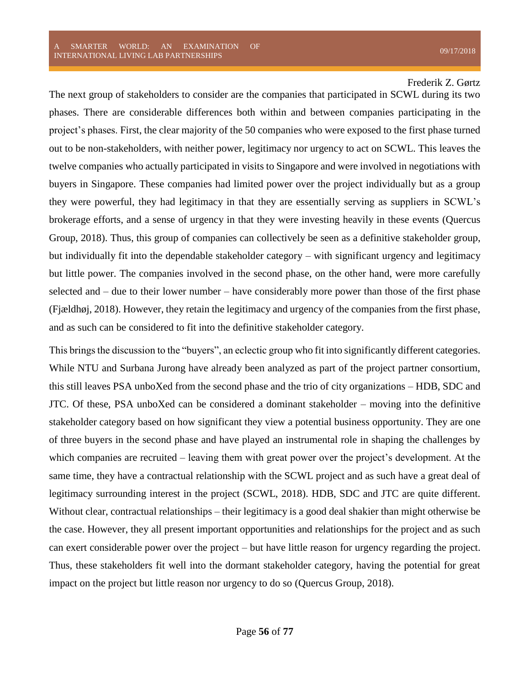The next group of stakeholders to consider are the companies that participated in SCWL during its two phases. There are considerable differences both within and between companies participating in the project's phases. First, the clear majority of the 50 companies who were exposed to the first phase turned out to be non-stakeholders, with neither power, legitimacy nor urgency to act on SCWL. This leaves the twelve companies who actually participated in visits to Singapore and were involved in negotiations with buyers in Singapore. These companies had limited power over the project individually but as a group they were powerful, they had legitimacy in that they are essentially serving as suppliers in SCWL's brokerage efforts, and a sense of urgency in that they were investing heavily in these events (Quercus Group, 2018). Thus, this group of companies can collectively be seen as a definitive stakeholder group, but individually fit into the dependable stakeholder category – with significant urgency and legitimacy but little power. The companies involved in the second phase, on the other hand, were more carefully selected and – due to their lower number – have considerably more power than those of the first phase (Fjældhøj, 2018). However, they retain the legitimacy and urgency of the companies from the first phase, and as such can be considered to fit into the definitive stakeholder category.

This brings the discussion to the "buyers", an eclectic group who fit into significantly different categories. While NTU and Surbana Jurong have already been analyzed as part of the project partner consortium, this still leaves PSA unboXed from the second phase and the trio of city organizations – HDB, SDC and JTC. Of these, PSA unboXed can be considered a dominant stakeholder – moving into the definitive stakeholder category based on how significant they view a potential business opportunity. They are one of three buyers in the second phase and have played an instrumental role in shaping the challenges by which companies are recruited – leaving them with great power over the project's development. At the same time, they have a contractual relationship with the SCWL project and as such have a great deal of legitimacy surrounding interest in the project (SCWL, 2018). HDB, SDC and JTC are quite different. Without clear, contractual relationships – their legitimacy is a good deal shakier than might otherwise be the case. However, they all present important opportunities and relationships for the project and as such can exert considerable power over the project – but have little reason for urgency regarding the project. Thus, these stakeholders fit well into the dormant stakeholder category, having the potential for great impact on the project but little reason nor urgency to do so (Quercus Group, 2018).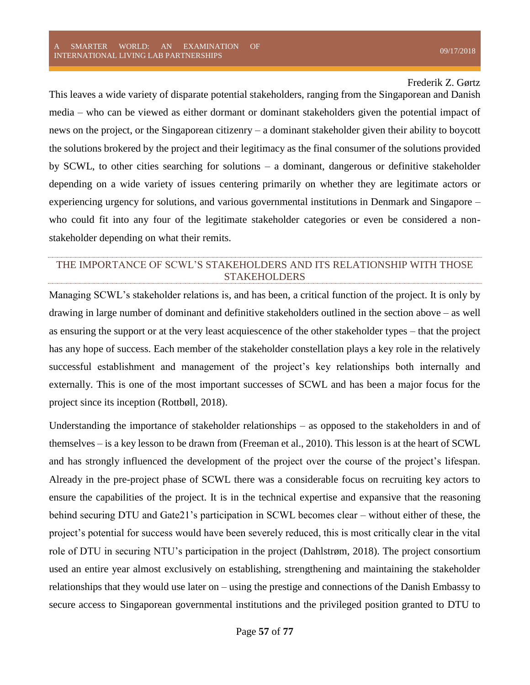This leaves a wide variety of disparate potential stakeholders, ranging from the Singaporean and Danish media – who can be viewed as either dormant or dominant stakeholders given the potential impact of news on the project, or the Singaporean citizenry – a dominant stakeholder given their ability to boycott the solutions brokered by the project and their legitimacy as the final consumer of the solutions provided by SCWL, to other cities searching for solutions – a dominant, dangerous or definitive stakeholder depending on a wide variety of issues centering primarily on whether they are legitimate actors or experiencing urgency for solutions, and various governmental institutions in Denmark and Singapore – who could fit into any four of the legitimate stakeholder categories or even be considered a nonstakeholder depending on what their remits.

# THE IMPORTANCE OF SCWL'S STAKEHOLDERS AND ITS RELATIONSHIP WITH THOSE STAKEHOLDERS

Managing SCWL's stakeholder relations is, and has been, a critical function of the project. It is only by drawing in large number of dominant and definitive stakeholders outlined in the section above – as well as ensuring the support or at the very least acquiescence of the other stakeholder types – that the project has any hope of success. Each member of the stakeholder constellation plays a key role in the relatively successful establishment and management of the project's key relationships both internally and externally. This is one of the most important successes of SCWL and has been a major focus for the project since its inception (Rottbøll, 2018).

Understanding the importance of stakeholder relationships – as opposed to the stakeholders in and of themselves – is a key lesson to be drawn from (Freeman et al., 2010). This lesson is at the heart of SCWL and has strongly influenced the development of the project over the course of the project's lifespan. Already in the pre-project phase of SCWL there was a considerable focus on recruiting key actors to ensure the capabilities of the project. It is in the technical expertise and expansive that the reasoning behind securing DTU and Gate21's participation in SCWL becomes clear – without either of these, the project's potential for success would have been severely reduced, this is most critically clear in the vital role of DTU in securing NTU's participation in the project (Dahlstrøm, 2018). The project consortium used an entire year almost exclusively on establishing, strengthening and maintaining the stakeholder relationships that they would use later on – using the prestige and connections of the Danish Embassy to secure access to Singaporean governmental institutions and the privileged position granted to DTU to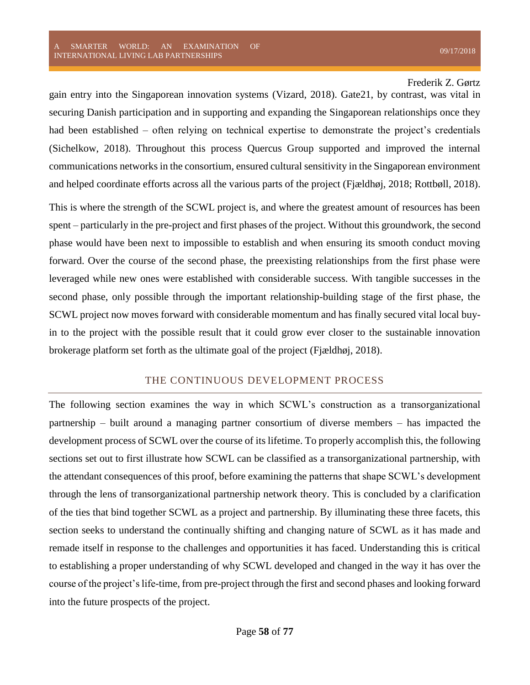gain entry into the Singaporean innovation systems (Vizard, 2018). Gate21, by contrast, was vital in securing Danish participation and in supporting and expanding the Singaporean relationships once they had been established – often relying on technical expertise to demonstrate the project's credentials (Sichelkow, 2018). Throughout this process Quercus Group supported and improved the internal communications networks in the consortium, ensured cultural sensitivity in the Singaporean environment and helped coordinate efforts across all the various parts of the project (Fjældhøj, 2018; Rottbøll, 2018).

This is where the strength of the SCWL project is, and where the greatest amount of resources has been spent – particularly in the pre-project and first phases of the project. Without this groundwork, the second phase would have been next to impossible to establish and when ensuring its smooth conduct moving forward. Over the course of the second phase, the preexisting relationships from the first phase were leveraged while new ones were established with considerable success. With tangible successes in the second phase, only possible through the important relationship-building stage of the first phase, the SCWL project now moves forward with considerable momentum and has finally secured vital local buyin to the project with the possible result that it could grow ever closer to the sustainable innovation brokerage platform set forth as the ultimate goal of the project (Fjældhøj, 2018).

## THE CONTINUOUS DEVELOPMENT PROCESS

The following section examines the way in which SCWL's construction as a transorganizational partnership – built around a managing partner consortium of diverse members – has impacted the development process of SCWL over the course of its lifetime. To properly accomplish this, the following sections set out to first illustrate how SCWL can be classified as a transorganizational partnership, with the attendant consequences of this proof, before examining the patterns that shape SCWL's development through the lens of transorganizational partnership network theory. This is concluded by a clarification of the ties that bind together SCWL as a project and partnership. By illuminating these three facets, this section seeks to understand the continually shifting and changing nature of SCWL as it has made and remade itself in response to the challenges and opportunities it has faced. Understanding this is critical to establishing a proper understanding of why SCWL developed and changed in the way it has over the course of the project's life-time, from pre-project through the first and second phases and looking forward into the future prospects of the project.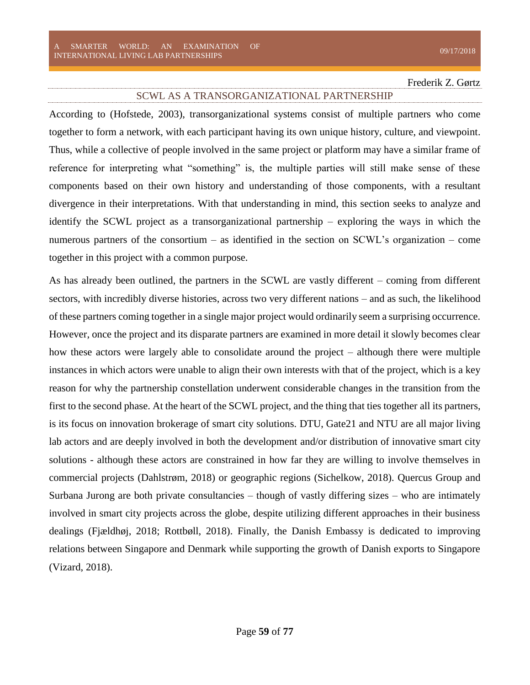#### SCWL AS A TRANSORGANIZATIONAL PARTNERSHIP

According to (Hofstede, 2003), transorganizational systems consist of multiple partners who come together to form a network, with each participant having its own unique history, culture, and viewpoint. Thus, while a collective of people involved in the same project or platform may have a similar frame of reference for interpreting what "something" is, the multiple parties will still make sense of these components based on their own history and understanding of those components, with a resultant divergence in their interpretations. With that understanding in mind, this section seeks to analyze and identify the SCWL project as a transorganizational partnership – exploring the ways in which the numerous partners of the consortium – as identified in the section on SCWL's organization – come together in this project with a common purpose.

As has already been outlined, the partners in the SCWL are vastly different – coming from different sectors, with incredibly diverse histories, across two very different nations – and as such, the likelihood of these partners coming together in a single major project would ordinarily seem a surprising occurrence. However, once the project and its disparate partners are examined in more detail it slowly becomes clear how these actors were largely able to consolidate around the project – although there were multiple instances in which actors were unable to align their own interests with that of the project, which is a key reason for why the partnership constellation underwent considerable changes in the transition from the first to the second phase. At the heart of the SCWL project, and the thing that ties together all its partners, is its focus on innovation brokerage of smart city solutions. DTU, Gate21 and NTU are all major living lab actors and are deeply involved in both the development and/or distribution of innovative smart city solutions - although these actors are constrained in how far they are willing to involve themselves in commercial projects (Dahlstrøm, 2018) or geographic regions (Sichelkow, 2018). Quercus Group and Surbana Jurong are both private consultancies – though of vastly differing sizes – who are intimately involved in smart city projects across the globe, despite utilizing different approaches in their business dealings (Fjældhøj, 2018; Rottbøll, 2018). Finally, the Danish Embassy is dedicated to improving relations between Singapore and Denmark while supporting the growth of Danish exports to Singapore (Vizard, 2018).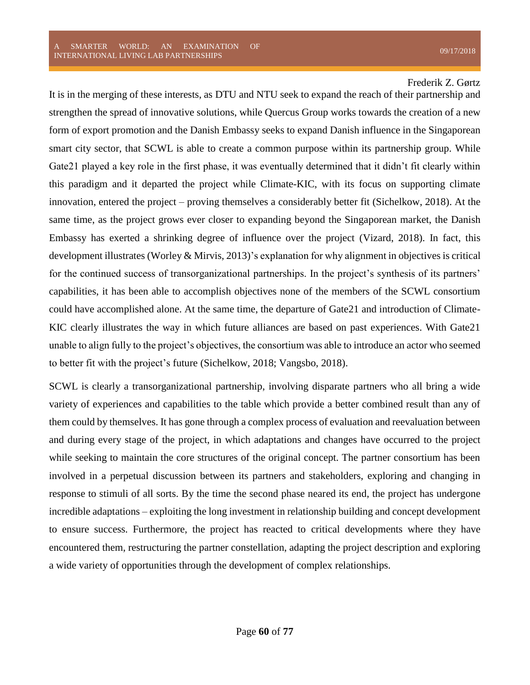It is in the merging of these interests, as DTU and NTU seek to expand the reach of their partnership and strengthen the spread of innovative solutions, while Quercus Group works towards the creation of a new form of export promotion and the Danish Embassy seeks to expand Danish influence in the Singaporean smart city sector, that SCWL is able to create a common purpose within its partnership group. While Gate21 played a key role in the first phase, it was eventually determined that it didn't fit clearly within this paradigm and it departed the project while Climate-KIC, with its focus on supporting climate innovation, entered the project – proving themselves a considerably better fit (Sichelkow, 2018). At the same time, as the project grows ever closer to expanding beyond the Singaporean market, the Danish Embassy has exerted a shrinking degree of influence over the project (Vizard, 2018). In fact, this development illustrates (Worley & Mirvis, 2013)'s explanation for why alignment in objectives is critical for the continued success of transorganizational partnerships. In the project's synthesis of its partners' capabilities, it has been able to accomplish objectives none of the members of the SCWL consortium could have accomplished alone. At the same time, the departure of Gate21 and introduction of Climate-KIC clearly illustrates the way in which future alliances are based on past experiences. With Gate21 unable to align fully to the project's objectives, the consortium was able to introduce an actor who seemed to better fit with the project's future (Sichelkow, 2018; Vangsbo, 2018).

SCWL is clearly a transorganizational partnership, involving disparate partners who all bring a wide variety of experiences and capabilities to the table which provide a better combined result than any of them could by themselves. It has gone through a complex process of evaluation and reevaluation between and during every stage of the project, in which adaptations and changes have occurred to the project while seeking to maintain the core structures of the original concept. The partner consortium has been involved in a perpetual discussion between its partners and stakeholders, exploring and changing in response to stimuli of all sorts. By the time the second phase neared its end, the project has undergone incredible adaptations – exploiting the long investment in relationship building and concept development to ensure success. Furthermore, the project has reacted to critical developments where they have encountered them, restructuring the partner constellation, adapting the project description and exploring a wide variety of opportunities through the development of complex relationships.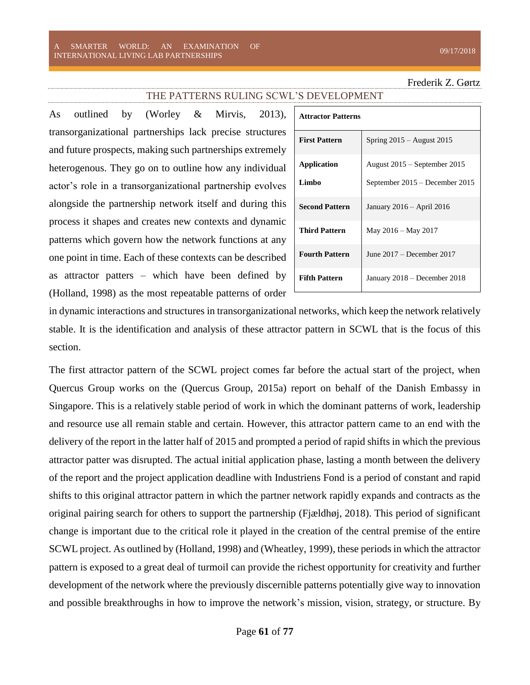#### THE PATTERNS RULING SCWL'S DEVELOPMENT

As outlined by (Worley & Mirvis, 2013), transorganizational partnerships lack precise structures and future prospects, making such partnerships extremely heterogenous. They go on to outline how any individual actor's role in a transorganizational partnership evolves alongside the partnership network itself and during this process it shapes and creates new contexts and dynamic patterns which govern how the network functions at any one point in time. Each of these contexts can be described as attractor patters – which have been defined by (Holland, 1998) as the most repeatable patterns of order

| <b>Attractor Patterns</b> |                                |
|---------------------------|--------------------------------|
| <b>First Pattern</b>      | Spring $2015 -$ August $2015$  |
| Application               | August 2015 – September 2015   |
| Limbo                     | September 2015 – December 2015 |
| <b>Second Pattern</b>     | January 2016 – April 2016      |
| <b>Third Pattern</b>      | May 2016 – May 2017            |
| <b>Fourth Pattern</b>     | June 2017 – December 2017      |
| <b>Fifth Pattern</b>      | January 2018 - December 2018   |

in dynamic interactions and structures in transorganizational networks, which keep the network relatively stable. It is the identification and analysis of these attractor pattern in SCWL that is the focus of this section.

The first attractor pattern of the SCWL project comes far before the actual start of the project, when Quercus Group works on the (Quercus Group, 2015a) report on behalf of the Danish Embassy in Singapore. This is a relatively stable period of work in which the dominant patterns of work, leadership and resource use all remain stable and certain. However, this attractor pattern came to an end with the delivery of the report in the latter half of 2015 and prompted a period of rapid shifts in which the previous attractor patter was disrupted. The actual initial application phase, lasting a month between the delivery of the report and the project application deadline with Industriens Fond is a period of constant and rapid shifts to this original attractor pattern in which the partner network rapidly expands and contracts as the original pairing search for others to support the partnership (Fjældhøj, 2018). This period of significant change is important due to the critical role it played in the creation of the central premise of the entire SCWL project. As outlined by (Holland, 1998) and (Wheatley, 1999), these periods in which the attractor pattern is exposed to a great deal of turmoil can provide the richest opportunity for creativity and further development of the network where the previously discernible patterns potentially give way to innovation and possible breakthroughs in how to improve the network's mission, vision, strategy, or structure. By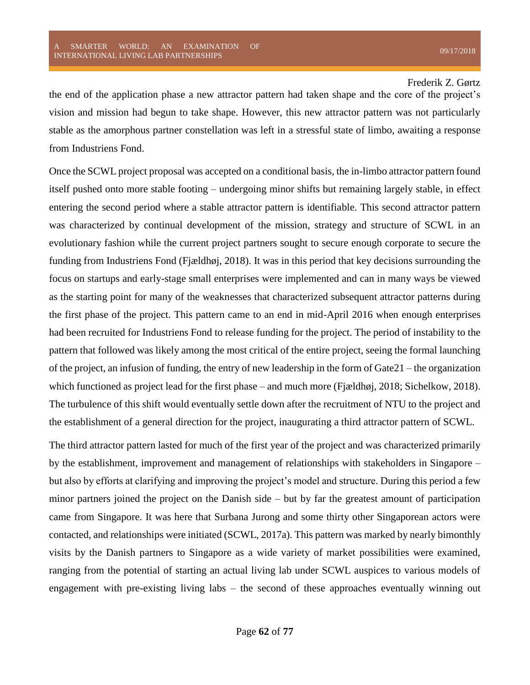the end of the application phase a new attractor pattern had taken shape and the core of the project's vision and mission had begun to take shape. However, this new attractor pattern was not particularly stable as the amorphous partner constellation was left in a stressful state of limbo, awaiting a response from Industriens Fond.

Once the SCWL project proposal was accepted on a conditional basis, the in-limbo attractor pattern found itself pushed onto more stable footing – undergoing minor shifts but remaining largely stable, in effect entering the second period where a stable attractor pattern is identifiable. This second attractor pattern was characterized by continual development of the mission, strategy and structure of SCWL in an evolutionary fashion while the current project partners sought to secure enough corporate to secure the funding from Industriens Fond (Fjældhøj, 2018). It was in this period that key decisions surrounding the focus on startups and early-stage small enterprises were implemented and can in many ways be viewed as the starting point for many of the weaknesses that characterized subsequent attractor patterns during the first phase of the project. This pattern came to an end in mid-April 2016 when enough enterprises had been recruited for Industriens Fond to release funding for the project. The period of instability to the pattern that followed was likely among the most critical of the entire project, seeing the formal launching of the project, an infusion of funding, the entry of new leadership in the form of Gate21 – the organization which functioned as project lead for the first phase – and much more (Fjældhøj, 2018; Sichelkow, 2018). The turbulence of this shift would eventually settle down after the recruitment of NTU to the project and the establishment of a general direction for the project, inaugurating a third attractor pattern of SCWL.

The third attractor pattern lasted for much of the first year of the project and was characterized primarily by the establishment, improvement and management of relationships with stakeholders in Singapore – but also by efforts at clarifying and improving the project's model and structure. During this period a few minor partners joined the project on the Danish side – but by far the greatest amount of participation came from Singapore. It was here that Surbana Jurong and some thirty other Singaporean actors were contacted, and relationships were initiated (SCWL, 2017a). This pattern was marked by nearly bimonthly visits by the Danish partners to Singapore as a wide variety of market possibilities were examined, ranging from the potential of starting an actual living lab under SCWL auspices to various models of engagement with pre-existing living labs – the second of these approaches eventually winning out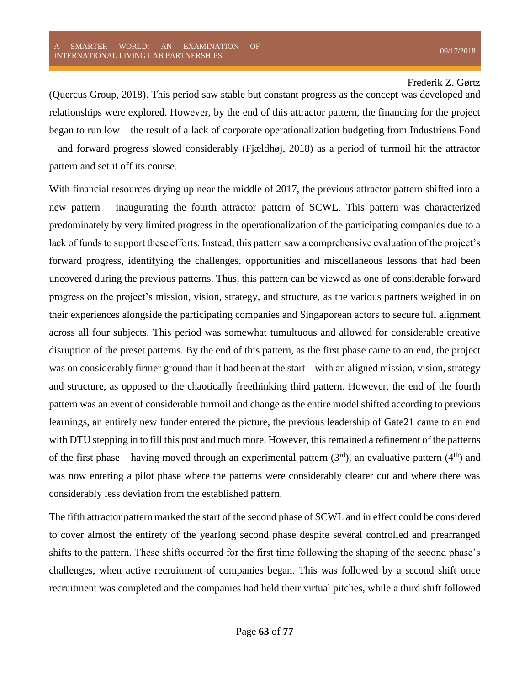(Quercus Group, 2018). This period saw stable but constant progress as the concept was developed and relationships were explored. However, by the end of this attractor pattern, the financing for the project began to run low – the result of a lack of corporate operationalization budgeting from Industriens Fond – and forward progress slowed considerably (Fjældhøj, 2018) as a period of turmoil hit the attractor pattern and set it off its course.

With financial resources drying up near the middle of 2017, the previous attractor pattern shifted into a new pattern – inaugurating the fourth attractor pattern of SCWL. This pattern was characterized predominately by very limited progress in the operationalization of the participating companies due to a lack of funds to support these efforts. Instead, this pattern saw a comprehensive evaluation of the project's forward progress, identifying the challenges, opportunities and miscellaneous lessons that had been uncovered during the previous patterns. Thus, this pattern can be viewed as one of considerable forward progress on the project's mission, vision, strategy, and structure, as the various partners weighed in on their experiences alongside the participating companies and Singaporean actors to secure full alignment across all four subjects. This period was somewhat tumultuous and allowed for considerable creative disruption of the preset patterns. By the end of this pattern, as the first phase came to an end, the project was on considerably firmer ground than it had been at the start – with an aligned mission, vision, strategy and structure, as opposed to the chaotically freethinking third pattern. However, the end of the fourth pattern was an event of considerable turmoil and change as the entire model shifted according to previous learnings, an entirely new funder entered the picture, the previous leadership of Gate21 came to an end with DTU stepping in to fill this post and much more. However, this remained a refinement of the patterns of the first phase – having moved through an experimental pattern  $(3<sup>rd</sup>)$ , an evaluative pattern  $(4<sup>th</sup>)$  and was now entering a pilot phase where the patterns were considerably clearer cut and where there was considerably less deviation from the established pattern.

The fifth attractor pattern marked the start of the second phase of SCWL and in effect could be considered to cover almost the entirety of the yearlong second phase despite several controlled and prearranged shifts to the pattern. These shifts occurred for the first time following the shaping of the second phase's challenges, when active recruitment of companies began. This was followed by a second shift once recruitment was completed and the companies had held their virtual pitches, while a third shift followed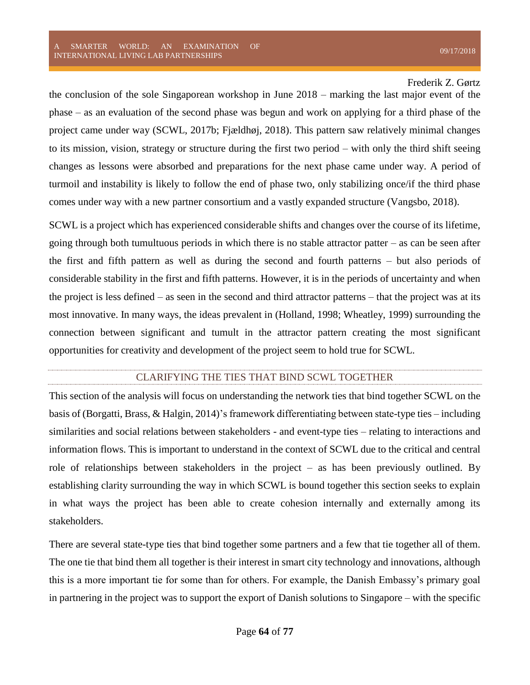the conclusion of the sole Singaporean workshop in June 2018 – marking the last major event of the phase – as an evaluation of the second phase was begun and work on applying for a third phase of the project came under way (SCWL, 2017b; Fjældhøj, 2018). This pattern saw relatively minimal changes to its mission, vision, strategy or structure during the first two period – with only the third shift seeing changes as lessons were absorbed and preparations for the next phase came under way. A period of turmoil and instability is likely to follow the end of phase two, only stabilizing once/if the third phase comes under way with a new partner consortium and a vastly expanded structure (Vangsbo, 2018).

SCWL is a project which has experienced considerable shifts and changes over the course of its lifetime, going through both tumultuous periods in which there is no stable attractor patter – as can be seen after the first and fifth pattern as well as during the second and fourth patterns – but also periods of considerable stability in the first and fifth patterns. However, it is in the periods of uncertainty and when the project is less defined – as seen in the second and third attractor patterns – that the project was at its most innovative. In many ways, the ideas prevalent in (Holland, 1998; Wheatley, 1999) surrounding the connection between significant and tumult in the attractor pattern creating the most significant opportunities for creativity and development of the project seem to hold true for SCWL.

## CLARIFYING THE TIES THAT BIND SCWL TOGETHER

This section of the analysis will focus on understanding the network ties that bind together SCWL on the basis of (Borgatti, Brass, & Halgin, 2014)'s framework differentiating between state-type ties – including similarities and social relations between stakeholders - and event-type ties – relating to interactions and information flows. This is important to understand in the context of SCWL due to the critical and central role of relationships between stakeholders in the project – as has been previously outlined. By establishing clarity surrounding the way in which SCWL is bound together this section seeks to explain in what ways the project has been able to create cohesion internally and externally among its stakeholders.

There are several state-type ties that bind together some partners and a few that tie together all of them. The one tie that bind them all together is their interest in smart city technology and innovations, although this is a more important tie for some than for others. For example, the Danish Embassy's primary goal in partnering in the project was to support the export of Danish solutions to Singapore – with the specific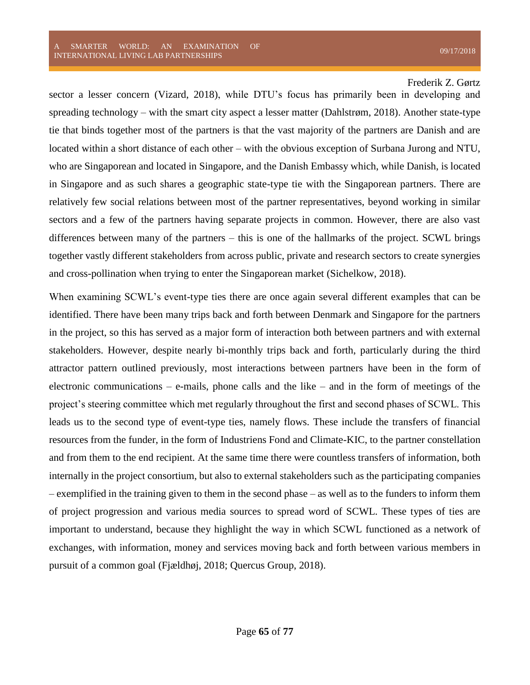sector a lesser concern (Vizard, 2018), while DTU's focus has primarily been in developing and spreading technology – with the smart city aspect a lesser matter (Dahlstrøm, 2018). Another state-type tie that binds together most of the partners is that the vast majority of the partners are Danish and are located within a short distance of each other – with the obvious exception of Surbana Jurong and NTU, who are Singaporean and located in Singapore, and the Danish Embassy which, while Danish, is located in Singapore and as such shares a geographic state-type tie with the Singaporean partners. There are relatively few social relations between most of the partner representatives, beyond working in similar sectors and a few of the partners having separate projects in common. However, there are also vast differences between many of the partners – this is one of the hallmarks of the project. SCWL brings together vastly different stakeholders from across public, private and research sectors to create synergies and cross-pollination when trying to enter the Singaporean market (Sichelkow, 2018).

When examining SCWL's event-type ties there are once again several different examples that can be identified. There have been many trips back and forth between Denmark and Singapore for the partners in the project, so this has served as a major form of interaction both between partners and with external stakeholders. However, despite nearly bi-monthly trips back and forth, particularly during the third attractor pattern outlined previously, most interactions between partners have been in the form of electronic communications – e-mails, phone calls and the like – and in the form of meetings of the project's steering committee which met regularly throughout the first and second phases of SCWL. This leads us to the second type of event-type ties, namely flows. These include the transfers of financial resources from the funder, in the form of Industriens Fond and Climate-KIC, to the partner constellation and from them to the end recipient. At the same time there were countless transfers of information, both internally in the project consortium, but also to external stakeholders such as the participating companies – exemplified in the training given to them in the second phase – as well as to the funders to inform them of project progression and various media sources to spread word of SCWL. These types of ties are important to understand, because they highlight the way in which SCWL functioned as a network of exchanges, with information, money and services moving back and forth between various members in pursuit of a common goal (Fjældhøj, 2018; Quercus Group, 2018).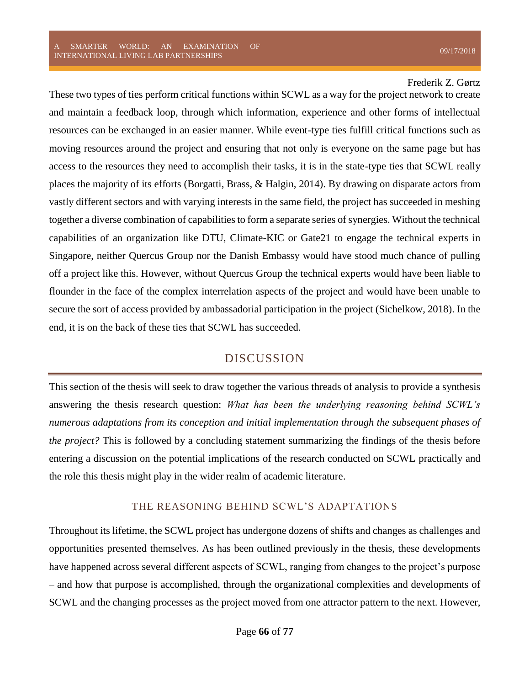These two types of ties perform critical functions within SCWL as a way for the project network to create and maintain a feedback loop, through which information, experience and other forms of intellectual resources can be exchanged in an easier manner. While event-type ties fulfill critical functions such as moving resources around the project and ensuring that not only is everyone on the same page but has access to the resources they need to accomplish their tasks, it is in the state-type ties that SCWL really places the majority of its efforts (Borgatti, Brass, & Halgin, 2014). By drawing on disparate actors from vastly different sectors and with varying interests in the same field, the project has succeeded in meshing together a diverse combination of capabilities to form a separate series of synergies. Without the technical capabilities of an organization like DTU, Climate-KIC or Gate21 to engage the technical experts in Singapore, neither Quercus Group nor the Danish Embassy would have stood much chance of pulling off a project like this. However, without Quercus Group the technical experts would have been liable to flounder in the face of the complex interrelation aspects of the project and would have been unable to secure the sort of access provided by ambassadorial participation in the project (Sichelkow, 2018). In the end, it is on the back of these ties that SCWL has succeeded.

# DISCUSSION

This section of the thesis will seek to draw together the various threads of analysis to provide a synthesis answering the thesis research question: *What has been the underlying reasoning behind SCWL's numerous adaptations from its conception and initial implementation through the subsequent phases of the project?* This is followed by a concluding statement summarizing the findings of the thesis before entering a discussion on the potential implications of the research conducted on SCWL practically and the role this thesis might play in the wider realm of academic literature.

## THE REASONING BEHIND SCWL'S ADAPTATIONS

Throughout its lifetime, the SCWL project has undergone dozens of shifts and changes as challenges and opportunities presented themselves. As has been outlined previously in the thesis, these developments have happened across several different aspects of SCWL, ranging from changes to the project's purpose – and how that purpose is accomplished, through the organizational complexities and developments of SCWL and the changing processes as the project moved from one attractor pattern to the next. However,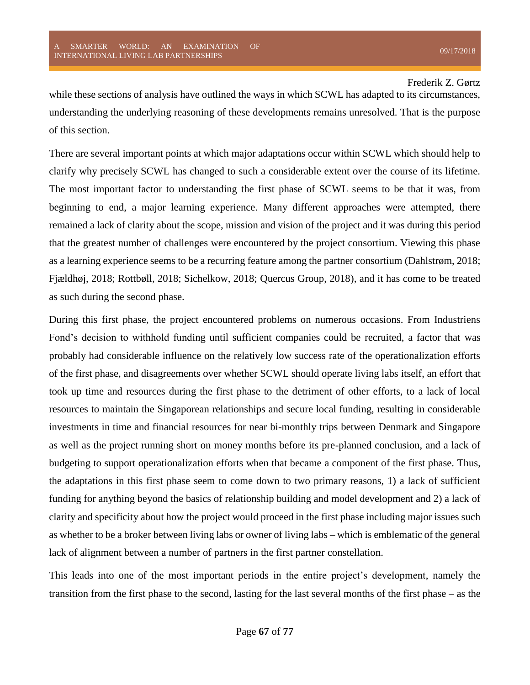while these sections of analysis have outlined the ways in which SCWL has adapted to its circumstances, understanding the underlying reasoning of these developments remains unresolved. That is the purpose of this section.

There are several important points at which major adaptations occur within SCWL which should help to clarify why precisely SCWL has changed to such a considerable extent over the course of its lifetime. The most important factor to understanding the first phase of SCWL seems to be that it was, from beginning to end, a major learning experience. Many different approaches were attempted, there remained a lack of clarity about the scope, mission and vision of the project and it was during this period that the greatest number of challenges were encountered by the project consortium. Viewing this phase as a learning experience seems to be a recurring feature among the partner consortium (Dahlstrøm, 2018; Fjældhøj, 2018; Rottbøll, 2018; Sichelkow, 2018; Quercus Group, 2018), and it has come to be treated as such during the second phase.

During this first phase, the project encountered problems on numerous occasions. From Industriens Fond's decision to withhold funding until sufficient companies could be recruited, a factor that was probably had considerable influence on the relatively low success rate of the operationalization efforts of the first phase, and disagreements over whether SCWL should operate living labs itself, an effort that took up time and resources during the first phase to the detriment of other efforts, to a lack of local resources to maintain the Singaporean relationships and secure local funding, resulting in considerable investments in time and financial resources for near bi-monthly trips between Denmark and Singapore as well as the project running short on money months before its pre-planned conclusion, and a lack of budgeting to support operationalization efforts when that became a component of the first phase. Thus, the adaptations in this first phase seem to come down to two primary reasons, 1) a lack of sufficient funding for anything beyond the basics of relationship building and model development and 2) a lack of clarity and specificity about how the project would proceed in the first phase including major issues such as whether to be a broker between living labs or owner of living labs – which is emblematic of the general lack of alignment between a number of partners in the first partner constellation.

This leads into one of the most important periods in the entire project's development, namely the transition from the first phase to the second, lasting for the last several months of the first phase – as the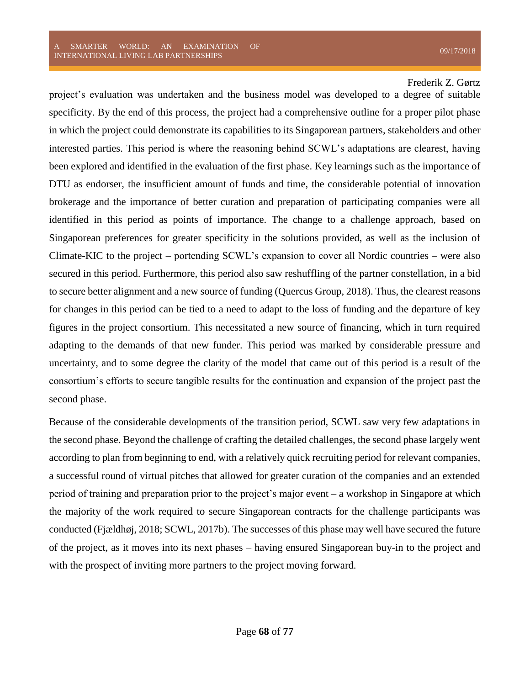project's evaluation was undertaken and the business model was developed to a degree of suitable specificity. By the end of this process, the project had a comprehensive outline for a proper pilot phase in which the project could demonstrate its capabilities to its Singaporean partners, stakeholders and other interested parties. This period is where the reasoning behind SCWL's adaptations are clearest, having been explored and identified in the evaluation of the first phase. Key learnings such as the importance of DTU as endorser, the insufficient amount of funds and time, the considerable potential of innovation brokerage and the importance of better curation and preparation of participating companies were all identified in this period as points of importance. The change to a challenge approach, based on Singaporean preferences for greater specificity in the solutions provided, as well as the inclusion of Climate-KIC to the project – portending SCWL's expansion to cover all Nordic countries – were also secured in this period. Furthermore, this period also saw reshuffling of the partner constellation, in a bid to secure better alignment and a new source of funding (Quercus Group, 2018). Thus, the clearest reasons for changes in this period can be tied to a need to adapt to the loss of funding and the departure of key figures in the project consortium. This necessitated a new source of financing, which in turn required adapting to the demands of that new funder. This period was marked by considerable pressure and uncertainty, and to some degree the clarity of the model that came out of this period is a result of the consortium's efforts to secure tangible results for the continuation and expansion of the project past the second phase.

Because of the considerable developments of the transition period, SCWL saw very few adaptations in the second phase. Beyond the challenge of crafting the detailed challenges, the second phase largely went according to plan from beginning to end, with a relatively quick recruiting period for relevant companies, a successful round of virtual pitches that allowed for greater curation of the companies and an extended period of training and preparation prior to the project's major event – a workshop in Singapore at which the majority of the work required to secure Singaporean contracts for the challenge participants was conducted (Fjældhøj, 2018; SCWL, 2017b). The successes of this phase may well have secured the future of the project, as it moves into its next phases – having ensured Singaporean buy-in to the project and with the prospect of inviting more partners to the project moving forward.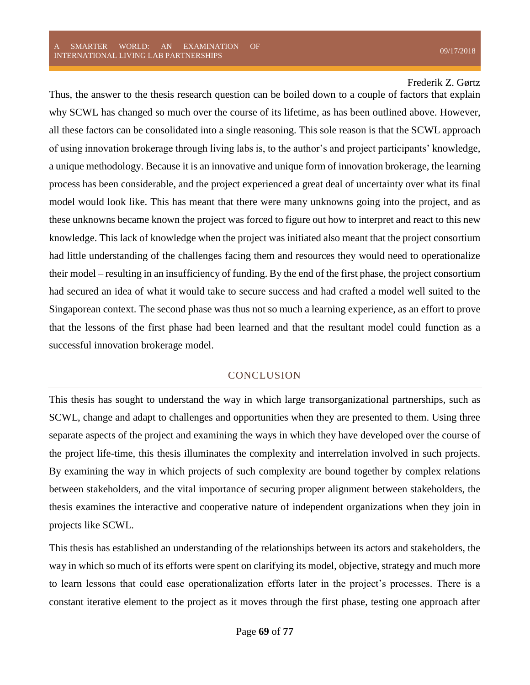Thus, the answer to the thesis research question can be boiled down to a couple of factors that explain why SCWL has changed so much over the course of its lifetime, as has been outlined above. However, all these factors can be consolidated into a single reasoning. This sole reason is that the SCWL approach of using innovation brokerage through living labs is, to the author's and project participants' knowledge, a unique methodology. Because it is an innovative and unique form of innovation brokerage, the learning process has been considerable, and the project experienced a great deal of uncertainty over what its final model would look like. This has meant that there were many unknowns going into the project, and as these unknowns became known the project was forced to figure out how to interpret and react to this new knowledge. This lack of knowledge when the project was initiated also meant that the project consortium had little understanding of the challenges facing them and resources they would need to operationalize their model – resulting in an insufficiency of funding. By the end of the first phase, the project consortium had secured an idea of what it would take to secure success and had crafted a model well suited to the Singaporean context. The second phase was thus not so much a learning experience, as an effort to prove that the lessons of the first phase had been learned and that the resultant model could function as a successful innovation brokerage model.

## CONCLUSION

This thesis has sought to understand the way in which large transorganizational partnerships, such as SCWL, change and adapt to challenges and opportunities when they are presented to them. Using three separate aspects of the project and examining the ways in which they have developed over the course of the project life-time, this thesis illuminates the complexity and interrelation involved in such projects. By examining the way in which projects of such complexity are bound together by complex relations between stakeholders, and the vital importance of securing proper alignment between stakeholders, the thesis examines the interactive and cooperative nature of independent organizations when they join in projects like SCWL.

This thesis has established an understanding of the relationships between its actors and stakeholders, the way in which so much of its efforts were spent on clarifying its model, objective, strategy and much more to learn lessons that could ease operationalization efforts later in the project's processes. There is a constant iterative element to the project as it moves through the first phase, testing one approach after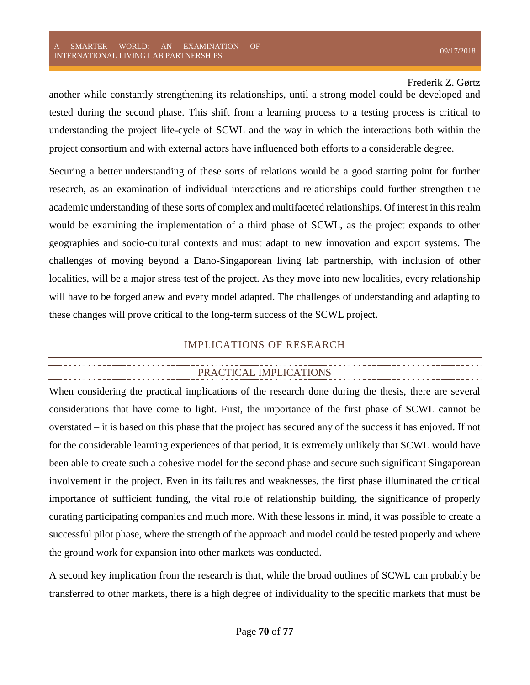another while constantly strengthening its relationships, until a strong model could be developed and tested during the second phase. This shift from a learning process to a testing process is critical to understanding the project life-cycle of SCWL and the way in which the interactions both within the project consortium and with external actors have influenced both efforts to a considerable degree.

Securing a better understanding of these sorts of relations would be a good starting point for further research, as an examination of individual interactions and relationships could further strengthen the academic understanding of these sorts of complex and multifaceted relationships. Of interest in this realm would be examining the implementation of a third phase of SCWL, as the project expands to other geographies and socio-cultural contexts and must adapt to new innovation and export systems. The challenges of moving beyond a Dano-Singaporean living lab partnership, with inclusion of other localities, will be a major stress test of the project. As they move into new localities, every relationship will have to be forged anew and every model adapted. The challenges of understanding and adapting to these changes will prove critical to the long-term success of the SCWL project.

## IMPLICATIONS OF RESEARCH

# PRACTICAL IMPLICATIONS

When considering the practical implications of the research done during the thesis, there are several considerations that have come to light. First, the importance of the first phase of SCWL cannot be overstated – it is based on this phase that the project has secured any of the success it has enjoyed. If not for the considerable learning experiences of that period, it is extremely unlikely that SCWL would have been able to create such a cohesive model for the second phase and secure such significant Singaporean involvement in the project. Even in its failures and weaknesses, the first phase illuminated the critical importance of sufficient funding, the vital role of relationship building, the significance of properly curating participating companies and much more. With these lessons in mind, it was possible to create a successful pilot phase, where the strength of the approach and model could be tested properly and where the ground work for expansion into other markets was conducted.

A second key implication from the research is that, while the broad outlines of SCWL can probably be transferred to other markets, there is a high degree of individuality to the specific markets that must be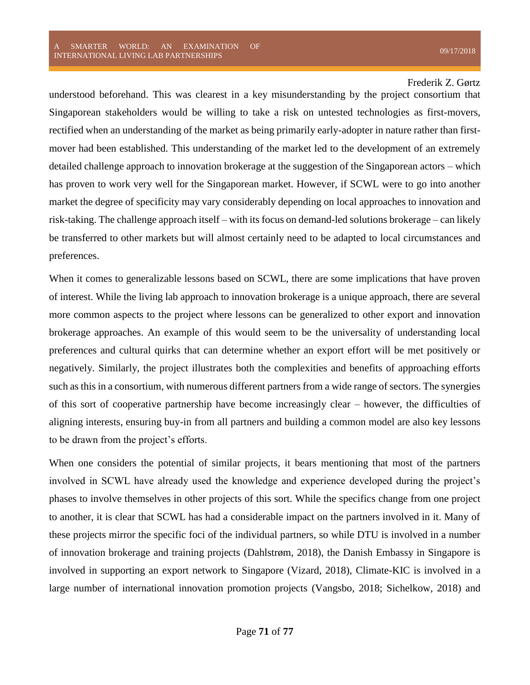understood beforehand. This was clearest in a key misunderstanding by the project consortium that Singaporean stakeholders would be willing to take a risk on untested technologies as first-movers, rectified when an understanding of the market as being primarily early-adopter in nature rather than firstmover had been established. This understanding of the market led to the development of an extremely detailed challenge approach to innovation brokerage at the suggestion of the Singaporean actors – which has proven to work very well for the Singaporean market. However, if SCWL were to go into another market the degree of specificity may vary considerably depending on local approaches to innovation and risk-taking. The challenge approach itself – with its focus on demand-led solutions brokerage – can likely be transferred to other markets but will almost certainly need to be adapted to local circumstances and preferences.

When it comes to generalizable lessons based on SCWL, there are some implications that have proven of interest. While the living lab approach to innovation brokerage is a unique approach, there are several more common aspects to the project where lessons can be generalized to other export and innovation brokerage approaches. An example of this would seem to be the universality of understanding local preferences and cultural quirks that can determine whether an export effort will be met positively or negatively. Similarly, the project illustrates both the complexities and benefits of approaching efforts such as this in a consortium, with numerous different partners from a wide range of sectors. The synergies of this sort of cooperative partnership have become increasingly clear – however, the difficulties of aligning interests, ensuring buy-in from all partners and building a common model are also key lessons to be drawn from the project's efforts.

When one considers the potential of similar projects, it bears mentioning that most of the partners involved in SCWL have already used the knowledge and experience developed during the project's phases to involve themselves in other projects of this sort. While the specifics change from one project to another, it is clear that SCWL has had a considerable impact on the partners involved in it. Many of these projects mirror the specific foci of the individual partners, so while DTU is involved in a number of innovation brokerage and training projects (Dahlstrøm, 2018), the Danish Embassy in Singapore is involved in supporting an export network to Singapore (Vizard, 2018), Climate-KIC is involved in a large number of international innovation promotion projects (Vangsbo, 2018; Sichelkow, 2018) and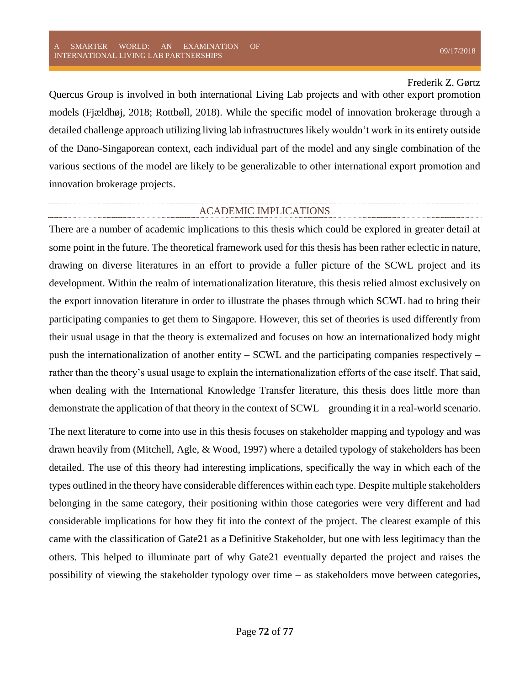Quercus Group is involved in both international Living Lab projects and with other export promotion models (Fjældhøj, 2018; Rottbøll, 2018). While the specific model of innovation brokerage through a detailed challenge approach utilizing living lab infrastructures likely wouldn't work in its entirety outside of the Dano-Singaporean context, each individual part of the model and any single combination of the various sections of the model are likely to be generalizable to other international export promotion and innovation brokerage projects.

## ACADEMIC IMPLICATIONS

There are a number of academic implications to this thesis which could be explored in greater detail at some point in the future. The theoretical framework used for this thesis has been rather eclectic in nature, drawing on diverse literatures in an effort to provide a fuller picture of the SCWL project and its development. Within the realm of internationalization literature, this thesis relied almost exclusively on the export innovation literature in order to illustrate the phases through which SCWL had to bring their participating companies to get them to Singapore. However, this set of theories is used differently from their usual usage in that the theory is externalized and focuses on how an internationalized body might push the internationalization of another entity – SCWL and the participating companies respectively – rather than the theory's usual usage to explain the internationalization efforts of the case itself. That said, when dealing with the International Knowledge Transfer literature, this thesis does little more than demonstrate the application of that theory in the context of SCWL – grounding it in a real-world scenario.

The next literature to come into use in this thesis focuses on stakeholder mapping and typology and was drawn heavily from (Mitchell, Agle, & Wood, 1997) where a detailed typology of stakeholders has been detailed. The use of this theory had interesting implications, specifically the way in which each of the types outlined in the theory have considerable differences within each type. Despite multiple stakeholders belonging in the same category, their positioning within those categories were very different and had considerable implications for how they fit into the context of the project. The clearest example of this came with the classification of Gate21 as a Definitive Stakeholder, but one with less legitimacy than the others. This helped to illuminate part of why Gate21 eventually departed the project and raises the possibility of viewing the stakeholder typology over time – as stakeholders move between categories,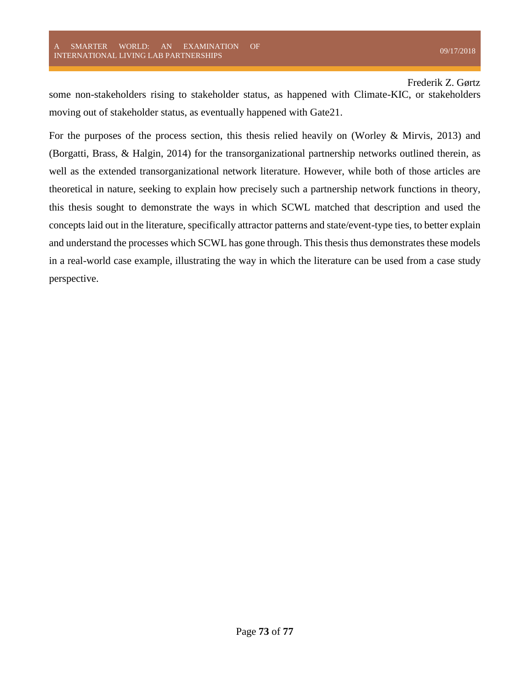some non-stakeholders rising to stakeholder status, as happened with Climate-KIC, or stakeholders moving out of stakeholder status, as eventually happened with Gate21.

For the purposes of the process section, this thesis relied heavily on (Worley & Mirvis, 2013) and (Borgatti, Brass, & Halgin, 2014) for the transorganizational partnership networks outlined therein, as well as the extended transorganizational network literature. However, while both of those articles are theoretical in nature, seeking to explain how precisely such a partnership network functions in theory, this thesis sought to demonstrate the ways in which SCWL matched that description and used the concepts laid out in the literature, specifically attractor patterns and state/event-type ties, to better explain and understand the processes which SCWL has gone through. This thesis thus demonstrates these models in a real-world case example, illustrating the way in which the literature can be used from a case study perspective.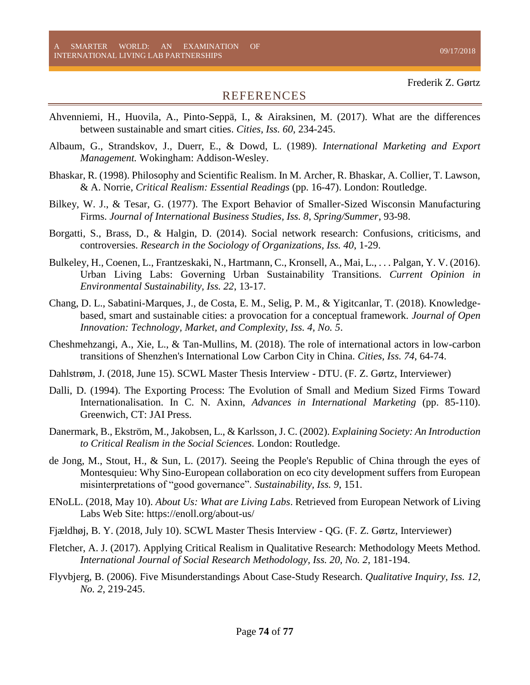## REFERENCES

- Ahvenniemi, H., Huovila, A., Pinto-Seppä, I., & Airaksinen, M. (2017). What are the differences between sustainable and smart cities. *Cities, Iss. 60*, 234-245.
- Albaum, G., Strandskov, J., Duerr, E., & Dowd, L. (1989). *International Marketing and Export Management.* Wokingham: Addison-Wesley.
- Bhaskar, R. (1998). Philosophy and Scientific Realism. In M. Archer, R. Bhaskar, A. Collier, T. Lawson, & A. Norrie, *Critical Realism: Essential Readings* (pp. 16-47). London: Routledge.
- Bilkey, W. J., & Tesar, G. (1977). The Export Behavior of Smaller-Sized Wisconsin Manufacturing Firms. *Journal of International Business Studies, Iss. 8, Spring/Summer*, 93-98.
- Borgatti, S., Brass, D., & Halgin, D. (2014). Social network research: Confusions, criticisms, and controversies. *Research in the Sociology of Organizations, Iss. 40*, 1-29.
- Bulkeley, H., Coenen, L., Frantzeskaki, N., Hartmann, C., Kronsell, A., Mai, L., . . . Palgan, Y. V. (2016). Urban Living Labs: Governing Urban Sustainability Transitions. *Current Opinion in Environmental Sustainability, Iss. 22*, 13-17.
- Chang, D. L., Sabatini-Marques, J., de Costa, E. M., Selig, P. M., & Yigitcanlar, T. (2018). Knowledgebased, smart and sustainable cities: a provocation for a conceptual framework. *Journal of Open Innovation: Technology, Market, and Complexity, Iss. 4, No. 5*.
- Cheshmehzangi, A., Xie, L., & Tan-Mullins, M. (2018). The role of international actors in low-carbon transitions of Shenzhen's International Low Carbon City in China. *Cities, Iss. 74*, 64-74.
- Dahlstrøm, J. (2018, June 15). SCWL Master Thesis Interview DTU. (F. Z. Gørtz, Interviewer)
- Dalli, D. (1994). The Exporting Process: The Evolution of Small and Medium Sized Firms Toward Internationalisation. In C. N. Axinn, *Advances in International Marketing* (pp. 85-110). Greenwich, CT: JAI Press.
- Danermark, B., Ekström, M., Jakobsen, L., & Karlsson, J. C. (2002). *Explaining Society: An Introduction to Critical Realism in the Social Sciences.* London: Routledge.
- de Jong, M., Stout, H., & Sun, L. (2017). Seeing the People's Republic of China through the eyes of Montesquieu: Why Sino-European collaboration on eco city development suffers from European misinterpretations of "good governance". *Sustainability, Iss. 9*, 151.
- ENoLL. (2018, May 10). *About Us: What are Living Labs*. Retrieved from European Network of Living Labs Web Site: https://enoll.org/about-us/
- Fjældhøj, B. Y. (2018, July 10). SCWL Master Thesis Interview QG. (F. Z. Gørtz, Interviewer)
- Fletcher, A. J. (2017). Applying Critical Realism in Qualitative Research: Methodology Meets Method. *International Journal of Social Research Methodology, Iss. 20, No. 2*, 181-194.
- Flyvbjerg, B. (2006). Five Misunderstandings About Case-Study Research. *Qualitative Inquiry, Iss. 12, No. 2*, 219-245.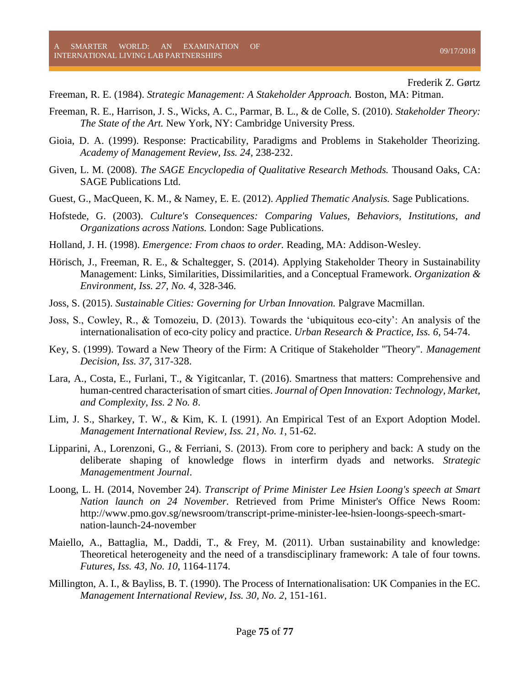- Freeman, R. E. (1984). *Strategic Management: A Stakeholder Approach.* Boston, MA: Pitman.
- Freeman, R. E., Harrison, J. S., Wicks, A. C., Parmar, B. L., & de Colle, S. (2010). *Stakeholder Theory: The State of the Art.* New York, NY: Cambridge University Press.
- Gioia, D. A. (1999). Response: Practicability, Paradigms and Problems in Stakeholder Theorizing. *Academy of Management Review, Iss. 24*, 238-232.
- Given, L. M. (2008). *The SAGE Encyclopedia of Qualitative Research Methods.* Thousand Oaks, CA: SAGE Publications Ltd.
- Guest, G., MacQueen, K. M., & Namey, E. E. (2012). *Applied Thematic Analysis.* Sage Publications.
- Hofstede, G. (2003). *Culture's Consequences: Comparing Values, Behaviors, Institutions, and Organizations across Nations.* London: Sage Publications.
- Holland, J. H. (1998). *Emergence: From chaos to order.* Reading, MA: Addison-Wesley.
- Hörisch, J., Freeman, R. E., & Schaltegger, S. (2014). Applying Stakeholder Theory in Sustainability Management: Links, Similarities, Dissimilarities, and a Conceptual Framework. *Organization & Environment, Iss. 27, No. 4*, 328-346.
- Joss, S. (2015). *Sustainable Cities: Governing for Urban Innovation.* Palgrave Macmillan.
- Joss, S., Cowley, R., & Tomozeiu, D. (2013). Towards the 'ubiquitous eco-city': An analysis of the internationalisation of eco-city policy and practice. *Urban Research & Practice, Iss. 6*, 54-74.
- Key, S. (1999). Toward a New Theory of the Firm: A Critique of Stakeholder "Theory". *Management Decision, Iss. 37*, 317-328.
- Lara, A., Costa, E., Furlani, T., & Yigitcanlar, T. (2016). Smartness that matters: Comprehensive and human-centred characterisation of smart cities. *Journal of Open Innovation: Technology, Market, and Complexity, Iss. 2 No. 8*.
- Lim, J. S., Sharkey, T. W., & Kim, K. I. (1991). An Empirical Test of an Export Adoption Model. *Management International Review, Iss. 21, No. 1*, 51-62.
- Lipparini, A., Lorenzoni, G., & Ferriani, S. (2013). From core to periphery and back: A study on the deliberate shaping of knowledge flows in interfirm dyads and networks. *Strategic Managementment Journal*.
- Loong, L. H. (2014, November 24). *Transcript of Prime Minister Lee Hsien Loong's speech at Smart Nation launch on 24 November.* Retrieved from Prime Minister's Office News Room: http://www.pmo.gov.sg/newsroom/transcript-prime-minister-lee-hsien-loongs-speech-smartnation-launch-24-november
- Maiello, A., Battaglia, M., Daddi, T., & Frey, M. (2011). Urban sustainability and knowledge: Theoretical heterogeneity and the need of a transdisciplinary framework: A tale of four towns. *Futures, Iss. 43, No. 10*, 1164-1174.
- Millington, A. I., & Bayliss, B. T. (1990). The Process of Internationalisation: UK Companies in the EC. *Management International Review, Iss. 30, No. 2*, 151-161.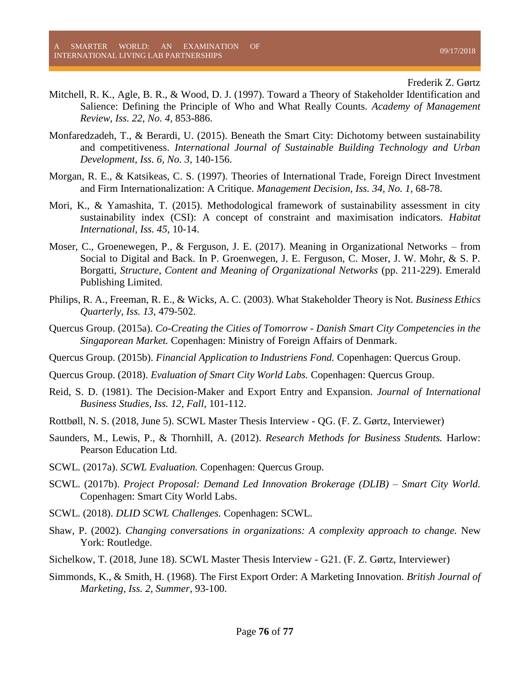- Mitchell, R. K., Agle, B. R., & Wood, D. J. (1997). Toward a Theory of Stakeholder Identification and Salience: Defining the Principle of Who and What Really Counts. *Academy of Management Review, Iss. 22, No. 4*, 853-886.
- Monfaredzadeh, T., & Berardi, U. (2015). Beneath the Smart City: Dichotomy between sustainability and competitiveness. *International Journal of Sustainable Building Technology and Urban Development, Iss. 6, No. 3*, 140-156.
- Morgan, R. E., & Katsikeas, C. S. (1997). Theories of International Trade, Foreign Direct Investment and Firm Internationalization: A Critique. *Management Decision, Iss. 34, No. 1*, 68-78.
- Mori, K., & Yamashita, T. (2015). Methodological framework of sustainability assessment in city sustainability index (CSI): A concept of constraint and maximisation indicators. *Habitat International, Iss. 45*, 10-14.
- Moser, C., Groenewegen, P., & Ferguson, J. E. (2017). Meaning in Organizational Networks from Social to Digital and Back. In P. Groenwegen, J. E. Ferguson, C. Moser, J. W. Mohr, & S. P. Borgatti, *Structure, Content and Meaning of Organizational Networks* (pp. 211-229). Emerald Publishing Limited.
- Philips, R. A., Freeman, R. E., & Wicks, A. C. (2003). What Stakeholder Theory is Not. *Business Ethics Quarterly, Iss. 13*, 479-502.
- Quercus Group. (2015a). *Co-Creating the Cities of Tomorrow - Danish Smart City Competencies in the Singaporean Market.* Copenhagen: Ministry of Foreign Affairs of Denmark.
- Quercus Group. (2015b). *Financial Application to Industriens Fond.* Copenhagen: Quercus Group.
- Quercus Group. (2018). *Evaluation of Smart City World Labs.* Copenhagen: Quercus Group.
- Reid, S. D. (1981). The Decision-Maker and Export Entry and Expansion. *Journal of International Business Studies, Iss. 12, Fall*, 101-112.
- Rottbøll, N. S. (2018, June 5). SCWL Master Thesis Interview QG. (F. Z. Gørtz, Interviewer)
- Saunders, M., Lewis, P., & Thornhill, A. (2012). *Research Methods for Business Students.* Harlow: Pearson Education Ltd.
- SCWL. (2017a). *SCWL Evaluation.* Copenhagen: Quercus Group.
- SCWL. (2017b). *Project Proposal: Demand Led Innovation Brokerage (DLIB) – Smart City World.* Copenhagen: Smart City World Labs.
- SCWL. (2018). *DLID SCWL Challenges.* Copenhagen: SCWL.
- Shaw, P. (2002). *Changing conversations in organizations: A complexity approach to change.* New York: Routledge.
- Sichelkow, T. (2018, June 18). SCWL Master Thesis Interview G21. (F. Z. Gørtz, Interviewer)
- Simmonds, K., & Smith, H. (1968). The First Export Order: A Marketing Innovation. *British Journal of Marketing, Iss. 2, Summer*, 93-100.